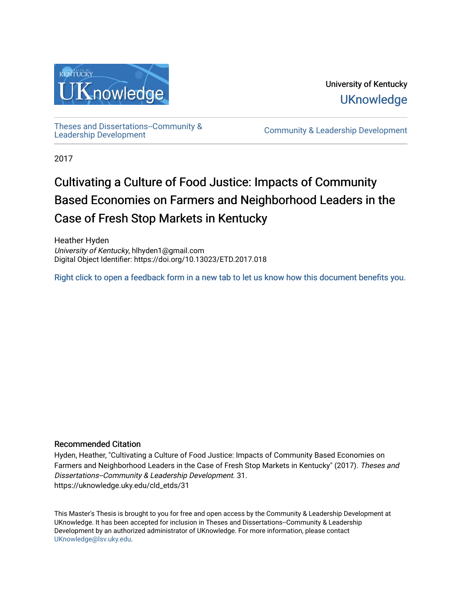

University of Kentucky **UKnowledge** 

[Theses and Dissertations--Community &](https://uknowledge.uky.edu/cld_etds)

[Leadership Development](https://uknowledge.uky.edu/cld_etds) [Community & Leadership Development](https://uknowledge.uky.edu/cld) 

2017

# Cultivating a Culture of Food Justice: Impacts of Community Based Economies on Farmers and Neighborhood Leaders in the Case of Fresh Stop Markets in Kentucky

Heather Hyden University of Kentucky, hlhyden1@gmail.com Digital Object Identifier: https://doi.org/10.13023/ETD.2017.018

[Right click to open a feedback form in a new tab to let us know how this document benefits you.](https://uky.az1.qualtrics.com/jfe/form/SV_9mq8fx2GnONRfz7)

## Recommended Citation

Hyden, Heather, "Cultivating a Culture of Food Justice: Impacts of Community Based Economies on Farmers and Neighborhood Leaders in the Case of Fresh Stop Markets in Kentucky" (2017). Theses and Dissertations--Community & Leadership Development. 31. https://uknowledge.uky.edu/cld\_etds/31

This Master's Thesis is brought to you for free and open access by the Community & Leadership Development at UKnowledge. It has been accepted for inclusion in Theses and Dissertations--Community & Leadership Development by an authorized administrator of UKnowledge. For more information, please contact [UKnowledge@lsv.uky.edu.](mailto:UKnowledge@lsv.uky.edu)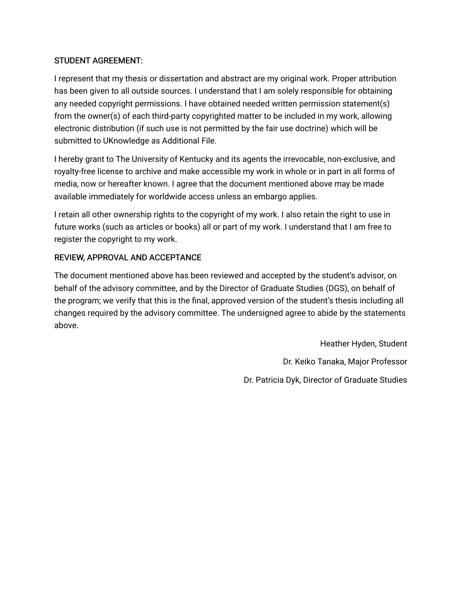# STUDENT AGREEMENT:

I represent that my thesis or dissertation and abstract are my original work. Proper attribution has been given to all outside sources. I understand that I am solely responsible for obtaining any needed copyright permissions. I have obtained needed written permission statement(s) from the owner(s) of each third-party copyrighted matter to be included in my work, allowing electronic distribution (if such use is not permitted by the fair use doctrine) which will be submitted to UKnowledge as Additional File.

I hereby grant to The University of Kentucky and its agents the irrevocable, non-exclusive, and royalty-free license to archive and make accessible my work in whole or in part in all forms of media, now or hereafter known. I agree that the document mentioned above may be made available immediately for worldwide access unless an embargo applies.

I retain all other ownership rights to the copyright of my work. I also retain the right to use in future works (such as articles or books) all or part of my work. I understand that I am free to register the copyright to my work.

# REVIEW, APPROVAL AND ACCEPTANCE

The document mentioned above has been reviewed and accepted by the student's advisor, on behalf of the advisory committee, and by the Director of Graduate Studies (DGS), on behalf of the program; we verify that this is the final, approved version of the student's thesis including all changes required by the advisory committee. The undersigned agree to abide by the statements above.

> Heather Hyden, Student Dr. Keiko Tanaka, Major Professor Dr. Patricia Dyk, Director of Graduate Studies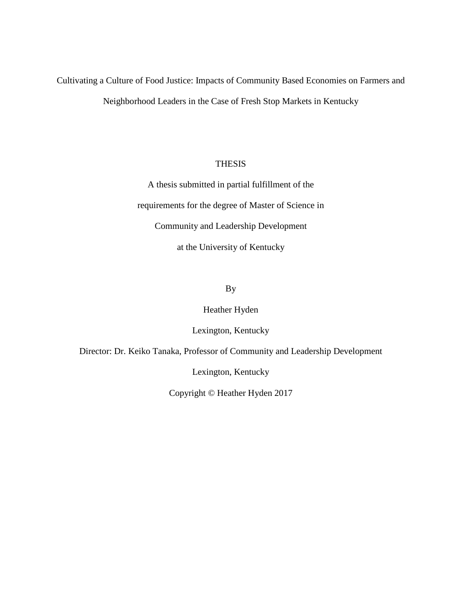Cultivating a Culture of Food Justice: Impacts of Community Based Economies on Farmers and Neighborhood Leaders in the Case of Fresh Stop Markets in Kentucky

## **THESIS**

A thesis submitted in partial fulfillment of the requirements for the degree of Master of Science in Community and Leadership Development at the University of Kentucky

# By

## Heather Hyden

# Lexington, Kentucky

Director: Dr. Keiko Tanaka, Professor of Community and Leadership Development

Lexington, Kentucky

Copyright © Heather Hyden 2017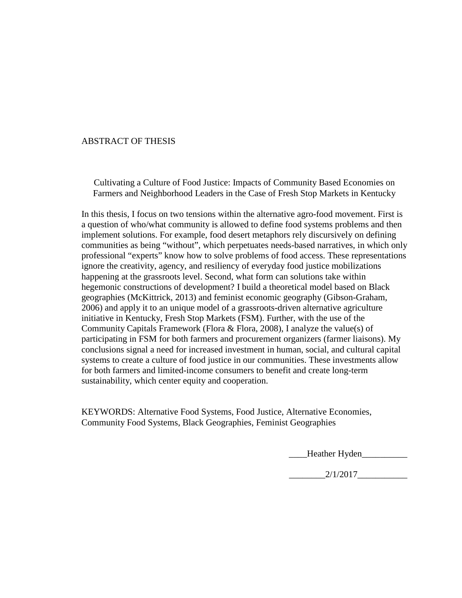## ABSTRACT OF THESIS

Cultivating a Culture of Food Justice: Impacts of Community Based Economies on Farmers and Neighborhood Leaders in the Case of Fresh Stop Markets in Kentucky

In this thesis, I focus on two tensions within the alternative agro-food movement. First is a question of who/what community is allowed to define food systems problems and then implement solutions. For example, food desert metaphors rely discursively on defining communities as being "without", which perpetuates needs-based narratives, in which only professional "experts" know how to solve problems of food access. These representations ignore the creativity, agency, and resiliency of everyday food justice mobilizations happening at the grassroots level. Second, what form can solutions take within hegemonic constructions of development? I build a theoretical model based on Black geographies (McKittrick, 2013) and feminist economic geography (Gibson-Graham, 2006) and apply it to an unique model of a grassroots-driven alternative agriculture initiative in Kentucky, Fresh Stop Markets (FSM). Further, with the use of the Community Capitals Framework (Flora & Flora, 2008), I analyze the value(s) of participating in FSM for both farmers and procurement organizers (farmer liaisons). My conclusions signal a need for increased investment in human, social, and cultural capital systems to create a culture of food justice in our communities. These investments allow for both farmers and limited-income consumers to benefit and create long-term sustainability, which center equity and cooperation.

KEYWORDS: Alternative Food Systems, Food Justice, Alternative Economies, Community Food Systems, Black Geographies, Feminist Geographies

Heather Hyden

 $2/1/2017$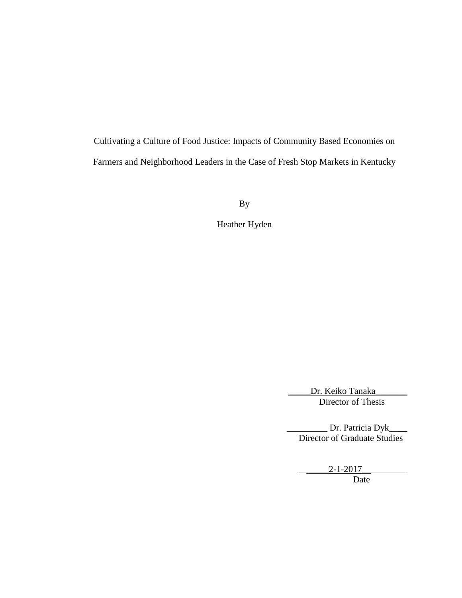Cultivating a Culture of Food Justice: Impacts of Community Based Economies on Farmers and Neighborhood Leaders in the Case of Fresh Stop Markets in Kentucky

By

Heather Hyden

Dr. Keiko Tanaka Director of Thesis

Dr. Patricia Dyk Director of Graduate Studies

> $2 - 1 - 2017$ Date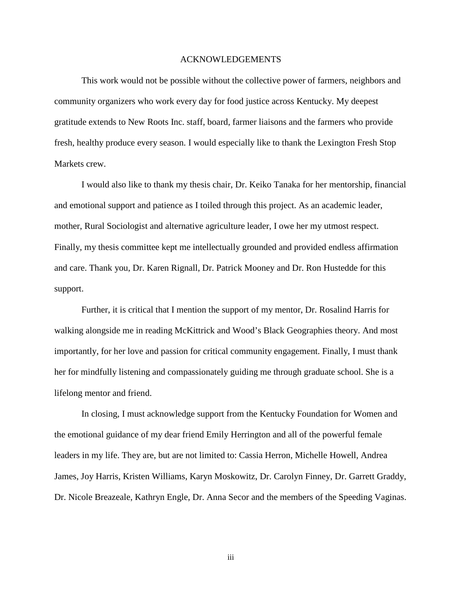#### ACKNOWLEDGEMENTS

This work would not be possible without the collective power of farmers, neighbors and community organizers who work every day for food justice across Kentucky. My deepest gratitude extends to New Roots Inc. staff, board, farmer liaisons and the farmers who provide fresh, healthy produce every season. I would especially like to thank the Lexington Fresh Stop Markets crew.

I would also like to thank my thesis chair, Dr. Keiko Tanaka for her mentorship, financial and emotional support and patience as I toiled through this project. As an academic leader, mother, Rural Sociologist and alternative agriculture leader, I owe her my utmost respect. Finally, my thesis committee kept me intellectually grounded and provided endless affirmation and care. Thank you, Dr. Karen Rignall, Dr. Patrick Mooney and Dr. Ron Hustedde for this support.

Further, it is critical that I mention the support of my mentor, Dr. Rosalind Harris for walking alongside me in reading McKittrick and Wood's Black Geographies theory. And most importantly, for her love and passion for critical community engagement. Finally, I must thank her for mindfully listening and compassionately guiding me through graduate school. She is a lifelong mentor and friend.

In closing, I must acknowledge support from the Kentucky Foundation for Women and the emotional guidance of my dear friend Emily Herrington and all of the powerful female leaders in my life. They are, but are not limited to: Cassia Herron, Michelle Howell, Andrea James, Joy Harris, Kristen Williams, Karyn Moskowitz, Dr. Carolyn Finney, Dr. Garrett Graddy, Dr. Nicole Breazeale, Kathryn Engle, Dr. Anna Secor and the members of the Speeding Vaginas.

iii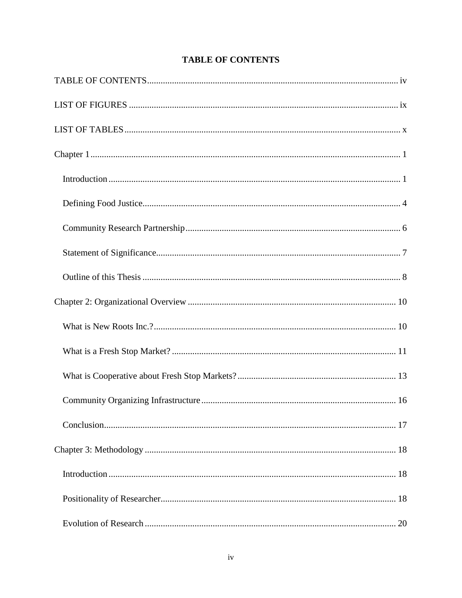<span id="page-6-0"></span>

# **TABLE OF CONTENTS**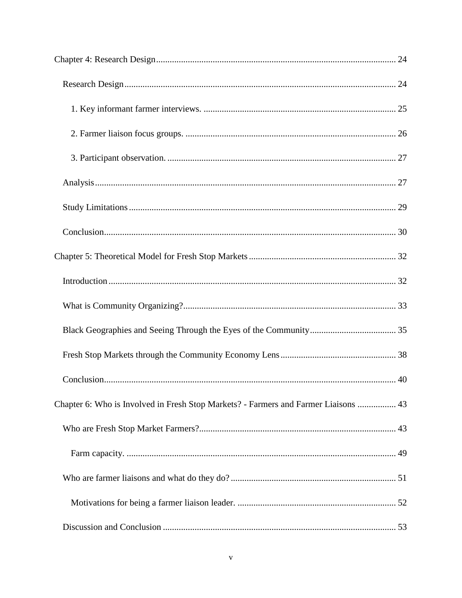| Chapter 6: Who is Involved in Fresh Stop Markets? - Farmers and Farmer Liaisons  43 |  |
|-------------------------------------------------------------------------------------|--|
|                                                                                     |  |
|                                                                                     |  |
|                                                                                     |  |
|                                                                                     |  |
|                                                                                     |  |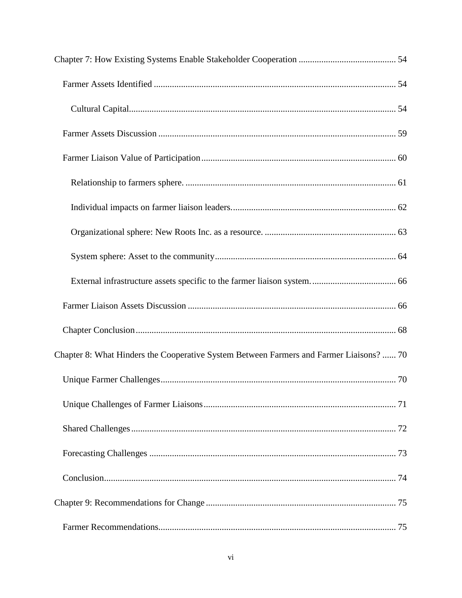| Chapter 8: What Hinders the Cooperative System Between Farmers and Farmer Liaisons?  70 |  |
|-----------------------------------------------------------------------------------------|--|
|                                                                                         |  |
|                                                                                         |  |
|                                                                                         |  |
|                                                                                         |  |
|                                                                                         |  |
|                                                                                         |  |
|                                                                                         |  |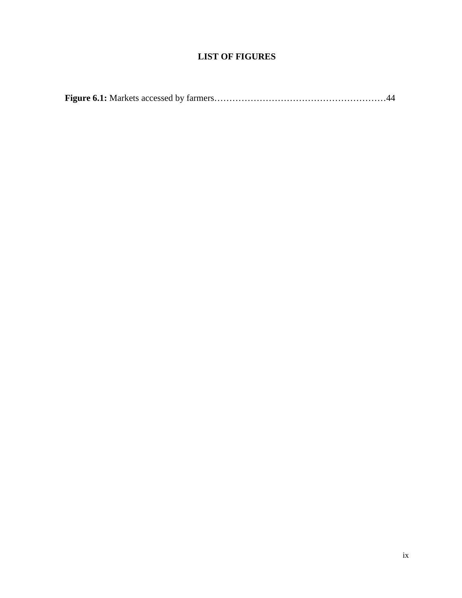# **LIST OF FIGURES**

<span id="page-10-0"></span>

|--|--|--|--|--|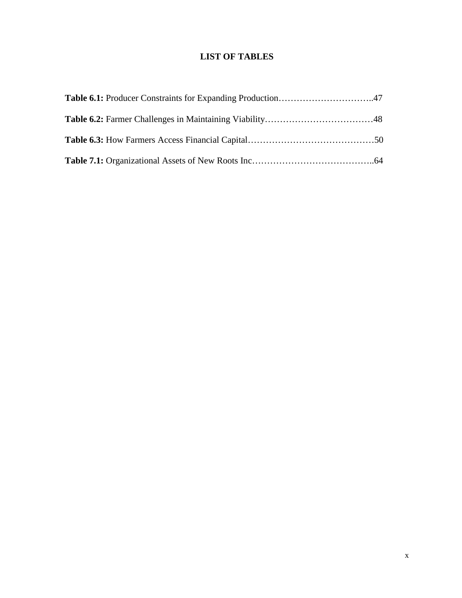# **LIST OF TABLES**

<span id="page-11-0"></span>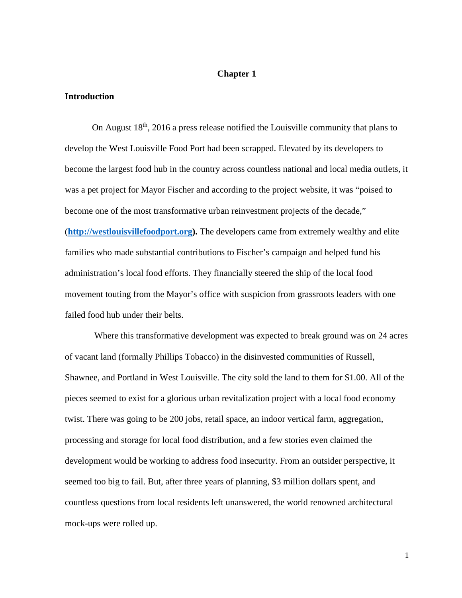#### **Chapter 1**

#### <span id="page-12-1"></span><span id="page-12-0"></span>**Introduction**

On August 18th, 2016 a press release notified the Louisville community that plans to develop the West Louisville Food Port had been scrapped. Elevated by its developers to become the largest food hub in the country across countless national and local media outlets, it was a pet project for Mayor Fischer and according to the project website, it was "poised to become one of the most transformative urban reinvestment projects of the decade," (**[http://westlouisvillefoodport.org\)](http://westlouisvillefoodport.org/).** The developers came from extremely wealthy and elite families who made substantial contributions to Fischer's campaign and helped fund his administration's local food efforts. They financially steered the ship of the local food movement touting from the Mayor's office with suspicion from grassroots leaders with one failed food hub under their belts.

Where this transformative development was expected to break ground was on 24 acres of vacant land (formally Phillips Tobacco) in the disinvested communities of Russell, Shawnee, and Portland in West Louisville. The city sold the land to them for \$1.00. All of the pieces seemed to exist for a glorious urban revitalization project with a local food economy twist. There was going to be 200 jobs, retail space, an indoor vertical farm, aggregation, processing and storage for local food distribution, and a few stories even claimed the development would be working to address food insecurity. From an outsider perspective, it seemed too big to fail. But, after three years of planning, \$3 million dollars spent, and countless questions from local residents left unanswered, the world renowned architectural mock-ups were rolled up.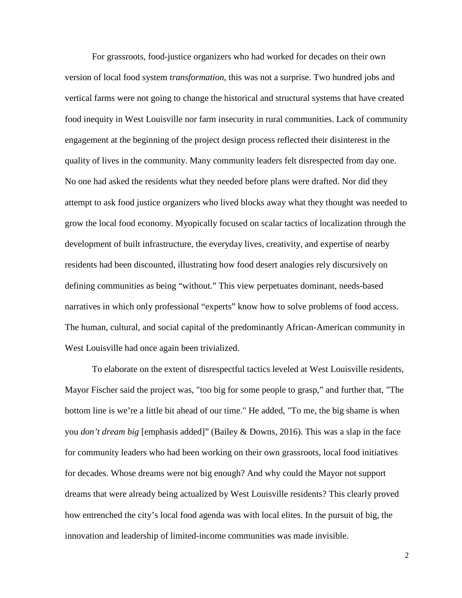For grassroots, food-justice organizers who had worked for decades on their own version of local food system *transformation*, this was not a surprise. Two hundred jobs and vertical farms were not going to change the historical and structural systems that have created food inequity in West Louisville nor farm insecurity in rural communities. Lack of community engagement at the beginning of the project design process reflected their disinterest in the quality of lives in the community. Many community leaders felt disrespected from day one. No one had asked the residents what they needed before plans were drafted. Nor did they attempt to ask food justice organizers who lived blocks away what they thought was needed to grow the local food economy. Myopically focused on scalar tactics of localization through the development of built infrastructure, the everyday lives, creativity, and expertise of nearby residents had been discounted, illustrating how food desert analogies rely discursively on defining communities as being "without." This view perpetuates dominant, needs-based narratives in which only professional "experts" know how to solve problems of food access. The human, cultural, and social capital of the predominantly African-American community in West Louisville had once again been trivialized.

To elaborate on the extent of disrespectful tactics leveled at West Louisville residents, Mayor Fischer said the project was, "too big for some people to grasp," and further that, "The bottom line is we're a little bit ahead of our time." He added, "To me, the big shame is when you *don't dream big* [emphasis added]" (Bailey & Downs, 2016). This was a slap in the face for community leaders who had been working on their own grassroots, local food initiatives for decades. Whose dreams were not big enough? And why could the Mayor not support dreams that were already being actualized by West Louisville residents? This clearly proved how entrenched the city's local food agenda was with local elites. In the pursuit of big, the innovation and leadership of limited-income communities was made invisible.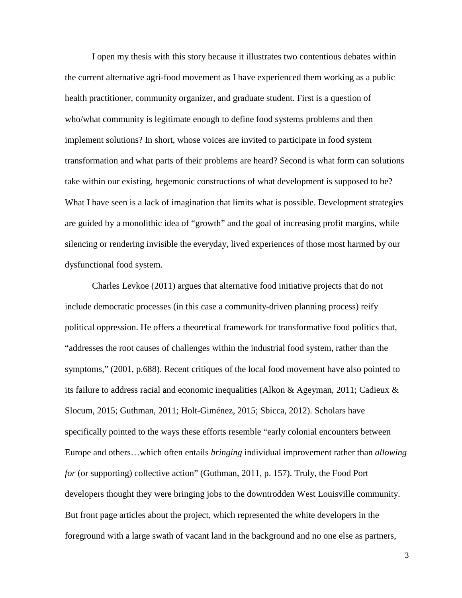I open my thesis with this story because it illustrates two contentious debates within the current alternative agri-food movement as I have experienced them working as a public health practitioner, community organizer, and graduate student. First is a question of who/what community is legitimate enough to define food systems problems and then implement solutions? In short, whose voices are invited to participate in food system transformation and what parts of their problems are heard? Second is what form can solutions take within our existing, hegemonic constructions of what development is supposed to be? What I have seen is a lack of imagination that limits what is possible. Development strategies are guided by a monolithic idea of "growth" and the goal of increasing profit margins, while silencing or rendering invisible the everyday, lived experiences of those most harmed by our dysfunctional food system.

Charles Levkoe (2011) argues that alternative food initiative projects that do not include democratic processes (in this case a community-driven planning process) reify political oppression. He offers a theoretical framework for transformative food politics that, "addresses the root causes of challenges within the industrial food system, rather than the symptoms," (2001, p.688). Recent critiques of the local food movement have also pointed to its failure to address racial and economic inequalities (Alkon & Ageyman, 2011; Cadieux & Slocum, 2015; Guthman, 2011; Holt-Giménez, 2015; Sbicca, 2012). Scholars have specifically pointed to the ways these efforts resemble "early colonial encounters between Europe and others…which often entails *bringing* individual improvement rather than *allowing for* (or supporting) collective action" (Guthman, 2011, p. 157). Truly, the Food Port developers thought they were bringing jobs to the downtrodden West Louisville community. But front page articles about the project, which represented the white developers in the foreground with a large swath of vacant land in the background and no one else as partners,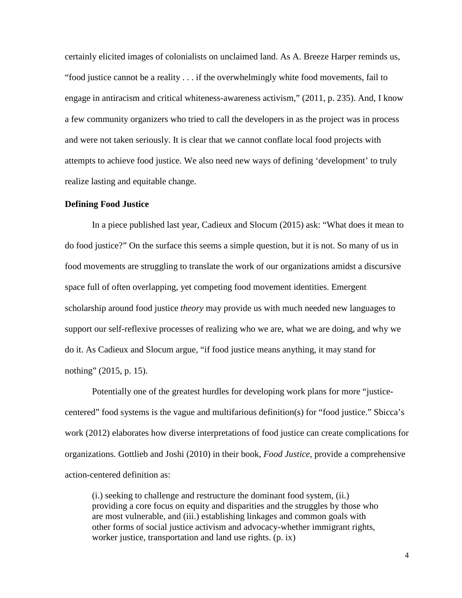certainly elicited images of colonialists on unclaimed land. As A. Breeze Harper reminds us, "food justice cannot be a reality . . . if the overwhelmingly white food movements, fail to engage in antiracism and critical whiteness-awareness activism," (2011, p. 235). And, I know a few community organizers who tried to call the developers in as the project was in process and were not taken seriously. It is clear that we cannot conflate local food projects with attempts to achieve food justice. We also need new ways of defining 'development' to truly realize lasting and equitable change.

#### <span id="page-15-0"></span>**Defining Food Justice**

In a piece published last year, Cadieux and Slocum (2015) ask: "What does it mean to do food justice?" On the surface this seems a simple question, but it is not. So many of us in food movements are struggling to translate the work of our organizations amidst a discursive space full of often overlapping, yet competing food movement identities. Emergent scholarship around food justice *theory* may provide us with much needed new languages to support our self-reflexive processes of realizing who we are, what we are doing, and why we do it. As Cadieux and Slocum argue, "if food justice means anything, it may stand for nothing" (2015, p. 15).

Potentially one of the greatest hurdles for developing work plans for more "justicecentered" food systems is the vague and multifarious definition(s) for "food justice." Sbicca's work (2012) elaborates how diverse interpretations of food justice can create complications for organizations. Gottlieb and Joshi (2010) in their book, *Food Justice,* provide a comprehensive action-centered definition as:

(i.) seeking to challenge and restructure the dominant food system, (ii.) providing a core focus on equity and disparities and the struggles by those who are most vulnerable, and (iii.) establishing linkages and common goals with other forms of social justice activism and advocacy-whether immigrant rights, worker justice, transportation and land use rights. (p. ix)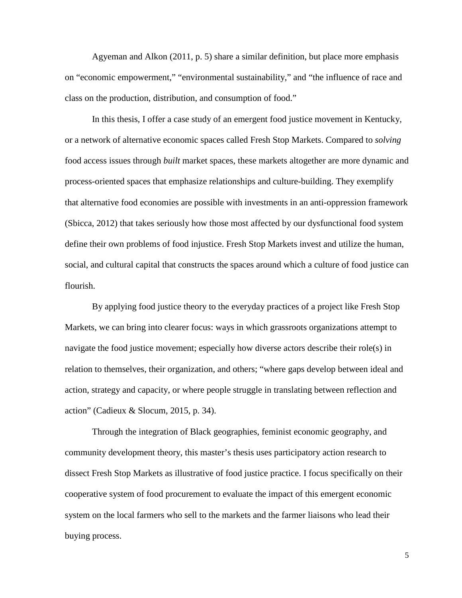Agyeman and Alkon (2011, p. 5) share a similar definition, but place more emphasis on "economic empowerment," "environmental sustainability," and "the influence of race and class on the production, distribution, and consumption of food."

In this thesis, I offer a case study of an emergent food justice movement in Kentucky, or a network of alternative economic spaces called Fresh Stop Markets. Compared to *solving* food access issues through *built* market spaces, these markets altogether are more dynamic and process-oriented spaces that emphasize relationships and culture-building. They exemplify that alternative food economies are possible with investments in an anti-oppression framework (Sbicca, 2012) that takes seriously how those most affected by our dysfunctional food system define their own problems of food injustice. Fresh Stop Markets invest and utilize the human, social, and cultural capital that constructs the spaces around which a culture of food justice can flourish.

By applying food justice theory to the everyday practices of a project like Fresh Stop Markets, we can bring into clearer focus: ways in which grassroots organizations attempt to navigate the food justice movement; especially how diverse actors describe their role(s) in relation to themselves, their organization, and others; "where gaps develop between ideal and action, strategy and capacity, or where people struggle in translating between reflection and action" (Cadieux & Slocum, 2015, p. 34).

Through the integration of Black geographies, feminist economic geography, and community development theory, this master's thesis uses participatory action research to dissect Fresh Stop Markets as illustrative of food justice practice. I focus specifically on their cooperative system of food procurement to evaluate the impact of this emergent economic system on the local farmers who sell to the markets and the farmer liaisons who lead their buying process.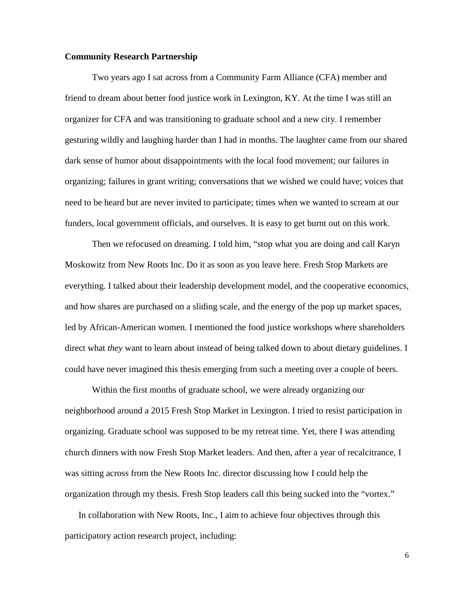#### <span id="page-17-0"></span>**Community Research Partnership**

Two years ago I sat across from a Community Farm Alliance (CFA) member and friend to dream about better food justice work in Lexington, KY. At the time I was still an organizer for CFA and was transitioning to graduate school and a new city. I remember gesturing wildly and laughing harder than I had in months. The laughter came from our shared dark sense of humor about disappointments with the local food movement; our failures in organizing; failures in grant writing; conversations that we wished we could have; voices that need to be heard but are never invited to participate; times when we wanted to scream at our funders, local government officials, and ourselves. It is easy to get burnt out on this work.

Then we refocused on dreaming. I told him, "stop what you are doing and call Karyn Moskowitz from New Roots Inc. Do it as soon as you leave here. Fresh Stop Markets are everything. I talked about their leadership development model, and the cooperative economics, and how shares are purchased on a sliding scale, and the energy of the pop up market spaces, led by African-American women. I mentioned the food justice workshops where shareholders direct what *they* want to learn about instead of being talked down to about dietary guidelines. I could have never imagined this thesis emerging from such a meeting over a couple of beers.

Within the first months of graduate school, we were already organizing our neighborhood around a 2015 Fresh Stop Market in Lexington. I tried to resist participation in organizing. Graduate school was supposed to be my retreat time. Yet, there I was attending church dinners with now Fresh Stop Market leaders. And then, after a year of recalcitrance, I was sitting across from the New Roots Inc. director discussing how I could help the organization through my thesis. Fresh Stop leaders call this being sucked into the "vortex."

In collaboration with New Roots, Inc., I aim to achieve four objectives through this participatory action research project, including: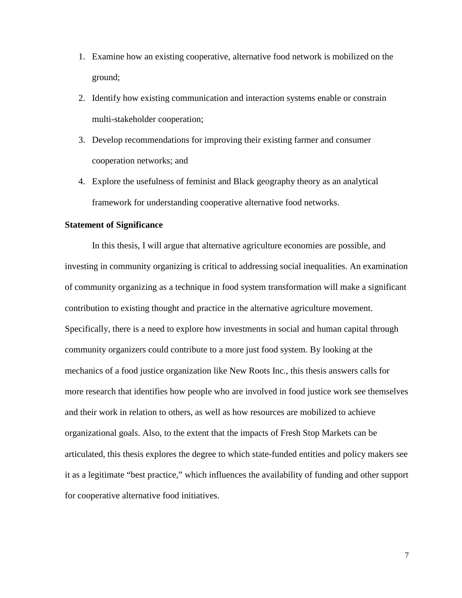- 1. Examine how an existing cooperative, alternative food network is mobilized on the ground;
- 2. Identify how existing communication and interaction systems enable or constrain multi-stakeholder cooperation;
- 3. Develop recommendations for improving their existing farmer and consumer cooperation networks; and
- 4. Explore the usefulness of feminist and Black geography theory as an analytical framework for understanding cooperative alternative food networks.

#### <span id="page-18-0"></span>**Statement of Significance**

In this thesis, I will argue that alternative agriculture economies are possible, and investing in community organizing is critical to addressing social inequalities. An examination of community organizing as a technique in food system transformation will make a significant contribution to existing thought and practice in the alternative agriculture movement. Specifically, there is a need to explore how investments in social and human capital through community organizers could contribute to a more just food system. By looking at the mechanics of a food justice organization like New Roots Inc., this thesis answers calls for more research that identifies how people who are involved in food justice work see themselves and their work in relation to others, as well as how resources are mobilized to achieve organizational goals. Also, to the extent that the impacts of Fresh Stop Markets can be articulated, this thesis explores the degree to which state-funded entities and policy makers see it as a legitimate "best practice," which influences the availability of funding and other support for cooperative alternative food initiatives.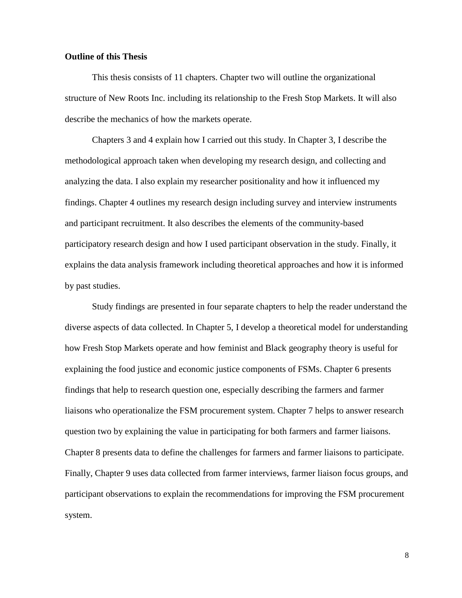#### <span id="page-19-0"></span>**Outline of this Thesis**

This thesis consists of 11 chapters. Chapter two will outline the organizational structure of New Roots Inc. including its relationship to the Fresh Stop Markets. It will also describe the mechanics of how the markets operate.

Chapters 3 and 4 explain how I carried out this study. In Chapter 3, I describe the methodological approach taken when developing my research design, and collecting and analyzing the data. I also explain my researcher positionality and how it influenced my findings. Chapter 4 outlines my research design including survey and interview instruments and participant recruitment. It also describes the elements of the community-based participatory research design and how I used participant observation in the study. Finally, it explains the data analysis framework including theoretical approaches and how it is informed by past studies.

Study findings are presented in four separate chapters to help the reader understand the diverse aspects of data collected. In Chapter 5, I develop a theoretical model for understanding how Fresh Stop Markets operate and how feminist and Black geography theory is useful for explaining the food justice and economic justice components of FSMs. Chapter 6 presents findings that help to research question one, especially describing the farmers and farmer liaisons who operationalize the FSM procurement system. Chapter 7 helps to answer research question two by explaining the value in participating for both farmers and farmer liaisons. Chapter 8 presents data to define the challenges for farmers and farmer liaisons to participate. Finally, Chapter 9 uses data collected from farmer interviews, farmer liaison focus groups, and participant observations to explain the recommendations for improving the FSM procurement system.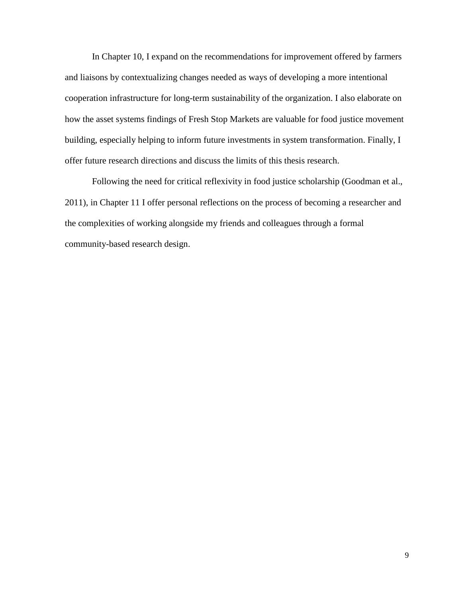In Chapter 10, I expand on the recommendations for improvement offered by farmers and liaisons by contextualizing changes needed as ways of developing a more intentional cooperation infrastructure for long-term sustainability of the organization. I also elaborate on how the asset systems findings of Fresh Stop Markets are valuable for food justice movement building, especially helping to inform future investments in system transformation. Finally, I offer future research directions and discuss the limits of this thesis research.

Following the need for critical reflexivity in food justice scholarship (Goodman et al., 2011), in Chapter 11 I offer personal reflections on the process of becoming a researcher and the complexities of working alongside my friends and colleagues through a formal community-based research design.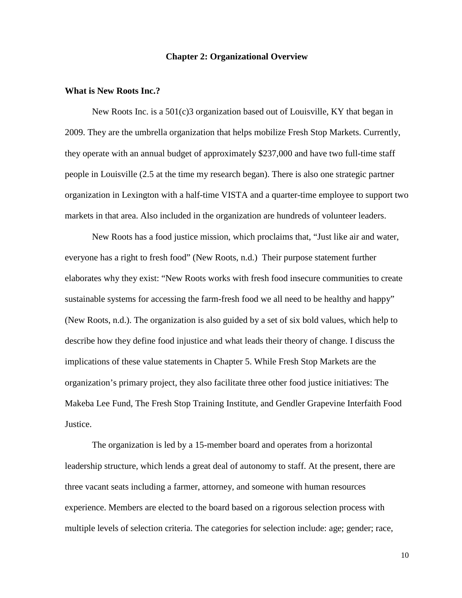#### **Chapter 2: Organizational Overview**

#### <span id="page-21-1"></span><span id="page-21-0"></span>**What is New Roots Inc.?**

New Roots Inc. is a 501(c)3 organization based out of Louisville, KY that began in 2009. They are the umbrella organization that helps mobilize Fresh Stop Markets. Currently, they operate with an annual budget of approximately \$237,000 and have two full-time staff people in Louisville (2.5 at the time my research began). There is also one strategic partner organization in Lexington with a half-time VISTA and a quarter-time employee to support two markets in that area. Also included in the organization are hundreds of volunteer leaders.

New Roots has a food justice mission, which proclaims that, "Just like air and water, everyone has a right to fresh food" (New Roots, n.d.) Their purpose statement further elaborates why they exist: "New Roots works with fresh food insecure communities to create sustainable systems for accessing the farm-fresh food we all need to be healthy and happy" (New Roots, n.d.). The organization is also guided by a set of six bold values, which help to describe how they define food injustice and what leads their theory of change. I discuss the implications of these value statements in Chapter 5. While Fresh Stop Markets are the organization's primary project, they also facilitate three other food justice initiatives: The Makeba Lee Fund, The Fresh Stop Training Institute, and Gendler Grapevine Interfaith Food Justice.

The organization is led by a 15-member board and operates from a horizontal leadership structure, which lends a great deal of autonomy to staff. At the present, there are three vacant seats including a farmer, attorney, and someone with human resources experience. Members are elected to the board based on a rigorous selection process with multiple levels of selection criteria. The categories for selection include: age; gender; race,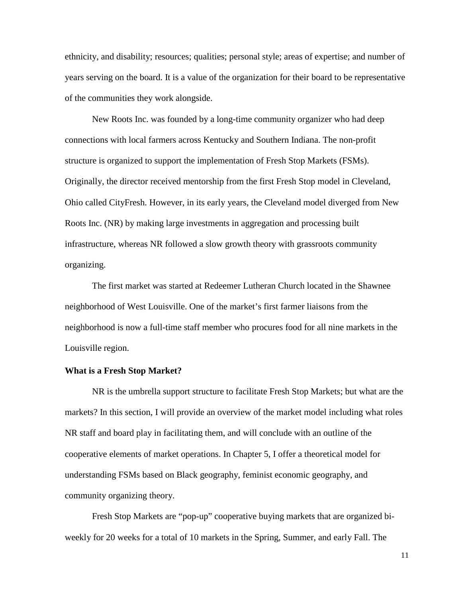ethnicity, and disability; resources; qualities; personal style; areas of expertise; and number of years serving on the board. It is a value of the organization for their board to be representative of the communities they work alongside.

New Roots Inc. was founded by a long-time community organizer who had deep connections with local farmers across Kentucky and Southern Indiana. The non-profit structure is organized to support the implementation of Fresh Stop Markets (FSMs). Originally, the director received mentorship from the first Fresh Stop model in Cleveland, Ohio called CityFresh. However, in its early years, the Cleveland model diverged from New Roots Inc. (NR) by making large investments in aggregation and processing built infrastructure, whereas NR followed a slow growth theory with grassroots community organizing.

The first market was started at Redeemer Lutheran Church located in the Shawnee neighborhood of West Louisville. One of the market's first farmer liaisons from the neighborhood is now a full-time staff member who procures food for all nine markets in the Louisville region.

#### <span id="page-22-0"></span>**What is a Fresh Stop Market?**

NR is the umbrella support structure to facilitate Fresh Stop Markets; but what are the markets? In this section, I will provide an overview of the market model including what roles NR staff and board play in facilitating them, and will conclude with an outline of the cooperative elements of market operations. In Chapter 5, I offer a theoretical model for understanding FSMs based on Black geography, feminist economic geography, and community organizing theory.

Fresh Stop Markets are "pop-up" cooperative buying markets that are organized biweekly for 20 weeks for a total of 10 markets in the Spring, Summer, and early Fall. The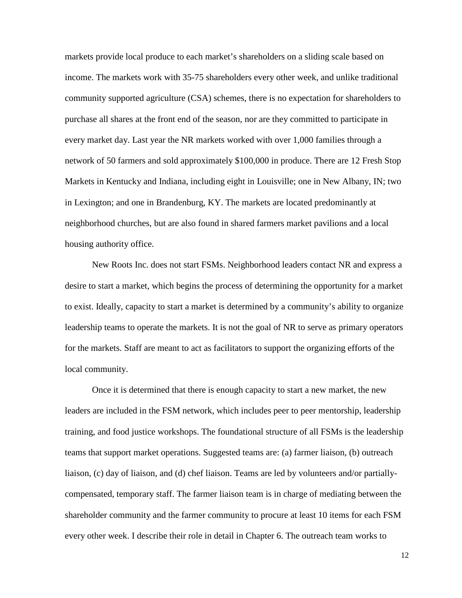markets provide local produce to each market's shareholders on a sliding scale based on income. The markets work with 35-75 shareholders every other week, and unlike traditional community supported agriculture (CSA) schemes, there is no expectation for shareholders to purchase all shares at the front end of the season, nor are they committed to participate in every market day. Last year the NR markets worked with over 1,000 families through a network of 50 farmers and sold approximately \$100,000 in produce. There are 12 Fresh Stop Markets in Kentucky and Indiana, including eight in Louisville; one in New Albany, IN; two in Lexington; and one in Brandenburg, KY. The markets are located predominantly at neighborhood churches, but are also found in shared farmers market pavilions and a local housing authority office.

New Roots Inc. does not start FSMs. Neighborhood leaders contact NR and express a desire to start a market, which begins the process of determining the opportunity for a market to exist. Ideally, capacity to start a market is determined by a community's ability to organize leadership teams to operate the markets. It is not the goal of NR to serve as primary operators for the markets. Staff are meant to act as facilitators to support the organizing efforts of the local community.

Once it is determined that there is enough capacity to start a new market, the new leaders are included in the FSM network, which includes peer to peer mentorship, leadership training, and food justice workshops. The foundational structure of all FSMs is the leadership teams that support market operations. Suggested teams are: (a) farmer liaison, (b) outreach liaison, (c) day of liaison, and (d) chef liaison. Teams are led by volunteers and/or partiallycompensated, temporary staff. The farmer liaison team is in charge of mediating between the shareholder community and the farmer community to procure at least 10 items for each FSM every other week. I describe their role in detail in Chapter 6. The outreach team works to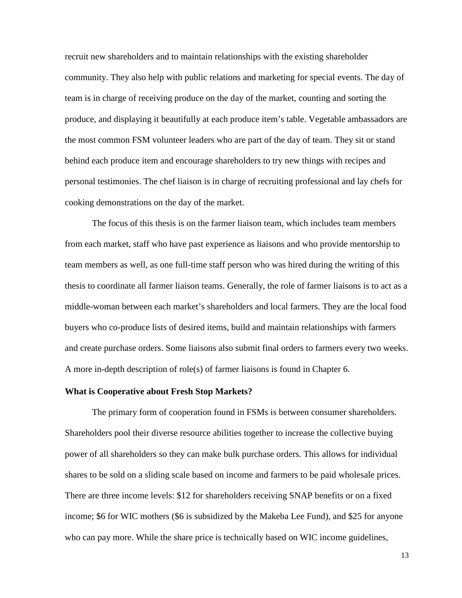recruit new shareholders and to maintain relationships with the existing shareholder community. They also help with public relations and marketing for special events. The day of team is in charge of receiving produce on the day of the market, counting and sorting the produce, and displaying it beautifully at each produce item's table. Vegetable ambassadors are the most common FSM volunteer leaders who are part of the day of team. They sit or stand behind each produce item and encourage shareholders to try new things with recipes and personal testimonies. The chef liaison is in charge of recruiting professional and lay chefs for cooking demonstrations on the day of the market.

The focus of this thesis is on the farmer liaison team, which includes team members from each market, staff who have past experience as liaisons and who provide mentorship to team members as well, as one full-time staff person who was hired during the writing of this thesis to coordinate all farmer liaison teams. Generally, the role of farmer liaisons is to act as a middle-woman between each market's shareholders and local farmers. They are the local food buyers who co-produce lists of desired items, build and maintain relationships with farmers and create purchase orders. Some liaisons also submit final orders to farmers every two weeks. A more in-depth description of role(s) of farmer liaisons is found in Chapter 6.

#### <span id="page-24-0"></span>**What is Cooperative about Fresh Stop Markets?**

The primary form of cooperation found in FSMs is between consumer shareholders. Shareholders pool their diverse resource abilities together to increase the collective buying power of all shareholders so they can make bulk purchase orders. This allows for individual shares to be sold on a sliding scale based on income and farmers to be paid wholesale prices. There are three income levels: \$12 for shareholders receiving SNAP benefits or on a fixed income; \$6 for WIC mothers (\$6 is subsidized by the Makeba Lee Fund), and \$25 for anyone who can pay more. While the share price is technically based on WIC income guidelines,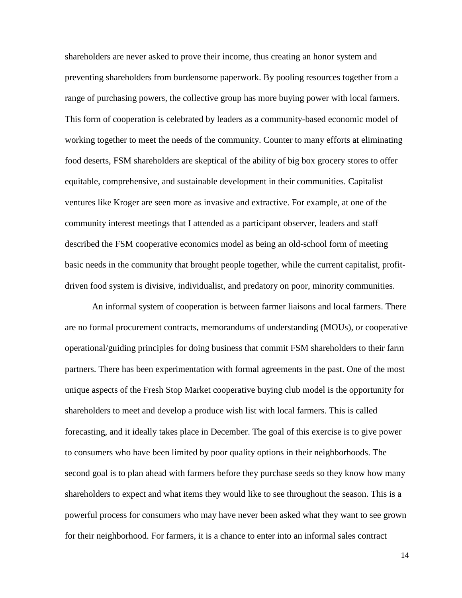shareholders are never asked to prove their income, thus creating an honor system and preventing shareholders from burdensome paperwork. By pooling resources together from a range of purchasing powers, the collective group has more buying power with local farmers. This form of cooperation is celebrated by leaders as a community-based economic model of working together to meet the needs of the community. Counter to many efforts at eliminating food deserts, FSM shareholders are skeptical of the ability of big box grocery stores to offer equitable, comprehensive, and sustainable development in their communities. Capitalist ventures like Kroger are seen more as invasive and extractive. For example, at one of the community interest meetings that I attended as a participant observer, leaders and staff described the FSM cooperative economics model as being an old-school form of meeting basic needs in the community that brought people together, while the current capitalist, profitdriven food system is divisive, individualist, and predatory on poor, minority communities.

An informal system of cooperation is between farmer liaisons and local farmers. There are no formal procurement contracts, memorandums of understanding (MOUs), or cooperative operational/guiding principles for doing business that commit FSM shareholders to their farm partners. There has been experimentation with formal agreements in the past. One of the most unique aspects of the Fresh Stop Market cooperative buying club model is the opportunity for shareholders to meet and develop a produce wish list with local farmers. This is called forecasting, and it ideally takes place in December. The goal of this exercise is to give power to consumers who have been limited by poor quality options in their neighborhoods. The second goal is to plan ahead with farmers before they purchase seeds so they know how many shareholders to expect and what items they would like to see throughout the season. This is a powerful process for consumers who may have never been asked what they want to see grown for their neighborhood. For farmers, it is a chance to enter into an informal sales contract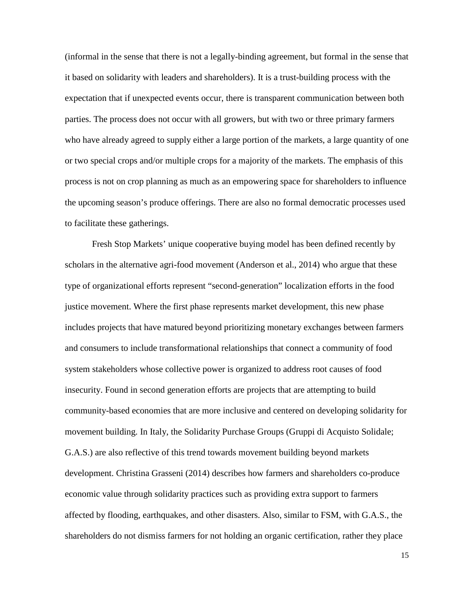(informal in the sense that there is not a legally-binding agreement, but formal in the sense that it based on solidarity with leaders and shareholders). It is a trust-building process with the expectation that if unexpected events occur, there is transparent communication between both parties. The process does not occur with all growers, but with two or three primary farmers who have already agreed to supply either a large portion of the markets, a large quantity of one or two special crops and/or multiple crops for a majority of the markets. The emphasis of this process is not on crop planning as much as an empowering space for shareholders to influence the upcoming season's produce offerings. There are also no formal democratic processes used to facilitate these gatherings.

Fresh Stop Markets' unique cooperative buying model has been defined recently by scholars in the alternative agri-food movement (Anderson et al., 2014) who argue that these type of organizational efforts represent "second-generation" localization efforts in the food justice movement. Where the first phase represents market development, this new phase includes projects that have matured beyond prioritizing monetary exchanges between farmers and consumers to include transformational relationships that connect a community of food system stakeholders whose collective power is organized to address root causes of food insecurity. Found in second generation efforts are projects that are attempting to build community-based economies that are more inclusive and centered on developing solidarity for movement building. In Italy, the Solidarity Purchase Groups (Gruppi di Acquisto Solidale; G.A.S.) are also reflective of this trend towards movement building beyond markets development. Christina Grasseni (2014) describes how farmers and shareholders co-produce economic value through solidarity practices such as providing extra support to farmers affected by flooding, earthquakes, and other disasters. Also, similar to FSM, with G.A.S., the shareholders do not dismiss farmers for not holding an organic certification, rather they place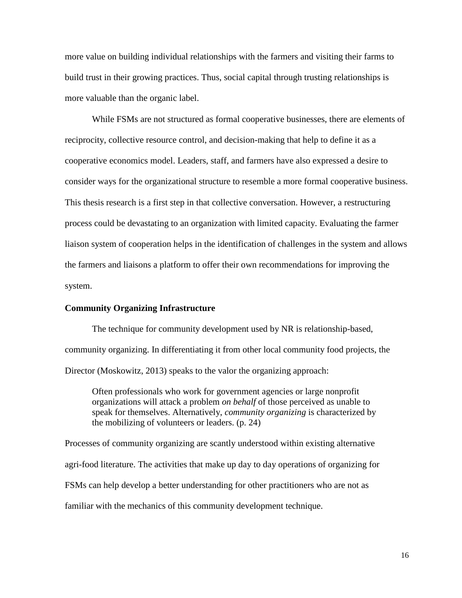more value on building individual relationships with the farmers and visiting their farms to build trust in their growing practices. Thus, social capital through trusting relationships is more valuable than the organic label.

While FSMs are not structured as formal cooperative businesses, there are elements of reciprocity, collective resource control, and decision-making that help to define it as a cooperative economics model. Leaders, staff, and farmers have also expressed a desire to consider ways for the organizational structure to resemble a more formal cooperative business. This thesis research is a first step in that collective conversation. However, a restructuring process could be devastating to an organization with limited capacity. Evaluating the farmer liaison system of cooperation helps in the identification of challenges in the system and allows the farmers and liaisons a platform to offer their own recommendations for improving the system.

#### <span id="page-27-0"></span>**Community Organizing Infrastructure**

The technique for community development used by NR is relationship-based, community organizing. In differentiating it from other local community food projects, the Director (Moskowitz, 2013) speaks to the valor the organizing approach:

Often professionals who work for government agencies or large nonprofit organizations will attack a problem *on behalf* of those perceived as unable to speak for themselves. Alternatively, *community organizing* is characterized by the mobilizing of volunteers or leaders. (p. 24)

Processes of community organizing are scantly understood within existing alternative agri-food literature. The activities that make up day to day operations of organizing for FSMs can help develop a better understanding for other practitioners who are not as familiar with the mechanics of this community development technique.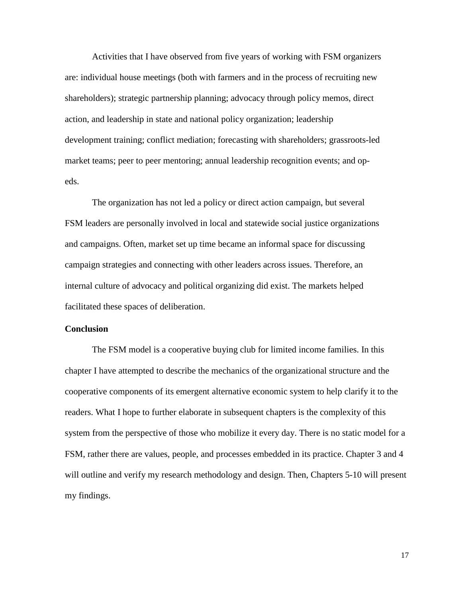Activities that I have observed from five years of working with FSM organizers are: individual house meetings (both with farmers and in the process of recruiting new shareholders); strategic partnership planning; advocacy through policy memos, direct action, and leadership in state and national policy organization; leadership development training; conflict mediation; forecasting with shareholders; grassroots-led market teams; peer to peer mentoring; annual leadership recognition events; and opeds.

The organization has not led a policy or direct action campaign, but several FSM leaders are personally involved in local and statewide social justice organizations and campaigns. Often, market set up time became an informal space for discussing campaign strategies and connecting with other leaders across issues. Therefore, an internal culture of advocacy and political organizing did exist. The markets helped facilitated these spaces of deliberation.

#### <span id="page-28-0"></span>**Conclusion**

The FSM model is a cooperative buying club for limited income families. In this chapter I have attempted to describe the mechanics of the organizational structure and the cooperative components of its emergent alternative economic system to help clarify it to the readers. What I hope to further elaborate in subsequent chapters is the complexity of this system from the perspective of those who mobilize it every day. There is no static model for a FSM, rather there are values, people, and processes embedded in its practice. Chapter 3 and 4 will outline and verify my research methodology and design. Then, Chapters 5-10 will present my findings.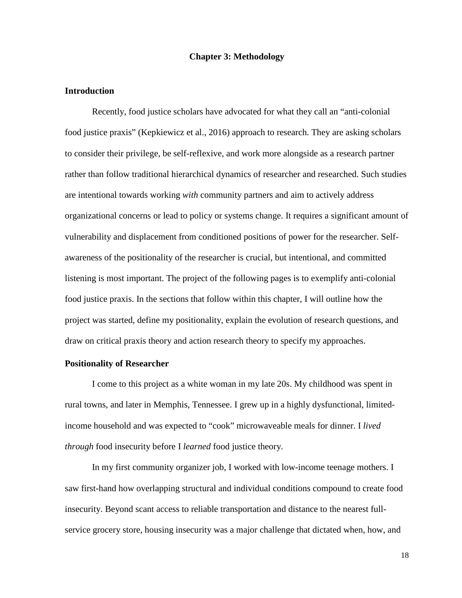#### **Chapter 3: Methodology**

#### <span id="page-29-1"></span><span id="page-29-0"></span>**Introduction**

Recently, food justice scholars have advocated for what they call an "anti-colonial food justice praxis" (Kepkiewicz et al., 2016) approach to research. They are asking scholars to consider their privilege, be self-reflexive, and work more alongside as a research partner rather than follow traditional hierarchical dynamics of researcher and researched. Such studies are intentional towards working *with* community partners and aim to actively address organizational concerns or lead to policy or systems change. It requires a significant amount of vulnerability and displacement from conditioned positions of power for the researcher. Selfawareness of the positionality of the researcher is crucial, but intentional, and committed listening is most important. The project of the following pages is to exemplify anti-colonial food justice praxis. In the sections that follow within this chapter, I will outline how the project was started, define my positionality, explain the evolution of research questions, and draw on critical praxis theory and action research theory to specify my approaches.

#### <span id="page-29-2"></span>**Positionality of Researcher**

I come to this project as a white woman in my late 20s. My childhood was spent in rural towns, and later in Memphis, Tennessee. I grew up in a highly dysfunctional, limitedincome household and was expected to "cook" microwaveable meals for dinner. I *lived through* food insecurity before I *learned* food justice theory.

In my first community organizer job, I worked with low-income teenage mothers. I saw first-hand how overlapping structural and individual conditions compound to create food insecurity. Beyond scant access to reliable transportation and distance to the nearest fullservice grocery store, housing insecurity was a major challenge that dictated when, how, and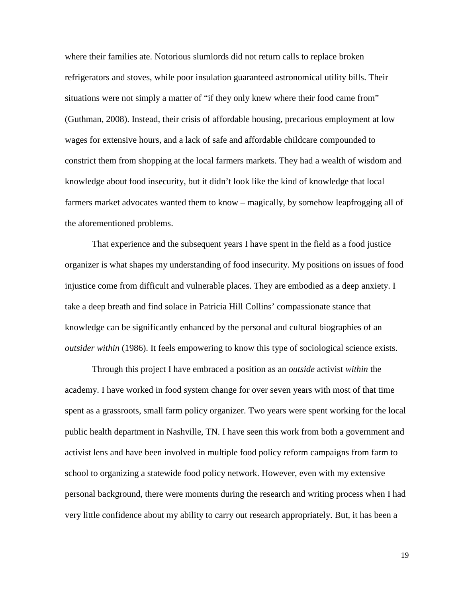where their families ate. Notorious slumlords did not return calls to replace broken refrigerators and stoves, while poor insulation guaranteed astronomical utility bills. Their situations were not simply a matter of "if they only knew where their food came from" (Guthman, 2008). Instead, their crisis of affordable housing, precarious employment at low wages for extensive hours, and a lack of safe and affordable childcare compounded to constrict them from shopping at the local farmers markets. They had a wealth of wisdom and knowledge about food insecurity, but it didn't look like the kind of knowledge that local farmers market advocates wanted them to know – magically, by somehow leapfrogging all of the aforementioned problems.

That experience and the subsequent years I have spent in the field as a food justice organizer is what shapes my understanding of food insecurity. My positions on issues of food injustice come from difficult and vulnerable places. They are embodied as a deep anxiety. I take a deep breath and find solace in Patricia Hill Collins' compassionate stance that knowledge can be significantly enhanced by the personal and cultural biographies of an *outsider within* (1986). It feels empowering to know this type of sociological science exists.

Through this project I have embraced a position as an *outside* activist *within* the academy. I have worked in food system change for over seven years with most of that time spent as a grassroots, small farm policy organizer. Two years were spent working for the local public health department in Nashville, TN. I have seen this work from both a government and activist lens and have been involved in multiple food policy reform campaigns from farm to school to organizing a statewide food policy network. However, even with my extensive personal background, there were moments during the research and writing process when I had very little confidence about my ability to carry out research appropriately. But, it has been a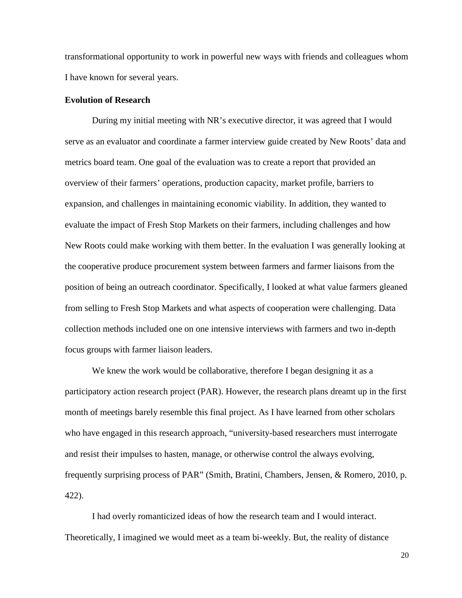transformational opportunity to work in powerful new ways with friends and colleagues whom I have known for several years.

#### <span id="page-31-0"></span>**Evolution of Research**

During my initial meeting with NR's executive director, it was agreed that I would serve as an evaluator and coordinate a farmer interview guide created by New Roots' data and metrics board team. One goal of the evaluation was to create a report that provided an overview of their farmers' operations, production capacity, market profile, barriers to expansion, and challenges in maintaining economic viability. In addition, they wanted to evaluate the impact of Fresh Stop Markets on their farmers, including challenges and how New Roots could make working with them better. In the evaluation I was generally looking at the cooperative produce procurement system between farmers and farmer liaisons from the position of being an outreach coordinator. Specifically, I looked at what value farmers gleaned from selling to Fresh Stop Markets and what aspects of cooperation were challenging. Data collection methods included one on one intensive interviews with farmers and two in-depth focus groups with farmer liaison leaders.

We knew the work would be collaborative, therefore I began designing it as a participatory action research project (PAR). However, the research plans dreamt up in the first month of meetings barely resemble this final project. As I have learned from other scholars who have engaged in this research approach, "university-based researchers must interrogate and resist their impulses to hasten, manage, or otherwise control the always evolving, frequently surprising process of PAR" (Smith, Bratini, Chambers, Jensen, & Romero, 2010, p. 422).

I had overly romanticized ideas of how the research team and I would interact. Theoretically, I imagined we would meet as a team bi-weekly. But, the reality of distance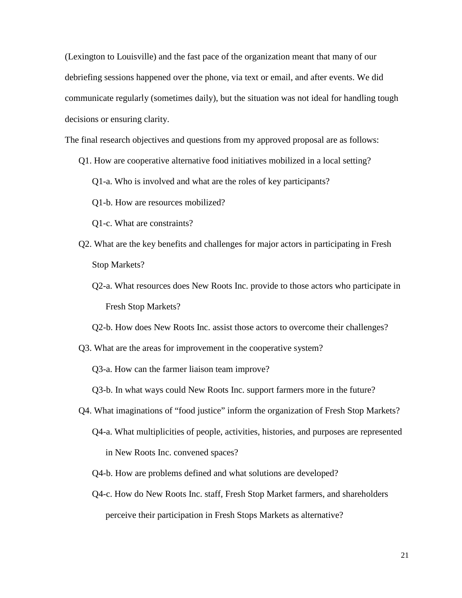(Lexington to Louisville) and the fast pace of the organization meant that many of our debriefing sessions happened over the phone, via text or email, and after events. We did communicate regularly (sometimes daily), but the situation was not ideal for handling tough decisions or ensuring clarity.

The final research objectives and questions from my approved proposal are as follows:

- Q1. How are cooperative alternative food initiatives mobilized in a local setting?
	- Q1-a. Who is involved and what are the roles of key participants?
	- Q1-b. How are resources mobilized?
	- Q1-c. What are constraints?
- Q2. What are the key benefits and challenges for major actors in participating in Fresh Stop Markets?
	- Q2-a. What resources does New Roots Inc. provide to those actors who participate in Fresh Stop Markets?
	- Q2-b. How does New Roots Inc. assist those actors to overcome their challenges?
- Q3. What are the areas for improvement in the cooperative system?

Q3-a. How can the farmer liaison team improve?

- Q3-b. In what ways could New Roots Inc. support farmers more in the future?
- Q4. What imaginations of "food justice" inform the organization of Fresh Stop Markets? Q4-a. What multiplicities of people, activities, histories, and purposes are represented in New Roots Inc. convened spaces?
	- Q4-b. How are problems defined and what solutions are developed?
	- Q4-c. How do New Roots Inc. staff, Fresh Stop Market farmers, and shareholders perceive their participation in Fresh Stops Markets as alternative?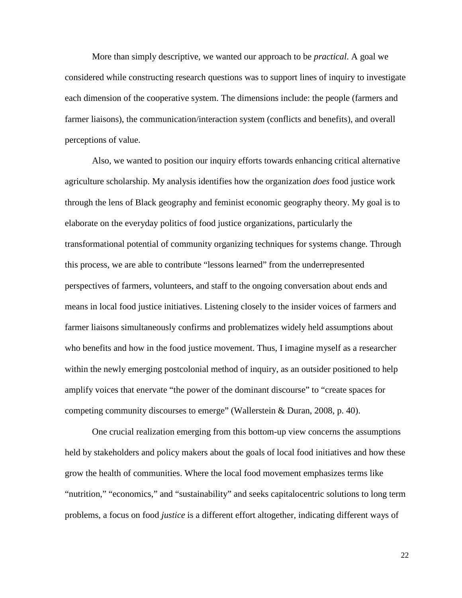More than simply descriptive, we wanted our approach to be *practical*. A goal we considered while constructing research questions was to support lines of inquiry to investigate each dimension of the cooperative system. The dimensions include: the people (farmers and farmer liaisons), the communication/interaction system (conflicts and benefits), and overall perceptions of value.

Also, we wanted to position our inquiry efforts towards enhancing critical alternative agriculture scholarship. My analysis identifies how the organization *does* food justice work through the lens of Black geography and feminist economic geography theory. My goal is to elaborate on the everyday politics of food justice organizations, particularly the transformational potential of community organizing techniques for systems change. Through this process, we are able to contribute "lessons learned" from the underrepresented perspectives of farmers, volunteers, and staff to the ongoing conversation about ends and means in local food justice initiatives. Listening closely to the insider voices of farmers and farmer liaisons simultaneously confirms and problematizes widely held assumptions about who benefits and how in the food justice movement. Thus, I imagine myself as a researcher within the newly emerging postcolonial method of inquiry, as an outsider positioned to help amplify voices that enervate "the power of the dominant discourse" to "create spaces for competing community discourses to emerge" (Wallerstein & Duran, 2008, p. 40).

One crucial realization emerging from this bottom-up view concerns the assumptions held by stakeholders and policy makers about the goals of local food initiatives and how these grow the health of communities. Where the local food movement emphasizes terms like "nutrition," "economics," and "sustainability" and seeks capitalocentric solutions to long term problems, a focus on food *justice* is a different effort altogether, indicating different ways of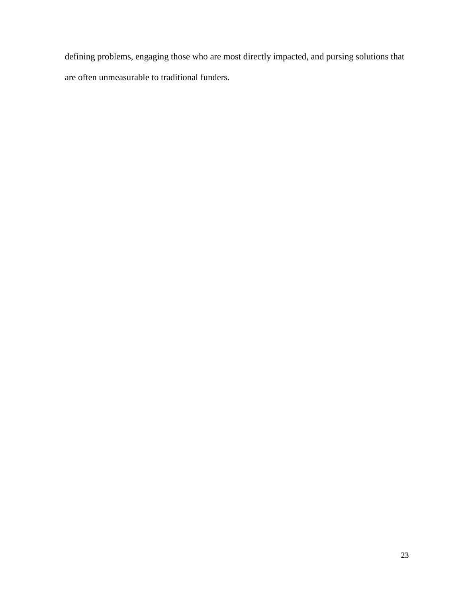defining problems, engaging those who are most directly impacted, and pursing solutions that are often unmeasurable to traditional funders.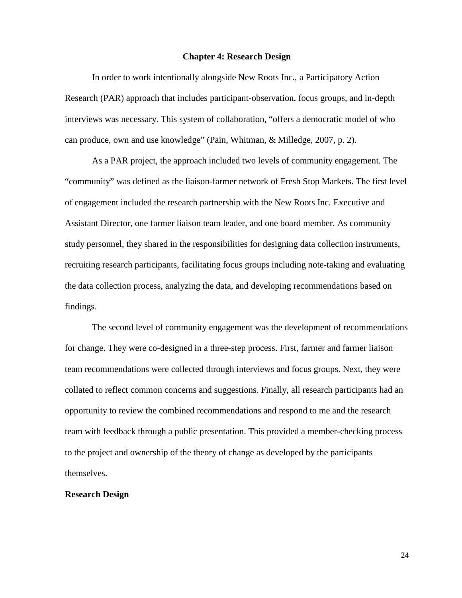#### **Chapter 4: Research Design**

<span id="page-35-0"></span>In order to work intentionally alongside New Roots Inc., a Participatory Action Research (PAR) approach that includes participant-observation, focus groups, and in-depth interviews was necessary. This system of collaboration, "offers a democratic model of who can produce, own and use knowledge" (Pain, Whitman, & Milledge, 2007, p. 2).

As a PAR project, the approach included two levels of community engagement. The "community" was defined as the liaison-farmer network of Fresh Stop Markets. The first level of engagement included the research partnership with the New Roots Inc. Executive and Assistant Director, one farmer liaison team leader, and one board member. As community study personnel, they shared in the responsibilities for designing data collection instruments, recruiting research participants, facilitating focus groups including note-taking and evaluating the data collection process, analyzing the data, and developing recommendations based on findings.

The second level of community engagement was the development of recommendations for change. They were co-designed in a three-step process. First, farmer and farmer liaison team recommendations were collected through interviews and focus groups. Next, they were collated to reflect common concerns and suggestions. Finally, all research participants had an opportunity to review the combined recommendations and respond to me and the research team with feedback through a public presentation. This provided a member-checking process to the project and ownership of the theory of change as developed by the participants themselves.

#### <span id="page-35-1"></span>**Research Design**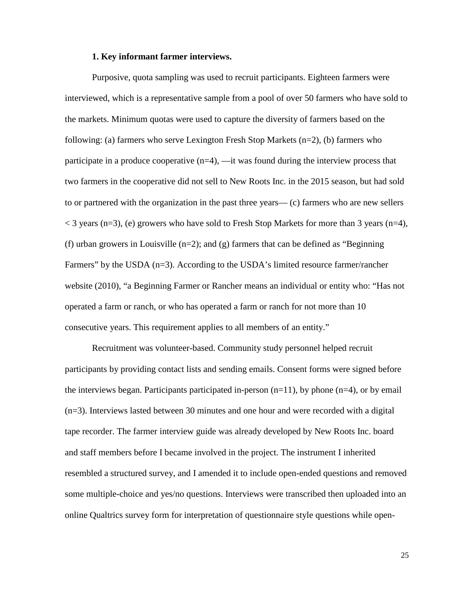#### **1. Key informant farmer interviews.**

Purposive, quota sampling was used to recruit participants. Eighteen farmers were interviewed, which is a representative sample from a pool of over 50 farmers who have sold to the markets. Minimum quotas were used to capture the diversity of farmers based on the following: (a) farmers who serve Lexington Fresh Stop Markets (n=2), (b) farmers who participate in a produce cooperative (n=4), —it was found during the interview process that two farmers in the cooperative did not sell to New Roots Inc. in the 2015 season, but had sold to or partnered with the organization in the past three years— (c) farmers who are new sellers  $<$  3 years (n=3), (e) growers who have sold to Fresh Stop Markets for more than 3 years (n=4), (f) urban growers in Louisville  $(n=2)$ ; and  $(g)$  farmers that can be defined as "Beginning" Farmers" by the USDA (n=3). According to the USDA's limited resource farmer/rancher website (2010), "a Beginning Farmer or Rancher means an individual or entity who: "Has not operated a farm or ranch, or who has operated a farm or ranch for not more than 10 consecutive years. This requirement applies to all members of an entity."

Recruitment was volunteer-based. Community study personnel helped recruit participants by providing contact lists and sending emails. Consent forms were signed before the interviews began. Participants participated in-person  $(n=11)$ , by phone  $(n=4)$ , or by email (n=3). Interviews lasted between 30 minutes and one hour and were recorded with a digital tape recorder. The farmer interview guide was already developed by New Roots Inc. board and staff members before I became involved in the project. The instrument I inherited resembled a structured survey, and I amended it to include open-ended questions and removed some multiple-choice and yes/no questions. Interviews were transcribed then uploaded into an online Qualtrics survey form for interpretation of questionnaire style questions while open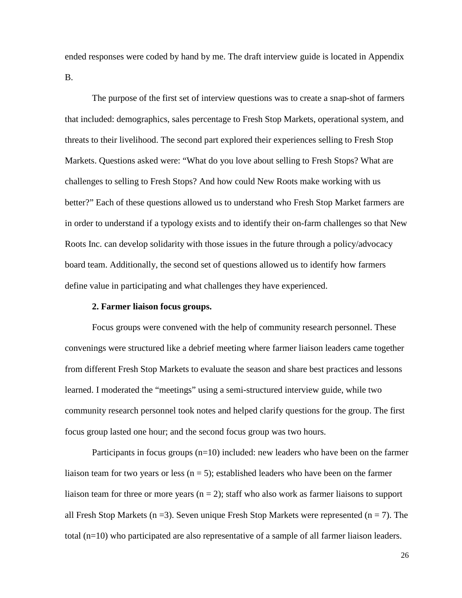ended responses were coded by hand by me. The draft interview guide is located in Appendix B.

The purpose of the first set of interview questions was to create a snap-shot of farmers that included: demographics, sales percentage to Fresh Stop Markets, operational system, and threats to their livelihood. The second part explored their experiences selling to Fresh Stop Markets. Questions asked were: "What do you love about selling to Fresh Stops? What are challenges to selling to Fresh Stops? And how could New Roots make working with us better?" Each of these questions allowed us to understand who Fresh Stop Market farmers are in order to understand if a typology exists and to identify their on-farm challenges so that New Roots Inc. can develop solidarity with those issues in the future through a policy/advocacy board team. Additionally, the second set of questions allowed us to identify how farmers define value in participating and what challenges they have experienced.

## **2. Farmer liaison focus groups.**

Focus groups were convened with the help of community research personnel. These convenings were structured like a debrief meeting where farmer liaison leaders came together from different Fresh Stop Markets to evaluate the season and share best practices and lessons learned. I moderated the "meetings" using a semi-structured interview guide, while two community research personnel took notes and helped clarify questions for the group. The first focus group lasted one hour; and the second focus group was two hours.

Participants in focus groups  $(n=10)$  included: new leaders who have been on the farmer liaison team for two years or less  $(n = 5)$ ; established leaders who have been on the farmer liaison team for three or more years  $(n = 2)$ ; staff who also work as farmer liaisons to support all Fresh Stop Markets (n = 3). Seven unique Fresh Stop Markets were represented (n = 7). The total (n=10) who participated are also representative of a sample of all farmer liaison leaders.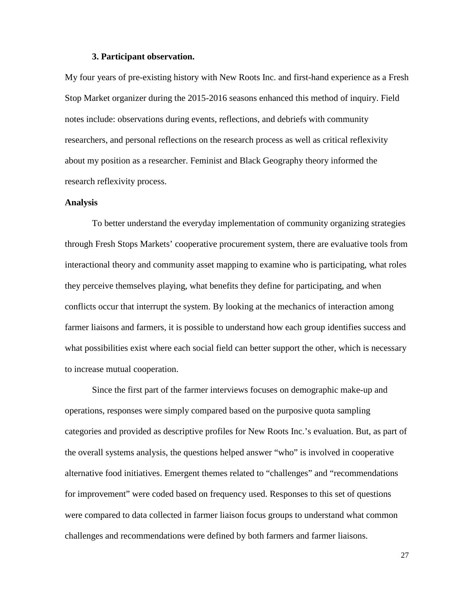### **3. Participant observation.**

My four years of pre-existing history with New Roots Inc. and first-hand experience as a Fresh Stop Market organizer during the 2015-2016 seasons enhanced this method of inquiry. Field notes include: observations during events, reflections, and debriefs with community researchers, and personal reflections on the research process as well as critical reflexivity about my position as a researcher. Feminist and Black Geography theory informed the research reflexivity process.

## **Analysis**

To better understand the everyday implementation of community organizing strategies through Fresh Stops Markets' cooperative procurement system, there are evaluative tools from interactional theory and community asset mapping to examine who is participating, what roles they perceive themselves playing, what benefits they define for participating, and when conflicts occur that interrupt the system. By looking at the mechanics of interaction among farmer liaisons and farmers, it is possible to understand how each group identifies success and what possibilities exist where each social field can better support the other, which is necessary to increase mutual cooperation.

Since the first part of the farmer interviews focuses on demographic make-up and operations, responses were simply compared based on the purposive quota sampling categories and provided as descriptive profiles for New Roots Inc.'s evaluation. But, as part of the overall systems analysis, the questions helped answer "who" is involved in cooperative alternative food initiatives. Emergent themes related to "challenges" and "recommendations for improvement" were coded based on frequency used. Responses to this set of questions were compared to data collected in farmer liaison focus groups to understand what common challenges and recommendations were defined by both farmers and farmer liaisons.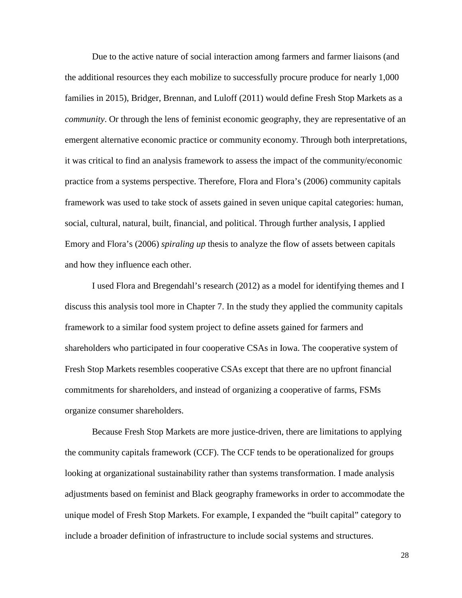Due to the active nature of social interaction among farmers and farmer liaisons (and the additional resources they each mobilize to successfully procure produce for nearly 1,000 families in 2015), Bridger, Brennan, and Luloff (2011) would define Fresh Stop Markets as a *community*. Or through the lens of feminist economic geography, they are representative of an emergent alternative economic practice or community economy. Through both interpretations, it was critical to find an analysis framework to assess the impact of the community/economic practice from a systems perspective. Therefore, Flora and Flora's (2006) community capitals framework was used to take stock of assets gained in seven unique capital categories: human, social, cultural, natural, built, financial, and political. Through further analysis, I applied Emory and Flora's (2006) *spiraling up* thesis to analyze the flow of assets between capitals and how they influence each other.

I used Flora and Bregendahl's research (2012) as a model for identifying themes and I discuss this analysis tool more in Chapter 7. In the study they applied the community capitals framework to a similar food system project to define assets gained for farmers and shareholders who participated in four cooperative CSAs in Iowa. The cooperative system of Fresh Stop Markets resembles cooperative CSAs except that there are no upfront financial commitments for shareholders, and instead of organizing a cooperative of farms, FSMs organize consumer shareholders.

Because Fresh Stop Markets are more justice-driven, there are limitations to applying the community capitals framework (CCF). The CCF tends to be operationalized for groups looking at organizational sustainability rather than systems transformation. I made analysis adjustments based on feminist and Black geography frameworks in order to accommodate the unique model of Fresh Stop Markets. For example, I expanded the "built capital" category to include a broader definition of infrastructure to include social systems and structures.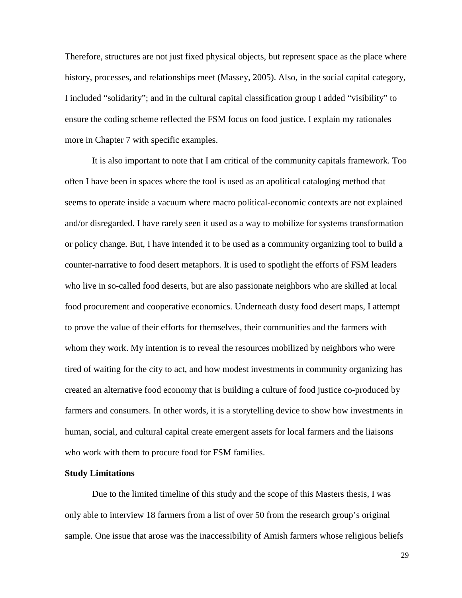Therefore, structures are not just fixed physical objects, but represent space as the place where history, processes, and relationships meet (Massey, 2005). Also, in the social capital category, I included "solidarity"; and in the cultural capital classification group I added "visibility" to ensure the coding scheme reflected the FSM focus on food justice. I explain my rationales more in Chapter 7 with specific examples.

It is also important to note that I am critical of the community capitals framework. Too often I have been in spaces where the tool is used as an apolitical cataloging method that seems to operate inside a vacuum where macro political-economic contexts are not explained and/or disregarded. I have rarely seen it used as a way to mobilize for systems transformation or policy change. But, I have intended it to be used as a community organizing tool to build a counter-narrative to food desert metaphors. It is used to spotlight the efforts of FSM leaders who live in so-called food deserts, but are also passionate neighbors who are skilled at local food procurement and cooperative economics. Underneath dusty food desert maps, I attempt to prove the value of their efforts for themselves, their communities and the farmers with whom they work. My intention is to reveal the resources mobilized by neighbors who were tired of waiting for the city to act, and how modest investments in community organizing has created an alternative food economy that is building a culture of food justice co-produced by farmers and consumers. In other words, it is a storytelling device to show how investments in human, social, and cultural capital create emergent assets for local farmers and the liaisons who work with them to procure food for FSM families.

## **Study Limitations**

Due to the limited timeline of this study and the scope of this Masters thesis, I was only able to interview 18 farmers from a list of over 50 from the research group's original sample. One issue that arose was the inaccessibility of Amish farmers whose religious beliefs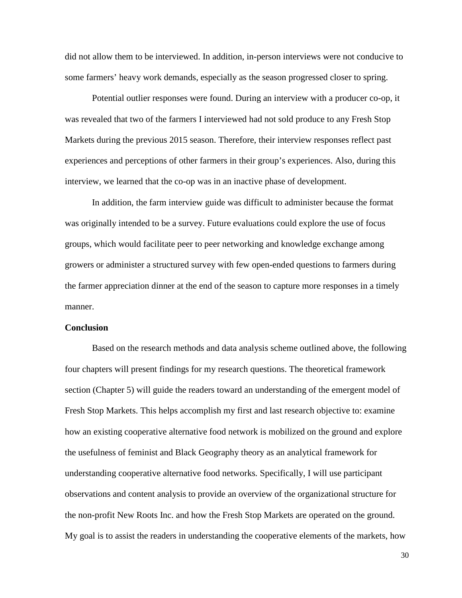did not allow them to be interviewed. In addition, in-person interviews were not conducive to some farmers' heavy work demands, especially as the season progressed closer to spring.

Potential outlier responses were found. During an interview with a producer co-op, it was revealed that two of the farmers I interviewed had not sold produce to any Fresh Stop Markets during the previous 2015 season. Therefore, their interview responses reflect past experiences and perceptions of other farmers in their group's experiences. Also, during this interview, we learned that the co-op was in an inactive phase of development.

In addition, the farm interview guide was difficult to administer because the format was originally intended to be a survey. Future evaluations could explore the use of focus groups, which would facilitate peer to peer networking and knowledge exchange among growers or administer a structured survey with few open-ended questions to farmers during the farmer appreciation dinner at the end of the season to capture more responses in a timely manner.

## **Conclusion**

Based on the research methods and data analysis scheme outlined above, the following four chapters will present findings for my research questions. The theoretical framework section (Chapter 5) will guide the readers toward an understanding of the emergent model of Fresh Stop Markets. This helps accomplish my first and last research objective to: examine how an existing cooperative alternative food network is mobilized on the ground and explore the usefulness of feminist and Black Geography theory as an analytical framework for understanding cooperative alternative food networks*.* Specifically, I will use participant observations and content analysis to provide an overview of the organizational structure for the non-profit New Roots Inc. and how the Fresh Stop Markets are operated on the ground. My goal is to assist the readers in understanding the cooperative elements of the markets, how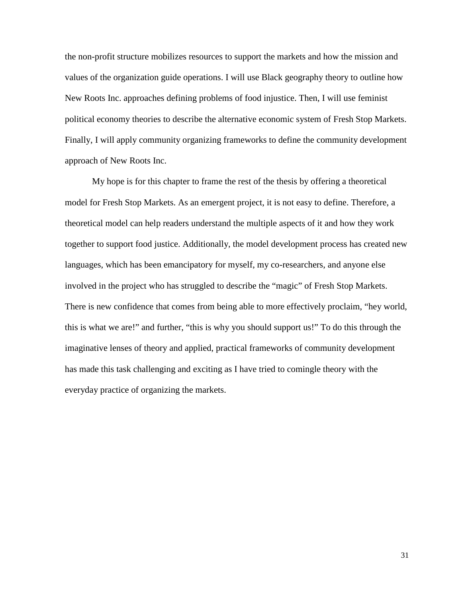the non-profit structure mobilizes resources to support the markets and how the mission and values of the organization guide operations. I will use Black geography theory to outline how New Roots Inc. approaches defining problems of food injustice. Then, I will use feminist political economy theories to describe the alternative economic system of Fresh Stop Markets. Finally, I will apply community organizing frameworks to define the community development approach of New Roots Inc.

My hope is for this chapter to frame the rest of the thesis by offering a theoretical model for Fresh Stop Markets. As an emergent project, it is not easy to define. Therefore, a theoretical model can help readers understand the multiple aspects of it and how they work together to support food justice. Additionally, the model development process has created new languages, which has been emancipatory for myself, my co-researchers, and anyone else involved in the project who has struggled to describe the "magic" of Fresh Stop Markets. There is new confidence that comes from being able to more effectively proclaim, "hey world, this is what we are!" and further, "this is why you should support us!" To do this through the imaginative lenses of theory and applied, practical frameworks of community development has made this task challenging and exciting as I have tried to comingle theory with the everyday practice of organizing the markets.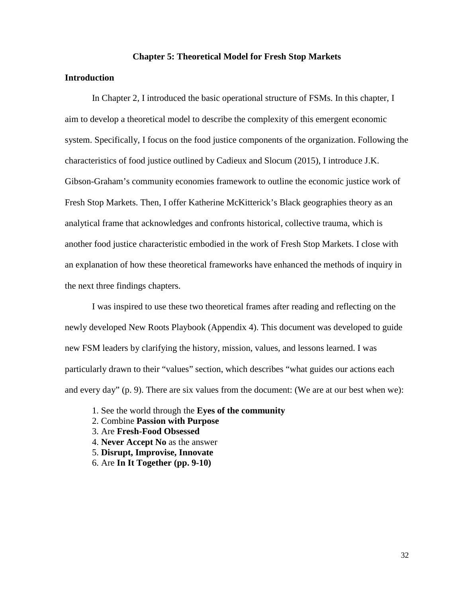#### **Chapter 5: Theoretical Model for Fresh Stop Markets**

### **Introduction**

In Chapter 2, I introduced the basic operational structure of FSMs. In this chapter, I aim to develop a theoretical model to describe the complexity of this emergent economic system. Specifically, I focus on the food justice components of the organization. Following the characteristics of food justice outlined by Cadieux and Slocum (2015), I introduce J.K. Gibson-Graham's community economies framework to outline the economic justice work of Fresh Stop Markets. Then, I offer Katherine McKitterick's Black geographies theory as an analytical frame that acknowledges and confronts historical, collective trauma, which is another food justice characteristic embodied in the work of Fresh Stop Markets. I close with an explanation of how these theoretical frameworks have enhanced the methods of inquiry in the next three findings chapters.

I was inspired to use these two theoretical frames after reading and reflecting on the newly developed New Roots Playbook (Appendix 4). This document was developed to guide new FSM leaders by clarifying the history, mission, values, and lessons learned. I was particularly drawn to their "values" section, which describes "what guides our actions each and every day" (p. 9). There are six values from the document: (We are at our best when we):

- 1. See the world through the **Eyes of the community**
- 2. Combine **Passion with Purpose**
- 3. Are **Fresh-Food Obsessed**
- 4. **Never Accept No** as the answer
- 5. **Disrupt, Improvise, Innovate**
- 6. Are **In It Together (pp. 9-10)**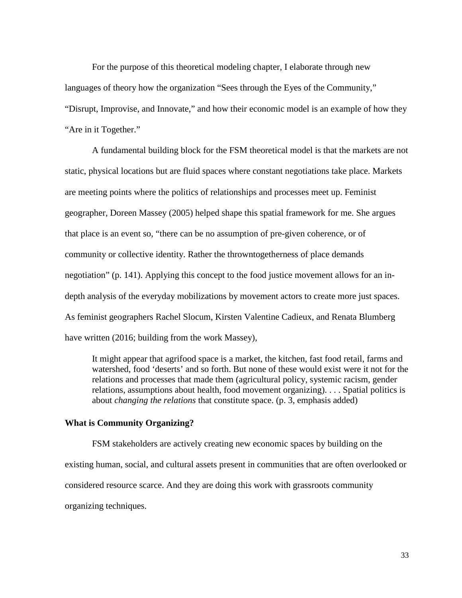For the purpose of this theoretical modeling chapter, I elaborate through new languages of theory how the organization "Sees through the Eyes of the Community," "Disrupt, Improvise, and Innovate," and how their economic model is an example of how they "Are in it Together."

A fundamental building block for the FSM theoretical model is that the markets are not static, physical locations but are fluid spaces where constant negotiations take place. Markets are meeting points where the politics of relationships and processes meet up. Feminist geographer, Doreen Massey (2005) helped shape this spatial framework for me. She argues that place is an event so, "there can be no assumption of pre-given coherence, or of community or collective identity. Rather the throwntogetherness of place demands negotiation" (p. 141). Applying this concept to the food justice movement allows for an indepth analysis of the everyday mobilizations by movement actors to create more just spaces. As feminist geographers Rachel Slocum, Kirsten Valentine Cadieux, and Renata Blumberg have written (2016; building from the work Massey),

It might appear that agrifood space is a market, the kitchen, fast food retail, farms and watershed, food 'deserts' and so forth. But none of these would exist were it not for the relations and processes that made them (agricultural policy, systemic racism, gender relations, assumptions about health, food movement organizing). . . . Spatial politics is about *changing the relations* that constitute space. (p. 3, emphasis added)

## **What is Community Organizing?**

FSM stakeholders are actively creating new economic spaces by building on the existing human, social, and cultural assets present in communities that are often overlooked or considered resource scarce. And they are doing this work with grassroots community organizing techniques.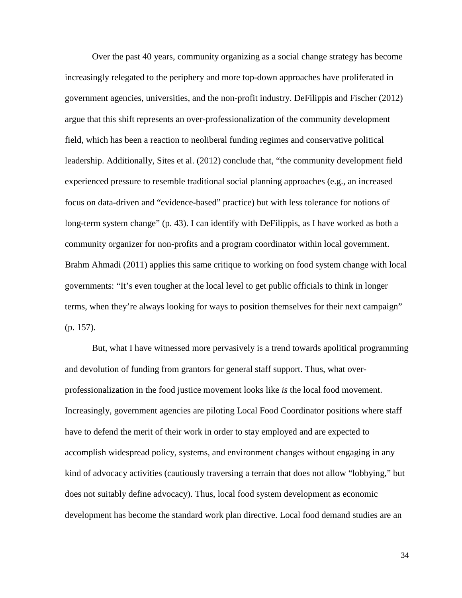Over the past 40 years, community organizing as a social change strategy has become increasingly relegated to the periphery and more top-down approaches have proliferated in government agencies, universities, and the non-profit industry. DeFilippis and Fischer (2012) argue that this shift represents an over-professionalization of the community development field, which has been a reaction to neoliberal funding regimes and conservative political leadership. Additionally, Sites et al. (2012) conclude that, "the community development field experienced pressure to resemble traditional social planning approaches (e.g., an increased focus on data-driven and "evidence-based" practice) but with less tolerance for notions of long-term system change" (p. 43). I can identify with DeFilippis, as I have worked as both a community organizer for non-profits and a program coordinator within local government. Brahm Ahmadi (2011) applies this same critique to working on food system change with local governments: "It's even tougher at the local level to get public officials to think in longer terms, when they're always looking for ways to position themselves for their next campaign" (p. 157).

But, what I have witnessed more pervasively is a trend towards apolitical programming and devolution of funding from grantors for general staff support. Thus, what overprofessionalization in the food justice movement looks like *is* the local food movement. Increasingly, government agencies are piloting Local Food Coordinator positions where staff have to defend the merit of their work in order to stay employed and are expected to accomplish widespread policy, systems, and environment changes without engaging in any kind of advocacy activities (cautiously traversing a terrain that does not allow "lobbying," but does not suitably define advocacy). Thus, local food system development as economic development has become the standard work plan directive. Local food demand studies are an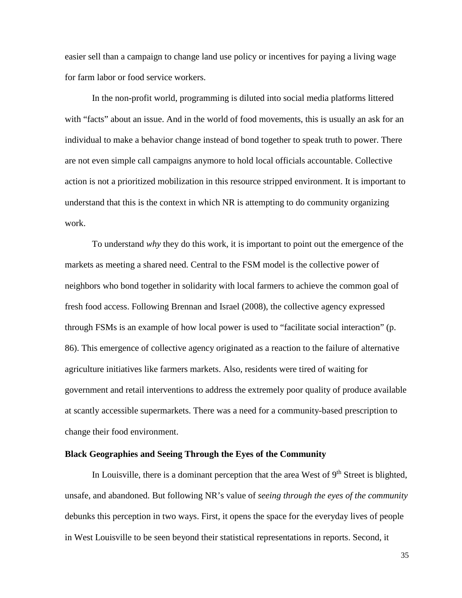easier sell than a campaign to change land use policy or incentives for paying a living wage for farm labor or food service workers.

In the non-profit world, programming is diluted into social media platforms littered with "facts" about an issue. And in the world of food movements, this is usually an ask for an individual to make a behavior change instead of bond together to speak truth to power. There are not even simple call campaigns anymore to hold local officials accountable. Collective action is not a prioritized mobilization in this resource stripped environment. It is important to understand that this is the context in which NR is attempting to do community organizing work.

To understand *why* they do this work, it is important to point out the emergence of the markets as meeting a shared need. Central to the FSM model is the collective power of neighbors who bond together in solidarity with local farmers to achieve the common goal of fresh food access. Following Brennan and Israel (2008), the collective agency expressed through FSMs is an example of how local power is used to "facilitate social interaction" (p. 86). This emergence of collective agency originated as a reaction to the failure of alternative agriculture initiatives like farmers markets. Also, residents were tired of waiting for government and retail interventions to address the extremely poor quality of produce available at scantly accessible supermarkets. There was a need for a community-based prescription to change their food environment.

## **Black Geographies and Seeing Through the Eyes of the Community**

In Louisville, there is a dominant perception that the area West of  $9<sup>th</sup>$  Street is blighted, unsafe, and abandoned. But following NR's value of *seeing through the eyes of the community* debunks this perception in two ways. First, it opens the space for the everyday lives of people in West Louisville to be seen beyond their statistical representations in reports. Second, it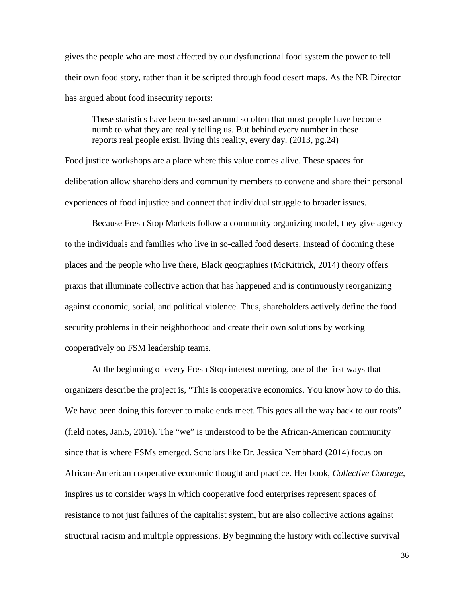gives the people who are most affected by our dysfunctional food system the power to tell their own food story, rather than it be scripted through food desert maps. As the NR Director has argued about food insecurity reports:

These statistics have been tossed around so often that most people have become numb to what they are really telling us. But behind every number in these reports real people exist, living this reality, every day. (2013, pg.24)

Food justice workshops are a place where this value comes alive. These spaces for deliberation allow shareholders and community members to convene and share their personal experiences of food injustice and connect that individual struggle to broader issues.

Because Fresh Stop Markets follow a community organizing model, they give agency to the individuals and families who live in so-called food deserts. Instead of dooming these places and the people who live there, Black geographies (McKittrick, 2014) theory offers praxis that illuminate collective action that has happened and is continuously reorganizing against economic, social, and political violence. Thus, shareholders actively define the food security problems in their neighborhood and create their own solutions by working cooperatively on FSM leadership teams.

At the beginning of every Fresh Stop interest meeting, one of the first ways that organizers describe the project is, "This is cooperative economics. You know how to do this. We have been doing this forever to make ends meet. This goes all the way back to our roots" (field notes, Jan.5, 2016). The "we" is understood to be the African-American community since that is where FSMs emerged. Scholars like Dr. Jessica Nembhard (2014) focus on African-American cooperative economic thought and practice. Her book, *Collective Courage,* inspires us to consider ways in which cooperative food enterprises represent spaces of resistance to not just failures of the capitalist system, but are also collective actions against structural racism and multiple oppressions. By beginning the history with collective survival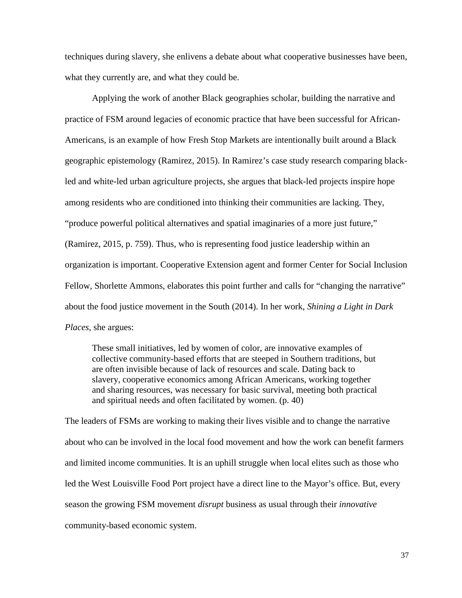techniques during slavery, she enlivens a debate about what cooperative businesses have been, what they currently are, and what they could be.

Applying the work of another Black geographies scholar, building the narrative and practice of FSM around legacies of economic practice that have been successful for African-Americans, is an example of how Fresh Stop Markets are intentionally built around a Black geographic epistemology (Ramirez, 2015). In Ramirez's case study research comparing blackled and white-led urban agriculture projects, she argues that black-led projects inspire hope among residents who are conditioned into thinking their communities are lacking. They, "produce powerful political alternatives and spatial imaginaries of a more just future," (Ramirez, 2015, p. 759). Thus, who is representing food justice leadership within an organization is important. Cooperative Extension agent and former Center for Social Inclusion Fellow, Shorlette Ammons, elaborates this point further and calls for "changing the narrative" about the food justice movement in the South (2014). In her work, *Shining a Light in Dark Places*, she argues:

These small initiatives, led by women of color, are innovative examples of collective community-based efforts that are steeped in Southern traditions, but are often invisible because of lack of resources and scale. Dating back to slavery, cooperative economics among African Americans, working together and sharing resources, was necessary for basic survival, meeting both practical and spiritual needs and often facilitated by women. (p. 40)

The leaders of FSMs are working to making their lives visible and to change the narrative about who can be involved in the local food movement and how the work can benefit farmers and limited income communities. It is an uphill struggle when local elites such as those who led the West Louisville Food Port project have a direct line to the Mayor's office. But, every season the growing FSM movement *disrupt* business as usual through their *innovative* community-based economic system.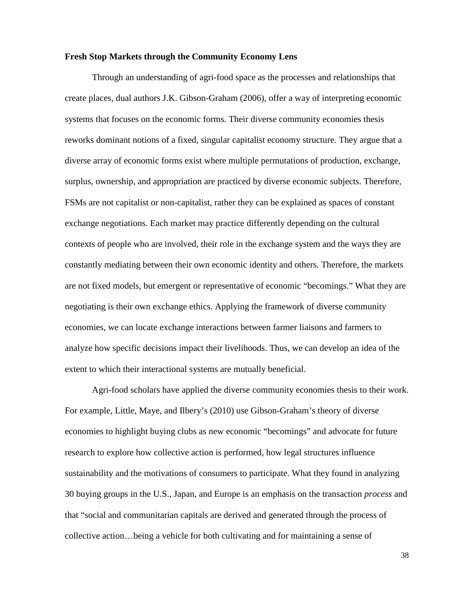## **Fresh Stop Markets through the Community Economy Lens**

Through an understanding of agri-food space as the processes and relationships that create places, dual authors J.K. Gibson-Graham (2006), offer a way of interpreting economic systems that focuses on the economic forms. Their diverse community economies thesis reworks dominant notions of a fixed, singular capitalist economy structure. They argue that a diverse array of economic forms exist where multiple permutations of production, exchange, surplus, ownership, and appropriation are practiced by diverse economic subjects. Therefore, FSMs are not capitalist or non-capitalist, rather they can be explained as spaces of constant exchange negotiations. Each market may practice differently depending on the cultural contexts of people who are involved, their role in the exchange system and the ways they are constantly mediating between their own economic identity and others. Therefore, the markets are not fixed models, but emergent or representative of economic "becomings." What they are negotiating is their own exchange ethics. Applying the framework of diverse community economies, we can locate exchange interactions between farmer liaisons and farmers to analyze how specific decisions impact their livelihoods. Thus, we can develop an idea of the extent to which their interactional systems are mutually beneficial.

Agri-food scholars have applied the diverse community economies thesis to their work. For example, Little, Maye, and Ilbery's (2010) use Gibson-Graham's theory of diverse economies to highlight buying clubs as new economic "becomings" and advocate for future research to explore how collective action is performed, how legal structures influence sustainability and the motivations of consumers to participate. What they found in analyzing 30 buying groups in the U.S., Japan, and Europe is an emphasis on the transaction *process* and that "social and communitarian capitals are derived and generated through the process of collective action…being a vehicle for both cultivating and for maintaining a sense of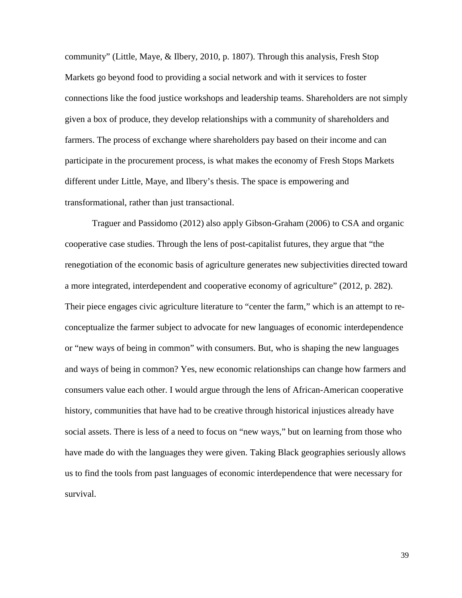community" (Little, Maye, & Ilbery, 2010, p. 1807). Through this analysis, Fresh Stop Markets go beyond food to providing a social network and with it services to foster connections like the food justice workshops and leadership teams. Shareholders are not simply given a box of produce, they develop relationships with a community of shareholders and farmers. The process of exchange where shareholders pay based on their income and can participate in the procurement process, is what makes the economy of Fresh Stops Markets different under Little, Maye, and Ilbery's thesis. The space is empowering and transformational, rather than just transactional.

Traguer and Passidomo (2012) also apply Gibson-Graham (2006) to CSA and organic cooperative case studies. Through the lens of post-capitalist futures, they argue that "the renegotiation of the economic basis of agriculture generates new subjectivities directed toward a more integrated, interdependent and cooperative economy of agriculture" (2012, p. 282). Their piece engages civic agriculture literature to "center the farm," which is an attempt to reconceptualize the farmer subject to advocate for new languages of economic interdependence or "new ways of being in common" with consumers. But, who is shaping the new languages and ways of being in common? Yes, new economic relationships can change how farmers and consumers value each other. I would argue through the lens of African-American cooperative history, communities that have had to be creative through historical injustices already have social assets. There is less of a need to focus on "new ways," but on learning from those who have made do with the languages they were given. Taking Black geographies seriously allows us to find the tools from past languages of economic interdependence that were necessary for survival.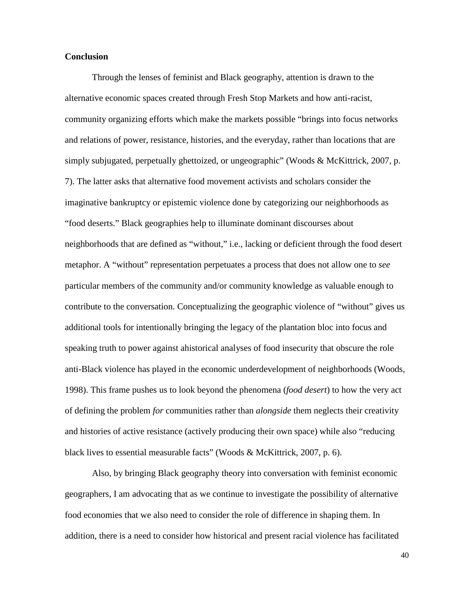## **Conclusion**

Through the lenses of feminist and Black geography, attention is drawn to the alternative economic spaces created through Fresh Stop Markets and how anti-racist, community organizing efforts which make the markets possible "brings into focus networks and relations of power, resistance, histories, and the everyday, rather than locations that are simply subjugated, perpetually ghettoized, or ungeographic" (Woods & McKittrick, 2007, p. 7). The latter asks that alternative food movement activists and scholars consider the imaginative bankruptcy or epistemic violence done by categorizing our neighborhoods as "food deserts." Black geographies help to illuminate dominant discourses about neighborhoods that are defined as "without," i.e., lacking or deficient through the food desert metaphor. A "without" representation perpetuates a process that does not allow one to *see*  particular members of the community and/or community knowledge as valuable enough to contribute to the conversation. Conceptualizing the geographic violence of "without" gives us additional tools for intentionally bringing the legacy of the plantation bloc into focus and speaking truth to power against ahistorical analyses of food insecurity that obscure the role anti-Black violence has played in the economic underdevelopment of neighborhoods (Woods, 1998). This frame pushes us to look beyond the phenomena (*food desert*) to how the very act of defining the problem *for* communities rather than *alongside* them neglects their creativity and histories of active resistance (actively producing their own space) while also "reducing black lives to essential measurable facts" (Woods & McKittrick, 2007, p. 6).

Also, by bringing Black geography theory into conversation with feminist economic geographers, I am advocating that as we continue to investigate the possibility of alternative food economies that we also need to consider the role of difference in shaping them. In addition, there is a need to consider how historical and present racial violence has facilitated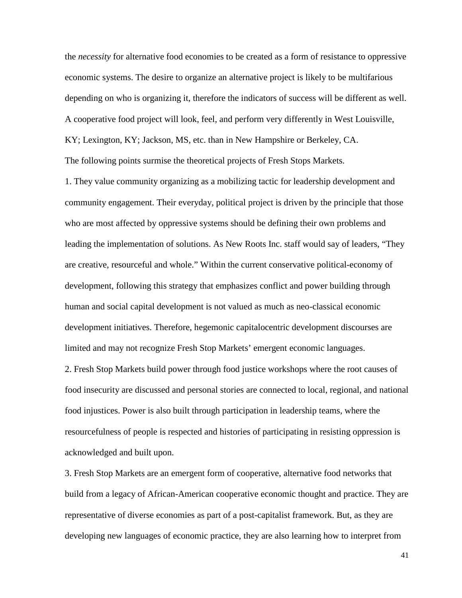the *necessity* for alternative food economies to be created as a form of resistance to oppressive economic systems. The desire to organize an alternative project is likely to be multifarious depending on who is organizing it, therefore the indicators of success will be different as well. A cooperative food project will look, feel, and perform very differently in West Louisville, KY; Lexington, KY; Jackson, MS, etc. than in New Hampshire or Berkeley, CA. The following points surmise the theoretical projects of Fresh Stops Markets.

1. They value community organizing as a mobilizing tactic for leadership development and community engagement. Their everyday, political project is driven by the principle that those who are most affected by oppressive systems should be defining their own problems and leading the implementation of solutions. As New Roots Inc. staff would say of leaders, "They are creative, resourceful and whole." Within the current conservative political-economy of development, following this strategy that emphasizes conflict and power building through human and social capital development is not valued as much as neo-classical economic development initiatives. Therefore, hegemonic capitalocentric development discourses are limited and may not recognize Fresh Stop Markets' emergent economic languages.

2. Fresh Stop Markets build power through food justice workshops where the root causes of food insecurity are discussed and personal stories are connected to local, regional, and national food injustices. Power is also built through participation in leadership teams, where the resourcefulness of people is respected and histories of participating in resisting oppression is acknowledged and built upon.

3. Fresh Stop Markets are an emergent form of cooperative, alternative food networks that build from a legacy of African-American cooperative economic thought and practice. They are representative of diverse economies as part of a post-capitalist framework. But, as they are developing new languages of economic practice, they are also learning how to interpret from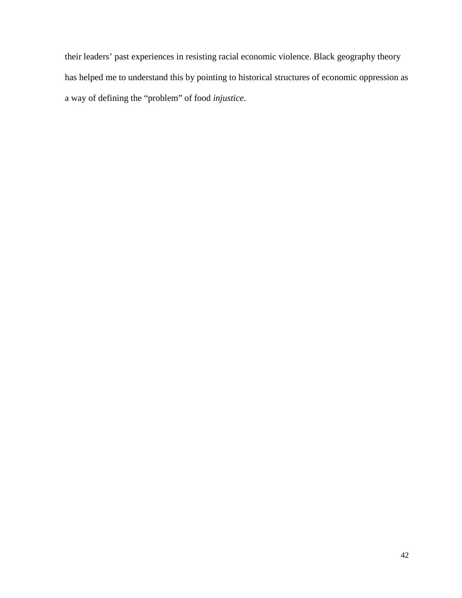their leaders' past experiences in resisting racial economic violence. Black geography theory has helped me to understand this by pointing to historical structures of economic oppression as a way of defining the "problem" of food *injustice*.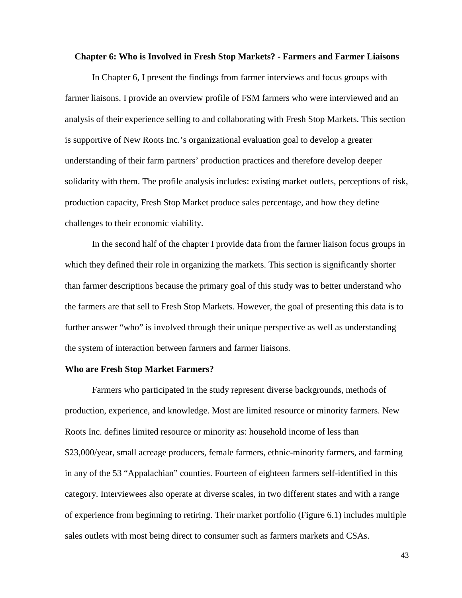#### **Chapter 6: Who is Involved in Fresh Stop Markets? - Farmers and Farmer Liaisons**

In Chapter 6, I present the findings from farmer interviews and focus groups with farmer liaisons. I provide an overview profile of FSM farmers who were interviewed and an analysis of their experience selling to and collaborating with Fresh Stop Markets. This section is supportive of New Roots Inc.'s organizational evaluation goal to develop a greater understanding of their farm partners' production practices and therefore develop deeper solidarity with them. The profile analysis includes: existing market outlets, perceptions of risk, production capacity, Fresh Stop Market produce sales percentage, and how they define challenges to their economic viability.

In the second half of the chapter I provide data from the farmer liaison focus groups in which they defined their role in organizing the markets. This section is significantly shorter than farmer descriptions because the primary goal of this study was to better understand who the farmers are that sell to Fresh Stop Markets. However, the goal of presenting this data is to further answer "who" is involved through their unique perspective as well as understanding the system of interaction between farmers and farmer liaisons.

## **Who are Fresh Stop Market Farmers?**

Farmers who participated in the study represent diverse backgrounds, methods of production, experience, and knowledge. Most are limited resource or minority farmers. New Roots Inc. defines limited resource or minority as: household income of less than \$23,000/year, small acreage producers, female farmers, ethnic-minority farmers, and farming in any of the 53 "Appalachian" counties. Fourteen of eighteen farmers self-identified in this category. Interviewees also operate at diverse scales, in two different states and with a range of experience from beginning to retiring. Their market portfolio (Figure 6.1) includes multiple sales outlets with most being direct to consumer such as farmers markets and CSAs.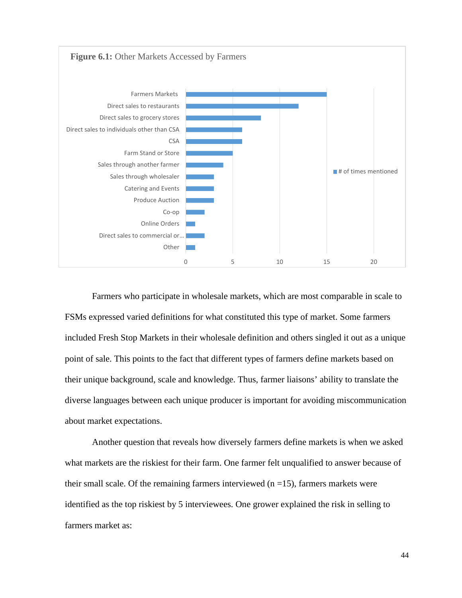

Farmers who participate in wholesale markets, which are most comparable in scale to FSMs expressed varied definitions for what constituted this type of market. Some farmers included Fresh Stop Markets in their wholesale definition and others singled it out as a unique point of sale. This points to the fact that different types of farmers define markets based on their unique background, scale and knowledge. Thus, farmer liaisons' ability to translate the diverse languages between each unique producer is important for avoiding miscommunication about market expectations.

Another question that reveals how diversely farmers define markets is when we asked what markets are the riskiest for their farm. One farmer felt unqualified to answer because of their small scale. Of the remaining farmers interviewed  $(n = 15)$ , farmers markets were identified as the top riskiest by 5 interviewees. One grower explained the risk in selling to farmers market as: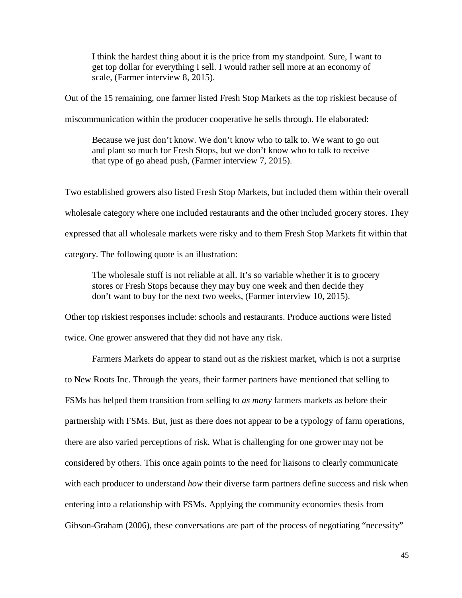I think the hardest thing about it is the price from my standpoint. Sure, I want to get top dollar for everything I sell. I would rather sell more at an economy of scale, (Farmer interview 8, 2015).

Out of the 15 remaining, one farmer listed Fresh Stop Markets as the top riskiest because of

miscommunication within the producer cooperative he sells through. He elaborated:

Because we just don't know. We don't know who to talk to. We want to go out and plant so much for Fresh Stops, but we don't know who to talk to receive that type of go ahead push, (Farmer interview 7, 2015).

Two established growers also listed Fresh Stop Markets, but included them within their overall wholesale category where one included restaurants and the other included grocery stores. They expressed that all wholesale markets were risky and to them Fresh Stop Markets fit within that category. The following quote is an illustration:

The wholesale stuff is not reliable at all. It's so variable whether it is to grocery stores or Fresh Stops because they may buy one week and then decide they don't want to buy for the next two weeks, (Farmer interview 10, 2015).

Other top riskiest responses include: schools and restaurants. Produce auctions were listed twice. One grower answered that they did not have any risk.

Farmers Markets do appear to stand out as the riskiest market, which is not a surprise to New Roots Inc. Through the years, their farmer partners have mentioned that selling to FSMs has helped them transition from selling to *as many* farmers markets as before their partnership with FSMs. But, just as there does not appear to be a typology of farm operations, there are also varied perceptions of risk. What is challenging for one grower may not be considered by others. This once again points to the need for liaisons to clearly communicate with each producer to understand *how* their diverse farm partners define success and risk when entering into a relationship with FSMs. Applying the community economies thesis from Gibson-Graham (2006), these conversations are part of the process of negotiating "necessity"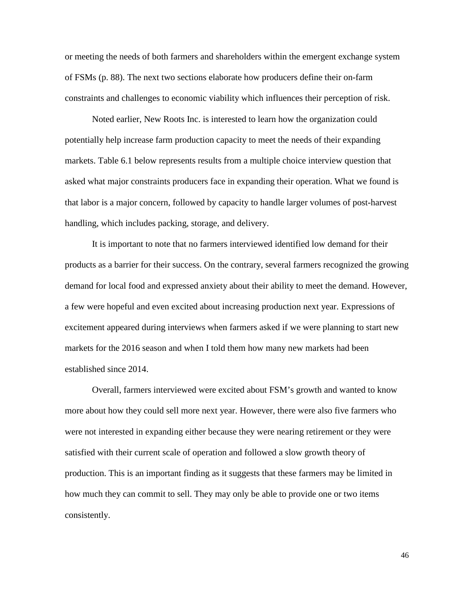or meeting the needs of both farmers and shareholders within the emergent exchange system of FSMs (p. 88). The next two sections elaborate how producers define their on-farm constraints and challenges to economic viability which influences their perception of risk.

Noted earlier, New Roots Inc. is interested to learn how the organization could potentially help increase farm production capacity to meet the needs of their expanding markets. Table 6.1 below represents results from a multiple choice interview question that asked what major constraints producers face in expanding their operation. What we found is that labor is a major concern, followed by capacity to handle larger volumes of post-harvest handling, which includes packing, storage, and delivery.

It is important to note that no farmers interviewed identified low demand for their products as a barrier for their success. On the contrary, several farmers recognized the growing demand for local food and expressed anxiety about their ability to meet the demand. However, a few were hopeful and even excited about increasing production next year. Expressions of excitement appeared during interviews when farmers asked if we were planning to start new markets for the 2016 season and when I told them how many new markets had been established since 2014.

Overall, farmers interviewed were excited about FSM's growth and wanted to know more about how they could sell more next year. However, there were also five farmers who were not interested in expanding either because they were nearing retirement or they were satisfied with their current scale of operation and followed a slow growth theory of production. This is an important finding as it suggests that these farmers may be limited in how much they can commit to sell. They may only be able to provide one or two items consistently.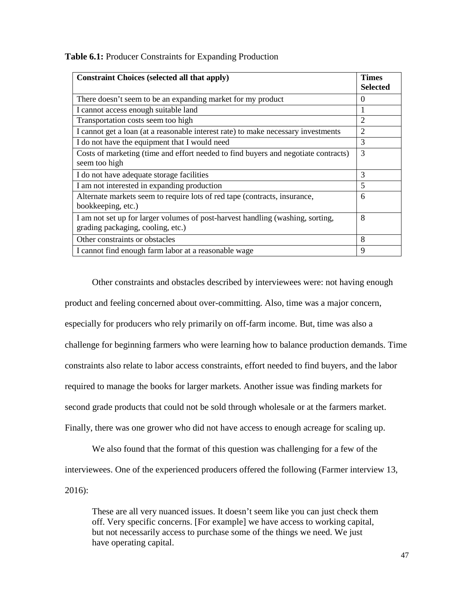| <b>Constraint Choices (selected all that apply)</b>                                |                 |  |
|------------------------------------------------------------------------------------|-----------------|--|
|                                                                                    | <b>Selected</b> |  |
| There doesn't seem to be an expanding market for my product                        | $\Omega$        |  |
| I cannot access enough suitable land                                               | 1               |  |
| Transportation costs seem too high                                                 | $\overline{2}$  |  |
| I cannot get a loan (at a reasonable interest rate) to make necessary investments  | $\overline{2}$  |  |
| I do not have the equipment that I would need                                      | 3               |  |
| Costs of marketing (time and effort needed to find buyers and negotiate contracts) |                 |  |
| seem too high                                                                      |                 |  |
| I do not have adequate storage facilities                                          | 3               |  |
| I am not interested in expanding production                                        | 5               |  |
| Alternate markets seem to require lots of red tape (contracts, insurance,          | 6               |  |
| bookkeeping, etc.)                                                                 |                 |  |
| I am not set up for larger volumes of post-harvest handling (washing, sorting,     | 8               |  |
| grading packaging, cooling, etc.)                                                  |                 |  |
| Other constraints or obstacles                                                     | 8               |  |
| I cannot find enough farm labor at a reasonable wage                               | 9               |  |

**Table 6.1:** Producer Constraints for Expanding Production

Other constraints and obstacles described by interviewees were: not having enough product and feeling concerned about over-committing. Also, time was a major concern, especially for producers who rely primarily on off-farm income. But, time was also a challenge for beginning farmers who were learning how to balance production demands. Time constraints also relate to labor access constraints, effort needed to find buyers, and the labor required to manage the books for larger markets. Another issue was finding markets for second grade products that could not be sold through wholesale or at the farmers market. Finally, there was one grower who did not have access to enough acreage for scaling up.

We also found that the format of this question was challenging for a few of the interviewees. One of the experienced producers offered the following (Farmer interview 13, 2016):

These are all very nuanced issues. It doesn't seem like you can just check them off. Very specific concerns. [For example] we have access to working capital, but not necessarily access to purchase some of the things we need. We just have operating capital.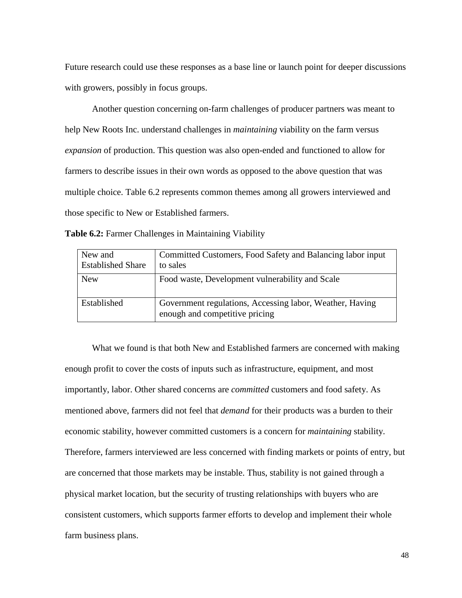Future research could use these responses as a base line or launch point for deeper discussions with growers, possibly in focus groups.

Another question concerning on-farm challenges of producer partners was meant to help New Roots Inc. understand challenges in *maintaining* viability on the farm versus *expansion* of production. This question was also open-ended and functioned to allow for farmers to describe issues in their own words as opposed to the above question that was multiple choice. Table 6.2 represents common themes among all growers interviewed and those specific to New or Established farmers.

| Table 6.2: Farmer Challenges in Maintaining Viability |  |  |  |
|-------------------------------------------------------|--|--|--|
|                                                       |  |  |  |

| New and<br><b>Established Share</b> | Committed Customers, Food Safety and Balancing labor input<br>to sales                     |
|-------------------------------------|--------------------------------------------------------------------------------------------|
| <b>New</b>                          | Food waste, Development vulnerability and Scale                                            |
| Established                         | Government regulations, Accessing labor, Weather, Having<br>enough and competitive pricing |

What we found is that both New and Established farmers are concerned with making enough profit to cover the costs of inputs such as infrastructure, equipment, and most importantly, labor. Other shared concerns are *committed* customers and food safety. As mentioned above, farmers did not feel that *demand* for their products was a burden to their economic stability, however committed customers is a concern for *maintaining* stability. Therefore, farmers interviewed are less concerned with finding markets or points of entry, but are concerned that those markets may be instable. Thus, stability is not gained through a physical market location, but the security of trusting relationships with buyers who are consistent customers, which supports farmer efforts to develop and implement their whole farm business plans.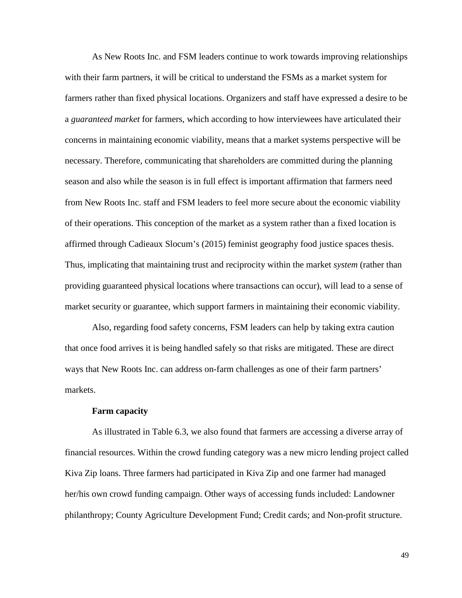As New Roots Inc. and FSM leaders continue to work towards improving relationships with their farm partners, it will be critical to understand the FSMs as a market system for farmers rather than fixed physical locations. Organizers and staff have expressed a desire to be a *guaranteed market* for farmers, which according to how interviewees have articulated their concerns in maintaining economic viability, means that a market systems perspective will be necessary. Therefore, communicating that shareholders are committed during the planning season and also while the season is in full effect is important affirmation that farmers need from New Roots Inc. staff and FSM leaders to feel more secure about the economic viability of their operations. This conception of the market as a system rather than a fixed location is affirmed through Cadieaux Slocum's (2015) feminist geography food justice spaces thesis. Thus, implicating that maintaining trust and reciprocity within the market *system* (rather than providing guaranteed physical locations where transactions can occur)*,* will lead to a sense of market security or guarantee, which support farmers in maintaining their economic viability.

Also, regarding food safety concerns, FSM leaders can help by taking extra caution that once food arrives it is being handled safely so that risks are mitigated. These are direct ways that New Roots Inc. can address on-farm challenges as one of their farm partners' markets.

## **Farm capacity**

As illustrated in Table 6.3, we also found that farmers are accessing a diverse array of financial resources. Within the crowd funding category was a new micro lending project called Kiva Zip loans. Three farmers had participated in Kiva Zip and one farmer had managed her/his own crowd funding campaign. Other ways of accessing funds included: Landowner philanthropy; County Agriculture Development Fund; Credit cards; and Non-profit structure.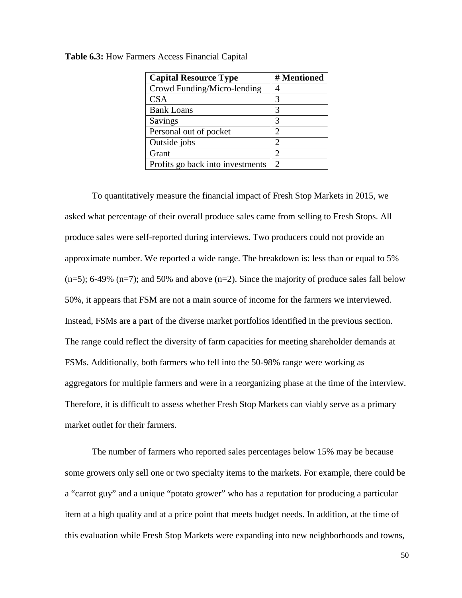| <b>Capital Resource Type</b>     | # Mentioned                 |
|----------------------------------|-----------------------------|
| Crowd Funding/Micro-lending      |                             |
| <b>CSA</b>                       | 3                           |
| <b>Bank Loans</b>                | 3                           |
| Savings                          | 3                           |
| Personal out of pocket           | $\mathcal{D}_{\mathcal{L}}$ |
| Outside jobs                     | $\mathfrak{D}_{1}^{(1)}$    |
| Grant                            | $\mathcal{D}_{\mathcal{A}}$ |
| Profits go back into investments | $\mathcal{D}_{\mathcal{L}}$ |

**Table 6.3:** How Farmers Access Financial Capital

To quantitatively measure the financial impact of Fresh Stop Markets in 2015, we asked what percentage of their overall produce sales came from selling to Fresh Stops. All produce sales were self-reported during interviews. Two producers could not provide an approximate number. We reported a wide range. The breakdown is: less than or equal to 5%  $(n=5)$ ; 6-49%  $(n=7)$ ; and 50% and above  $(n=2)$ . Since the majority of produce sales fall below 50%, it appears that FSM are not a main source of income for the farmers we interviewed. Instead, FSMs are a part of the diverse market portfolios identified in the previous section. The range could reflect the diversity of farm capacities for meeting shareholder demands at FSMs. Additionally, both farmers who fell into the 50-98% range were working as aggregators for multiple farmers and were in a reorganizing phase at the time of the interview. Therefore, it is difficult to assess whether Fresh Stop Markets can viably serve as a primary market outlet for their farmers.

The number of farmers who reported sales percentages below 15% may be because some growers only sell one or two specialty items to the markets. For example, there could be a "carrot guy" and a unique "potato grower" who has a reputation for producing a particular item at a high quality and at a price point that meets budget needs. In addition, at the time of this evaluation while Fresh Stop Markets were expanding into new neighborhoods and towns,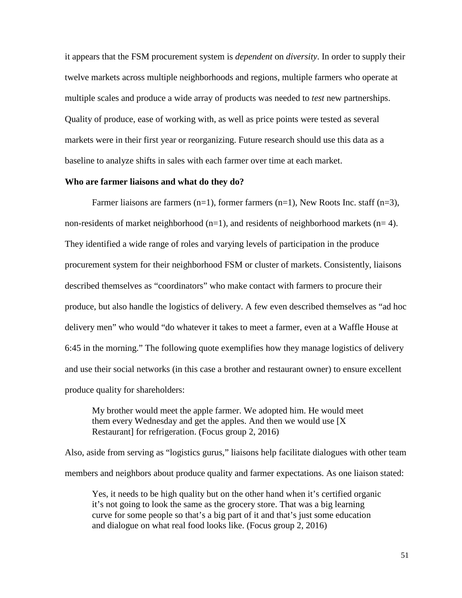it appears that the FSM procurement system is *dependent* on *diversity*. In order to supply their twelve markets across multiple neighborhoods and regions, multiple farmers who operate at multiple scales and produce a wide array of products was needed to *test* new partnerships. Quality of produce, ease of working with, as well as price points were tested as several markets were in their first year or reorganizing. Future research should use this data as a baseline to analyze shifts in sales with each farmer over time at each market.

#### **Who are farmer liaisons and what do they do?**

Farmer liaisons are farmers  $(n=1)$ , former farmers  $(n=1)$ , New Roots Inc. staff  $(n=3)$ , non-residents of market neighborhood  $(n=1)$ , and residents of neighborhood markets  $(n=4)$ . They identified a wide range of roles and varying levels of participation in the produce procurement system for their neighborhood FSM or cluster of markets. Consistently, liaisons described themselves as "coordinators" who make contact with farmers to procure their produce, but also handle the logistics of delivery. A few even described themselves as "ad hoc delivery men" who would "do whatever it takes to meet a farmer, even at a Waffle House at 6:45 in the morning." The following quote exemplifies how they manage logistics of delivery and use their social networks (in this case a brother and restaurant owner) to ensure excellent produce quality for shareholders:

My brother would meet the apple farmer. We adopted him. He would meet them every Wednesday and get the apples. And then we would use [X Restaurant] for refrigeration. (Focus group 2, 2016)

Also, aside from serving as "logistics gurus," liaisons help facilitate dialogues with other team members and neighbors about produce quality and farmer expectations. As one liaison stated:

Yes, it needs to be high quality but on the other hand when it's certified organic it's not going to look the same as the grocery store. That was a big learning curve for some people so that's a big part of it and that's just some education and dialogue on what real food looks like. (Focus group 2, 2016)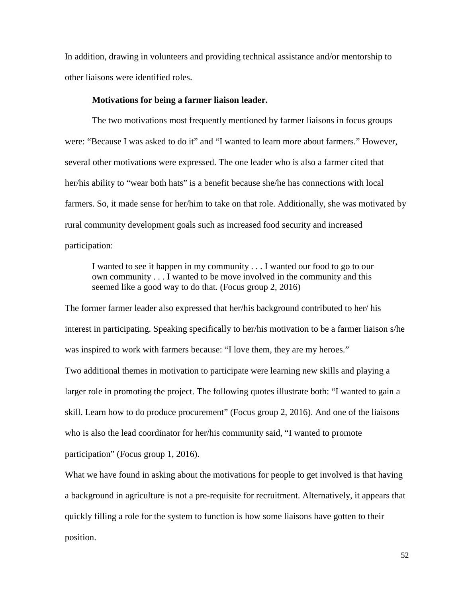In addition, drawing in volunteers and providing technical assistance and/or mentorship to other liaisons were identified roles.

#### **Motivations for being a farmer liaison leader.**

The two motivations most frequently mentioned by farmer liaisons in focus groups were: "Because I was asked to do it" and "I wanted to learn more about farmers." However, several other motivations were expressed. The one leader who is also a farmer cited that her/his ability to "wear both hats" is a benefit because she/he has connections with local farmers. So, it made sense for her/him to take on that role. Additionally, she was motivated by rural community development goals such as increased food security and increased participation:

I wanted to see it happen in my community . . . I wanted our food to go to our own community . . . I wanted to be move involved in the community and this seemed like a good way to do that. (Focus group 2, 2016)

The former farmer leader also expressed that her/his background contributed to her/ his interest in participating. Speaking specifically to her/his motivation to be a farmer liaison s/he was inspired to work with farmers because: "I love them, they are my heroes." Two additional themes in motivation to participate were learning new skills and playing a larger role in promoting the project. The following quotes illustrate both: "I wanted to gain a skill. Learn how to do produce procurement" (Focus group 2, 2016). And one of the liaisons who is also the lead coordinator for her/his community said, "I wanted to promote participation" (Focus group 1, 2016).

What we have found in asking about the motivations for people to get involved is that having a background in agriculture is not a pre-requisite for recruitment. Alternatively, it appears that quickly filling a role for the system to function is how some liaisons have gotten to their position.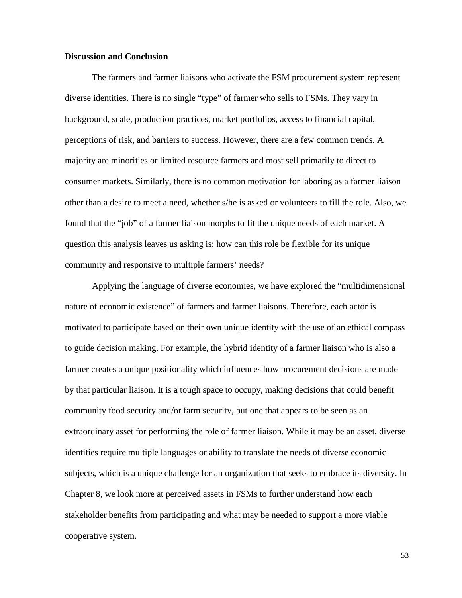## **Discussion and Conclusion**

The farmers and farmer liaisons who activate the FSM procurement system represent diverse identities. There is no single "type" of farmer who sells to FSMs. They vary in background, scale, production practices, market portfolios, access to financial capital, perceptions of risk, and barriers to success. However, there are a few common trends. A majority are minorities or limited resource farmers and most sell primarily to direct to consumer markets. Similarly, there is no common motivation for laboring as a farmer liaison other than a desire to meet a need, whether s/he is asked or volunteers to fill the role. Also, we found that the "job" of a farmer liaison morphs to fit the unique needs of each market. A question this analysis leaves us asking is: how can this role be flexible for its unique community and responsive to multiple farmers' needs?

Applying the language of diverse economies, we have explored the "multidimensional nature of economic existence" of farmers and farmer liaisons. Therefore, each actor is motivated to participate based on their own unique identity with the use of an ethical compass to guide decision making. For example, the hybrid identity of a farmer liaison who is also a farmer creates a unique positionality which influences how procurement decisions are made by that particular liaison. It is a tough space to occupy, making decisions that could benefit community food security and/or farm security, but one that appears to be seen as an extraordinary asset for performing the role of farmer liaison. While it may be an asset, diverse identities require multiple languages or ability to translate the needs of diverse economic subjects, which is a unique challenge for an organization that seeks to embrace its diversity. In Chapter 8, we look more at perceived assets in FSMs to further understand how each stakeholder benefits from participating and what may be needed to support a more viable cooperative system.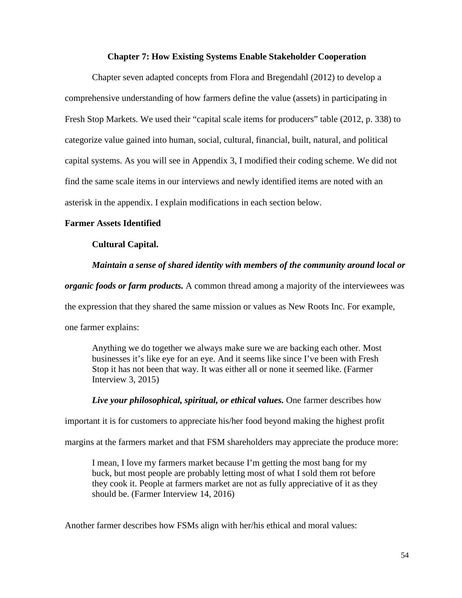## **Chapter 7: How Existing Systems Enable Stakeholder Cooperation**

Chapter seven adapted concepts from Flora and Bregendahl (2012) to develop a comprehensive understanding of how farmers define the value (assets) in participating in Fresh Stop Markets. We used their "capital scale items for producers" table (2012, p. 338) to categorize value gained into human, social, cultural, financial, built, natural, and political capital systems. As you will see in Appendix 3, I modified their coding scheme. We did not find the same scale items in our interviews and newly identified items are noted with an asterisk in the appendix. I explain modifications in each section below.

## **Farmer Assets Identified**

## **Cultural Capital.**

## *Maintain a sense of shared identity with members of the community around local or*

*organic foods or farm products.* A common thread among a majority of the interviewees was

the expression that they shared the same mission or values as New Roots Inc. For example,

one farmer explains:

Anything we do together we always make sure we are backing each other. Most businesses it's like eye for an eye. And it seems like since I've been with Fresh Stop it has not been that way. It was either all or none it seemed like. (Farmer Interview 3, 2015)

*Live your philosophical, spiritual, or ethical values.* One farmer describes how

important it is for customers to appreciate his/her food beyond making the highest profit

margins at the farmers market and that FSM shareholders may appreciate the produce more:

I mean, I love my farmers market because I'm getting the most bang for my buck, but most people are probably letting most of what I sold them rot before they cook it. People at farmers market are not as fully appreciative of it as they should be. (Farmer Interview 14, 2016)

Another farmer describes how FSMs align with her/his ethical and moral values: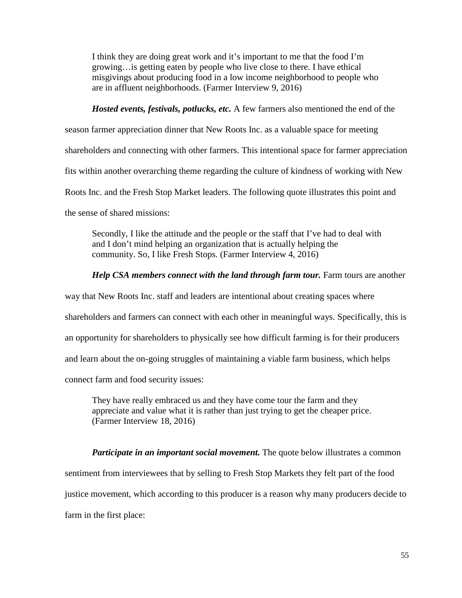I think they are doing great work and it's important to me that the food I'm growing…is getting eaten by people who live close to there. I have ethical misgivings about producing food in a low income neighborhood to people who are in affluent neighborhoods. (Farmer Interview 9, 2016)

*Hosted events, festivals, potlucks, etc.* A few farmers also mentioned the end of the season farmer appreciation dinner that New Roots Inc. as a valuable space for meeting shareholders and connecting with other farmers. This intentional space for farmer appreciation fits within another overarching theme regarding the culture of kindness of working with New Roots Inc. and the Fresh Stop Market leaders. The following quote illustrates this point and the sense of shared missions:

Secondly, I like the attitude and the people or the staff that I've had to deal with and I don't mind helping an organization that is actually helping the community. So, I like Fresh Stops. (Farmer Interview 4, 2016)

## *Help CSA members connect with the land through farm tour.* Farm tours are another

way that New Roots Inc. staff and leaders are intentional about creating spaces where shareholders and farmers can connect with each other in meaningful ways. Specifically, this is an opportunity for shareholders to physically see how difficult farming is for their producers and learn about the on-going struggles of maintaining a viable farm business, which helps connect farm and food security issues:

They have really embraced us and they have come tour the farm and they appreciate and value what it is rather than just trying to get the cheaper price. (Farmer Interview 18, 2016)

*Participate in an important social movement*. The quote below illustrates a common sentiment from interviewees that by selling to Fresh Stop Markets they felt part of the food justice movement, which according to this producer is a reason why many producers decide to farm in the first place: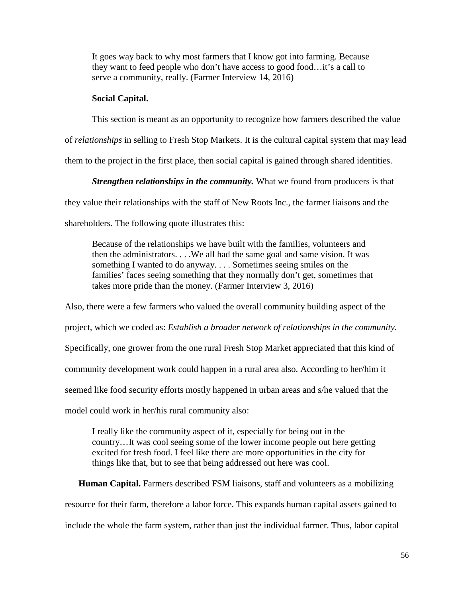It goes way back to why most farmers that I know got into farming. Because they want to feed people who don't have access to good food…it's a call to serve a community, really. (Farmer Interview 14, 2016)

#### **Social Capital.**

This section is meant as an opportunity to recognize how farmers described the value of *relationships* in selling to Fresh Stop Markets. It is the cultural capital system that may lead them to the project in the first place, then social capital is gained through shared identities.

#### *Strengthen relationships in the community.* What we found from producers is that

they value their relationships with the staff of New Roots Inc., the farmer liaisons and the

shareholders. The following quote illustrates this:

Because of the relationships we have built with the families, volunteers and then the administrators. . . .We all had the same goal and same vision. It was something I wanted to do anyway. . . . Sometimes seeing smiles on the families' faces seeing something that they normally don't get, sometimes that takes more pride than the money. (Farmer Interview 3, 2016)

Also, there were a few farmers who valued the overall community building aspect of the project, which we coded as: *Establish a broader network of relationships in the community.*  Specifically, one grower from the one rural Fresh Stop Market appreciated that this kind of community development work could happen in a rural area also. According to her/him it seemed like food security efforts mostly happened in urban areas and s/he valued that the model could work in her/his rural community also:

I really like the community aspect of it, especially for being out in the country…It was cool seeing some of the lower income people out here getting excited for fresh food. I feel like there are more opportunities in the city for things like that, but to see that being addressed out here was cool.

**Human Capital.** Farmers described FSM liaisons, staff and volunteers as a mobilizing resource for their farm, therefore a labor force. This expands human capital assets gained to include the whole the farm system, rather than just the individual farmer. Thus, labor capital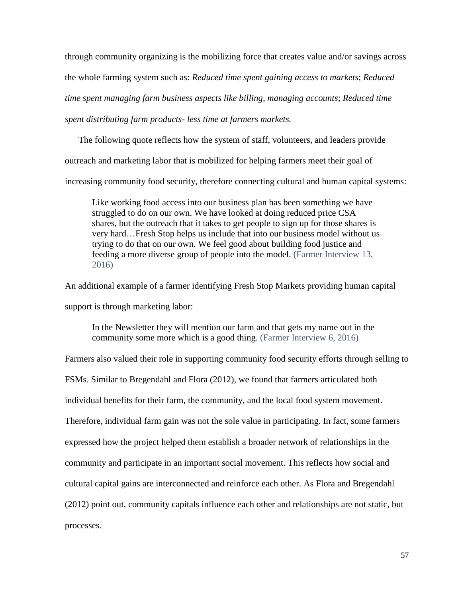through community organizing is the mobilizing force that creates value and/or savings across the whole farming system such as: *Reduced time spent gaining access to markets*; *Reduced time spent managing farm business aspects like billing, managing accounts*; *Reduced time spent distributing farm products- less time at farmers markets.* 

The following quote reflects how the system of staff, volunteers, and leaders provide outreach and marketing labor that is mobilized for helping farmers meet their goal of increasing community food security, therefore connecting cultural and human capital systems:

Like working food access into our business plan has been something we have struggled to do on our own. We have looked at doing reduced price CSA shares, but the outreach that it takes to get people to sign up for those shares is very hard…Fresh Stop helps us include that into our business model without us trying to do that on our own. We feel good about building food justice and feeding a more diverse group of people into the model. (Farmer Interview 13, 2016)

An additional example of a farmer identifying Fresh Stop Markets providing human capital support is through marketing labor:

In the Newsletter they will mention our farm and that gets my name out in the community some more which is a good thing. (Farmer Interview 6, 2016)

Farmers also valued their role in supporting community food security efforts through selling to FSMs. Similar to Bregendahl and Flora (2012), we found that farmers articulated both individual benefits for their farm, the community, and the local food system movement. Therefore, individual farm gain was not the sole value in participating. In fact, some farmers expressed how the project helped them establish a broader network of relationships in the community and participate in an important social movement. This reflects how social and cultural capital gains are interconnected and reinforce each other. As Flora and Bregendahl (2012) point out, community capitals influence each other and relationships are not static, but processes.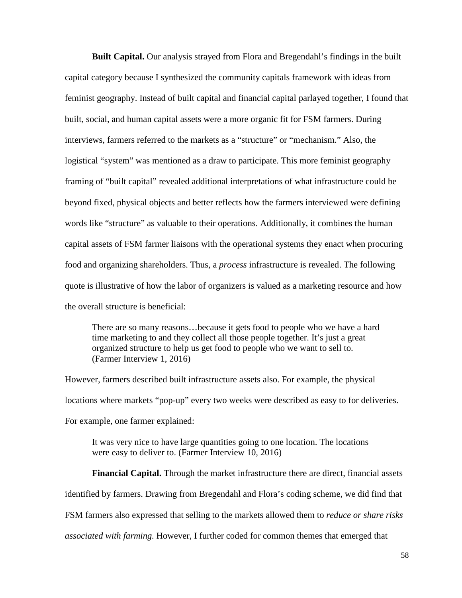**Built Capital.** Our analysis strayed from Flora and Bregendahl's findings in the built capital category because I synthesized the community capitals framework with ideas from feminist geography. Instead of built capital and financial capital parlayed together, I found that built, social, and human capital assets were a more organic fit for FSM farmers. During interviews, farmers referred to the markets as a "structure" or "mechanism." Also, the logistical "system" was mentioned as a draw to participate. This more feminist geography framing of "built capital" revealed additional interpretations of what infrastructure could be beyond fixed, physical objects and better reflects how the farmers interviewed were defining words like "structure" as valuable to their operations. Additionally, it combines the human capital assets of FSM farmer liaisons with the operational systems they enact when procuring food and organizing shareholders. Thus, a *process* infrastructure is revealed. The following quote is illustrative of how the labor of organizers is valued as a marketing resource and how the overall structure is beneficial:

There are so many reasons…because it gets food to people who we have a hard time marketing to and they collect all those people together. It's just a great organized structure to help us get food to people who we want to sell to. (Farmer Interview 1, 2016)

However, farmers described built infrastructure assets also. For example, the physical locations where markets "pop-up" every two weeks were described as easy to for deliveries. For example, one farmer explained:

It was very nice to have large quantities going to one location. The locations were easy to deliver to. (Farmer Interview 10, 2016)

**Financial Capital.** Through the market infrastructure there are direct, financial assets identified by farmers. Drawing from Bregendahl and Flora's coding scheme, we did find that FSM farmers also expressed that selling to the markets allowed them to *reduce or share risks associated with farming.* However, I further coded for common themes that emerged that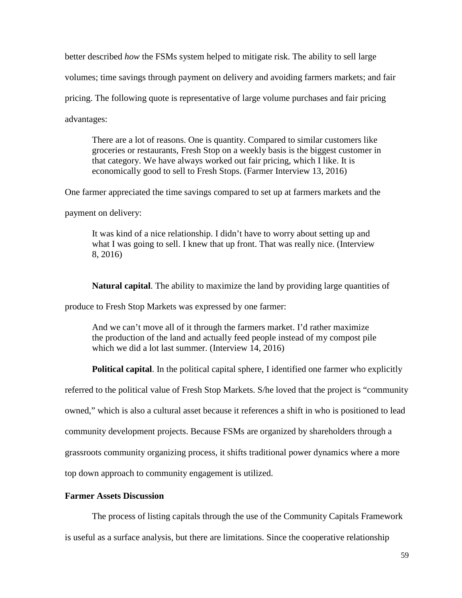better described *how* the FSMs system helped to mitigate risk. The ability to sell large volumes; time savings through payment on delivery and avoiding farmers markets; and fair pricing. The following quote is representative of large volume purchases and fair pricing advantages:

There are a lot of reasons. One is quantity. Compared to similar customers like groceries or restaurants, Fresh Stop on a weekly basis is the biggest customer in that category. We have always worked out fair pricing, which I like. It is economically good to sell to Fresh Stops. (Farmer Interview 13, 2016)

One farmer appreciated the time savings compared to set up at farmers markets and the

payment on delivery:

It was kind of a nice relationship. I didn't have to worry about setting up and what I was going to sell. I knew that up front. That was really nice. (Interview 8, 2016)

**Natural capital**. The ability to maximize the land by providing large quantities of

produce to Fresh Stop Markets was expressed by one farmer:

And we can't move all of it through the farmers market. I'd rather maximize the production of the land and actually feed people instead of my compost pile which we did a lot last summer. (Interview 14, 2016)

**Political capital**. In the political capital sphere, I identified one farmer who explicitly

referred to the political value of Fresh Stop Markets. S/he loved that the project is "community

owned," which is also a cultural asset because it references a shift in who is positioned to lead

community development projects. Because FSMs are organized by shareholders through a

grassroots community organizing process, it shifts traditional power dynamics where a more

top down approach to community engagement is utilized.

# **Farmer Assets Discussion**

The process of listing capitals through the use of the Community Capitals Framework

is useful as a surface analysis, but there are limitations. Since the cooperative relationship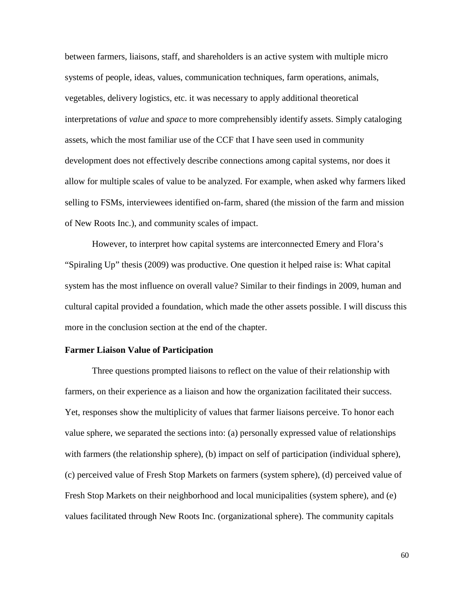between farmers, liaisons, staff, and shareholders is an active system with multiple micro systems of people, ideas, values, communication techniques, farm operations, animals, vegetables, delivery logistics, etc. it was necessary to apply additional theoretical interpretations of *value* and *space* to more comprehensibly identify assets. Simply cataloging assets, which the most familiar use of the CCF that I have seen used in community development does not effectively describe connections among capital systems, nor does it allow for multiple scales of value to be analyzed. For example, when asked why farmers liked selling to FSMs, interviewees identified on-farm, shared (the mission of the farm and mission of New Roots Inc.), and community scales of impact.

However, to interpret how capital systems are interconnected Emery and Flora's "Spiraling Up" thesis (2009) was productive. One question it helped raise is: What capital system has the most influence on overall value? Similar to their findings in 2009, human and cultural capital provided a foundation, which made the other assets possible. I will discuss this more in the conclusion section at the end of the chapter.

## **Farmer Liaison Value of Participation**

Three questions prompted liaisons to reflect on the value of their relationship with farmers, on their experience as a liaison and how the organization facilitated their success. Yet, responses show the multiplicity of values that farmer liaisons perceive. To honor each value sphere, we separated the sections into: (a) personally expressed value of relationships with farmers (the relationship sphere), (b) impact on self of participation (individual sphere), (c) perceived value of Fresh Stop Markets on farmers (system sphere), (d) perceived value of Fresh Stop Markets on their neighborhood and local municipalities (system sphere), and (e) values facilitated through New Roots Inc. (organizational sphere). The community capitals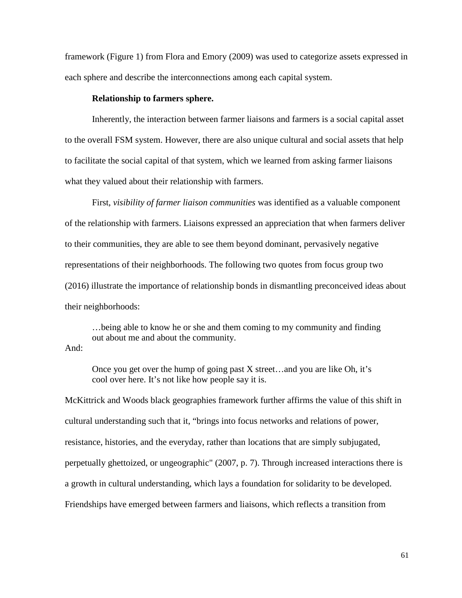framework (Figure 1) from Flora and Emory (2009) was used to categorize assets expressed in each sphere and describe the interconnections among each capital system.

#### **Relationship to farmers sphere.**

Inherently, the interaction between farmer liaisons and farmers is a social capital asset to the overall FSM system. However, there are also unique cultural and social assets that help to facilitate the social capital of that system, which we learned from asking farmer liaisons what they valued about their relationship with farmers.

First, *visibility of farmer liaison communities* was identified as a valuable component of the relationship with farmers. Liaisons expressed an appreciation that when farmers deliver to their communities, they are able to see them beyond dominant, pervasively negative representations of their neighborhoods. The following two quotes from focus group two (2016) illustrate the importance of relationship bonds in dismantling preconceived ideas about their neighborhoods:

…being able to know he or she and them coming to my community and finding out about me and about the community.

And:

Once you get over the hump of going past X street…and you are like Oh, it's cool over here. It's not like how people say it is.

McKittrick and Woods black geographies framework further affirms the value of this shift in cultural understanding such that it, "brings into focus networks and relations of power, resistance, histories, and the everyday, rather than locations that are simply subjugated, perpetually ghettoized, or ungeographic" (2007, p. 7). Through increased interactions there is a growth in cultural understanding, which lays a foundation for solidarity to be developed. Friendships have emerged between farmers and liaisons, which reflects a transition from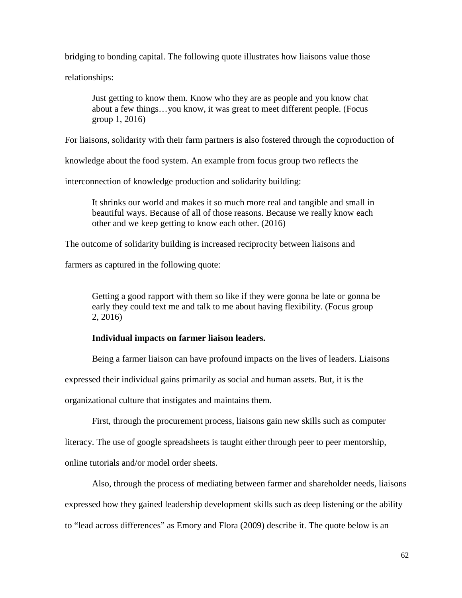bridging to bonding capital. The following quote illustrates how liaisons value those

relationships:

Just getting to know them. Know who they are as people and you know chat about a few things…you know, it was great to meet different people. (Focus group 1, 2016)

For liaisons, solidarity with their farm partners is also fostered through the coproduction of

knowledge about the food system. An example from focus group two reflects the

interconnection of knowledge production and solidarity building:

It shrinks our world and makes it so much more real and tangible and small in beautiful ways. Because of all of those reasons. Because we really know each other and we keep getting to know each other. (2016)

The outcome of solidarity building is increased reciprocity between liaisons and

farmers as captured in the following quote:

Getting a good rapport with them so like if they were gonna be late or gonna be early they could text me and talk to me about having flexibility. (Focus group 2, 2016)

# **Individual impacts on farmer liaison leaders.**

Being a farmer liaison can have profound impacts on the lives of leaders. Liaisons

expressed their individual gains primarily as social and human assets. But, it is the

organizational culture that instigates and maintains them.

First, through the procurement process, liaisons gain new skills such as computer

literacy. The use of google spreadsheets is taught either through peer to peer mentorship,

online tutorials and/or model order sheets.

Also, through the process of mediating between farmer and shareholder needs, liaisons expressed how they gained leadership development skills such as deep listening or the ability to "lead across differences" as Emory and Flora (2009) describe it. The quote below is an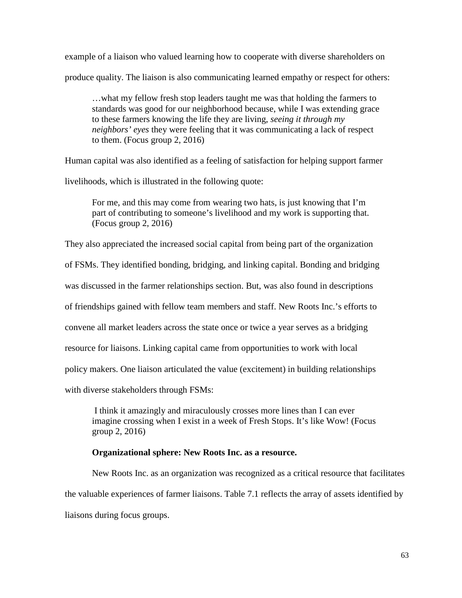example of a liaison who valued learning how to cooperate with diverse shareholders on produce quality. The liaison is also communicating learned empathy or respect for others:

…what my fellow fresh stop leaders taught me was that holding the farmers to standards was good for our neighborhood because, while I was extending grace to these farmers knowing the life they are living, *seeing it through my neighbors' eyes* they were feeling that it was communicating a lack of respect to them. (Focus group 2, 2016)

Human capital was also identified as a feeling of satisfaction for helping support farmer

livelihoods, which is illustrated in the following quote:

For me, and this may come from wearing two hats, is just knowing that I'm part of contributing to someone's livelihood and my work is supporting that. (Focus group 2, 2016)

They also appreciated the increased social capital from being part of the organization of FSMs. They identified bonding, bridging, and linking capital. Bonding and bridging was discussed in the farmer relationships section. But, was also found in descriptions

of friendships gained with fellow team members and staff. New Roots Inc.'s efforts to

convene all market leaders across the state once or twice a year serves as a bridging

resource for liaisons. Linking capital came from opportunities to work with local

policy makers. One liaison articulated the value (excitement) in building relationships

with diverse stakeholders through FSMs:

I think it amazingly and miraculously crosses more lines than I can ever imagine crossing when I exist in a week of Fresh Stops. It's like Wow! (Focus group 2, 2016)

#### **Organizational sphere: New Roots Inc. as a resource.**

New Roots Inc. as an organization was recognized as a critical resource that facilitates the valuable experiences of farmer liaisons. Table 7.1 reflects the array of assets identified by liaisons during focus groups.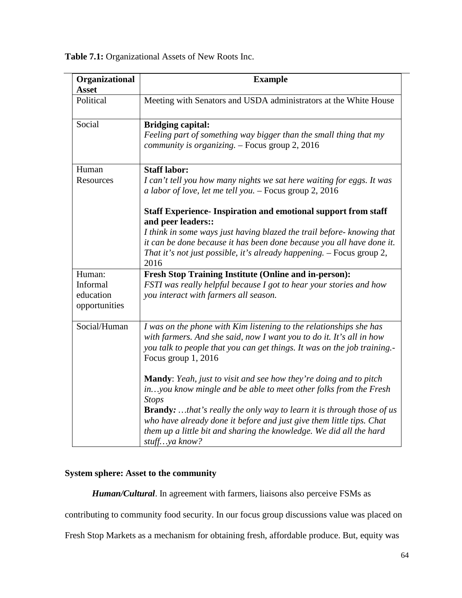**Table 7.1:** Organizational Assets of New Roots Inc.

| Organizational<br><b>Asset</b>                   | <b>Example</b>                                                                                                                                                                                                                                                                                                                                                                                               |
|--------------------------------------------------|--------------------------------------------------------------------------------------------------------------------------------------------------------------------------------------------------------------------------------------------------------------------------------------------------------------------------------------------------------------------------------------------------------------|
| Political                                        | Meeting with Senators and USDA administrators at the White House                                                                                                                                                                                                                                                                                                                                             |
| Social                                           | <b>Bridging capital:</b><br>Feeling part of something way bigger than the small thing that my<br>community is organizing. - Focus group 2, 2016                                                                                                                                                                                                                                                              |
| Human<br>Resources                               | <b>Staff labor:</b><br>I can't tell you how many nights we sat here waiting for eggs. It was<br>a labor of love, let me tell you. - Focus group 2, 2016                                                                                                                                                                                                                                                      |
|                                                  | <b>Staff Experience- Inspiration and emotional support from staff</b><br>and peer leaders::<br>I think in some ways just having blazed the trail before- knowing that<br>it can be done because it has been done because you all have done it.<br>That it's not just possible, it's already happening. - Focus group 2,<br>2016                                                                              |
| Human:<br>Informal<br>education<br>opportunities | <b>Fresh Stop Training Institute (Online and in-person):</b><br>FSTI was really helpful because I got to hear your stories and how<br>you interact with farmers all season.                                                                                                                                                                                                                                  |
| Social/Human                                     | I was on the phone with Kim listening to the relationships she has<br>with farmers. And she said, now I want you to do it. It's all in how<br>you talk to people that you can get things. It was on the job training.-<br>Focus group 1, 2016                                                                                                                                                                |
|                                                  | <b>Mandy:</b> Yeah, just to visit and see how they're doing and to pitch<br>inyou know mingle and be able to meet other folks from the Fresh<br><b>Stops</b><br><b>Brandy:</b> that's really the only way to learn it is through those of us<br>who have already done it before and just give them little tips. Chat<br>them up a little bit and sharing the knowledge. We did all the hard<br>stuffya know? |

# **System sphere: Asset to the community**

*Human/Cultural*. In agreement with farmers, liaisons also perceive FSMs as

contributing to community food security. In our focus group discussions value was placed on

Fresh Stop Markets as a mechanism for obtaining fresh, affordable produce. But, equity was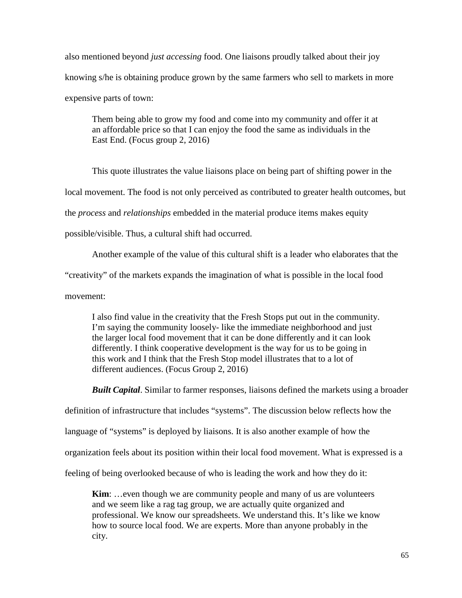also mentioned beyond *just accessing* food. One liaisons proudly talked about their joy knowing s/he is obtaining produce grown by the same farmers who sell to markets in more expensive parts of town:

Them being able to grow my food and come into my community and offer it at an affordable price so that I can enjoy the food the same as individuals in the East End. (Focus group 2, 2016)

This quote illustrates the value liaisons place on being part of shifting power in the

local movement. The food is not only perceived as contributed to greater health outcomes, but

the *process* and *relationships* embedded in the material produce items makes equity

possible/visible. Thus, a cultural shift had occurred.

Another example of the value of this cultural shift is a leader who elaborates that the

"creativity" of the markets expands the imagination of what is possible in the local food

movement:

I also find value in the creativity that the Fresh Stops put out in the community. I'm saying the community loosely- like the immediate neighborhood and just the larger local food movement that it can be done differently and it can look differently. I think cooperative development is the way for us to be going in this work and I think that the Fresh Stop model illustrates that to a lot of different audiences. (Focus Group 2, 2016)

*Built Capital*. Similar to farmer responses, liaisons defined the markets using a broader

definition of infrastructure that includes "systems". The discussion below reflects how the

language of "systems" is deployed by liaisons. It is also another example of how the

organization feels about its position within their local food movement. What is expressed is a

feeling of being overlooked because of who is leading the work and how they do it:

**Kim**: ...even though we are community people and many of us are volunteers and we seem like a rag tag group, we are actually quite organized and professional. We know our spreadsheets. We understand this. It's like we know how to source local food. We are experts. More than anyone probably in the city.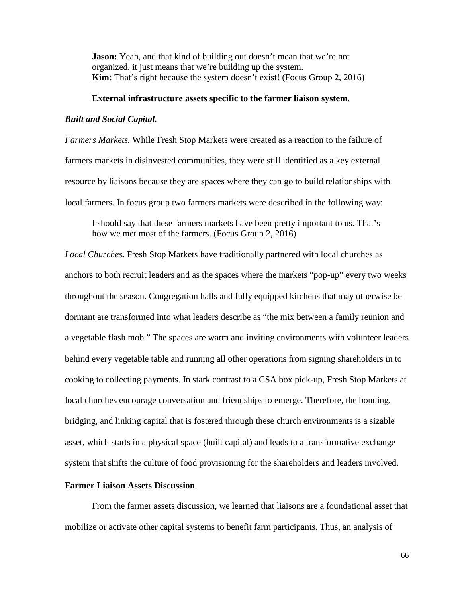**Jason:** Yeah, and that kind of building out doesn't mean that we're not organized, it just means that we're building up the system. **Kim:** That's right because the system doesn't exist! (Focus Group 2, 2016)

# **External infrastructure assets specific to the farmer liaison system.**

#### *Built and Social Capital.*

*Farmers Markets.* While Fresh Stop Markets were created as a reaction to the failure of farmers markets in disinvested communities, they were still identified as a key external resource by liaisons because they are spaces where they can go to build relationships with local farmers. In focus group two farmers markets were described in the following way:

I should say that these farmers markets have been pretty important to us. That's how we met most of the farmers. (Focus Group 2, 2016)

*Local Churches.* Fresh Stop Markets have traditionally partnered with local churches as anchors to both recruit leaders and as the spaces where the markets "pop-up" every two weeks throughout the season. Congregation halls and fully equipped kitchens that may otherwise be dormant are transformed into what leaders describe as "the mix between a family reunion and a vegetable flash mob." The spaces are warm and inviting environments with volunteer leaders behind every vegetable table and running all other operations from signing shareholders in to cooking to collecting payments. In stark contrast to a CSA box pick-up, Fresh Stop Markets at local churches encourage conversation and friendships to emerge. Therefore, the bonding, bridging, and linking capital that is fostered through these church environments is a sizable asset, which starts in a physical space (built capital) and leads to a transformative exchange system that shifts the culture of food provisioning for the shareholders and leaders involved.

# **Farmer Liaison Assets Discussion**

From the farmer assets discussion, we learned that liaisons are a foundational asset that mobilize or activate other capital systems to benefit farm participants. Thus, an analysis of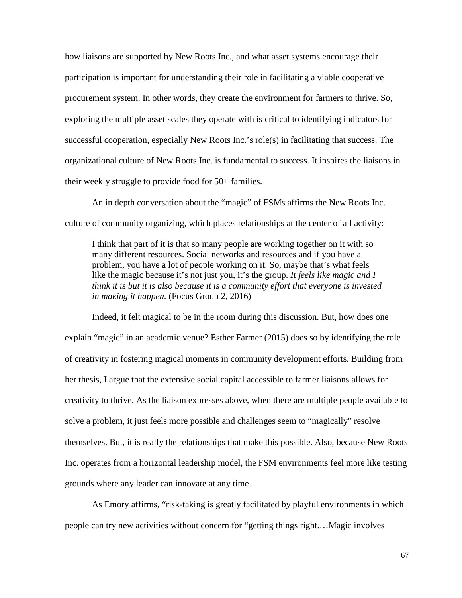how liaisons are supported by New Roots Inc., and what asset systems encourage their participation is important for understanding their role in facilitating a viable cooperative procurement system. In other words, they create the environment for farmers to thrive. So, exploring the multiple asset scales they operate with is critical to identifying indicators for successful cooperation, especially New Roots Inc.'s role(s) in facilitating that success. The organizational culture of New Roots Inc. is fundamental to success. It inspires the liaisons in their weekly struggle to provide food for 50+ families.

An in depth conversation about the "magic" of FSMs affirms the New Roots Inc. culture of community organizing, which places relationships at the center of all activity:

I think that part of it is that so many people are working together on it with so many different resources. Social networks and resources and if you have a problem, you have a lot of people working on it. So, maybe that's what feels like the magic because it's not just you, it's the group. *It feels like magic and I think it is but it is also because it is a community effort that everyone is invested in making it happen.* (Focus Group 2, 2016)

Indeed, it felt magical to be in the room during this discussion. But, how does one explain "magic" in an academic venue? Esther Farmer (2015) does so by identifying the role of creativity in fostering magical moments in community development efforts. Building from her thesis, I argue that the extensive social capital accessible to farmer liaisons allows for creativity to thrive. As the liaison expresses above, when there are multiple people available to solve a problem, it just feels more possible and challenges seem to "magically" resolve themselves. But, it is really the relationships that make this possible. Also, because New Roots Inc. operates from a horizontal leadership model, the FSM environments feel more like testing grounds where any leader can innovate at any time.

As Emory affirms, "risk-taking is greatly facilitated by playful environments in which people can try new activities without concern for "getting things right.…Magic involves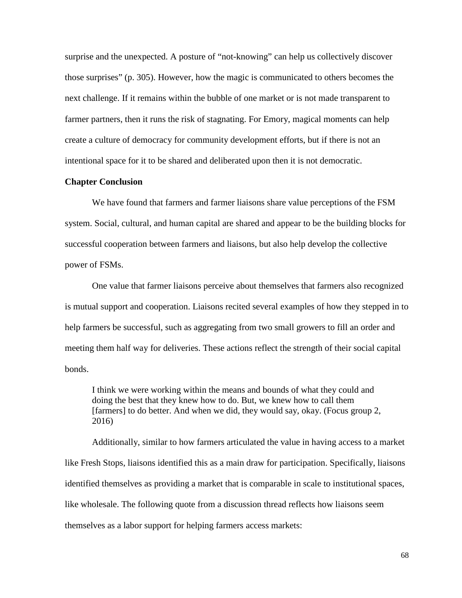surprise and the unexpected. A posture of "not-knowing" can help us collectively discover those surprises" (p. 305). However, how the magic is communicated to others becomes the next challenge. If it remains within the bubble of one market or is not made transparent to farmer partners, then it runs the risk of stagnating. For Emory, magical moments can help create a culture of democracy for community development efforts, but if there is not an intentional space for it to be shared and deliberated upon then it is not democratic.

#### **Chapter Conclusion**

We have found that farmers and farmer liaisons share value perceptions of the FSM system. Social, cultural, and human capital are shared and appear to be the building blocks for successful cooperation between farmers and liaisons, but also help develop the collective power of FSMs.

One value that farmer liaisons perceive about themselves that farmers also recognized is mutual support and cooperation. Liaisons recited several examples of how they stepped in to help farmers be successful, such as aggregating from two small growers to fill an order and meeting them half way for deliveries. These actions reflect the strength of their social capital bonds.

I think we were working within the means and bounds of what they could and doing the best that they knew how to do. But, we knew how to call them [farmers] to do better. And when we did, they would say, okay. (Focus group 2, 2016)

Additionally, similar to how farmers articulated the value in having access to a market like Fresh Stops, liaisons identified this as a main draw for participation. Specifically, liaisons identified themselves as providing a market that is comparable in scale to institutional spaces, like wholesale. The following quote from a discussion thread reflects how liaisons seem themselves as a labor support for helping farmers access markets: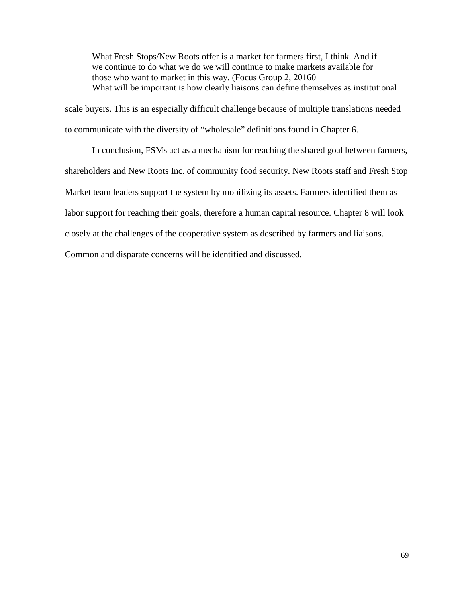What Fresh Stops/New Roots offer is a market for farmers first, I think. And if we continue to do what we do we will continue to make markets available for those who want to market in this way. (Focus Group 2, 20160 What will be important is how clearly liaisons can define themselves as institutional

scale buyers. This is an especially difficult challenge because of multiple translations needed to communicate with the diversity of "wholesale" definitions found in Chapter 6.

In conclusion, FSMs act as a mechanism for reaching the shared goal between farmers, shareholders and New Roots Inc. of community food security. New Roots staff and Fresh Stop Market team leaders support the system by mobilizing its assets. Farmers identified them as labor support for reaching their goals, therefore a human capital resource. Chapter 8 will look closely at the challenges of the cooperative system as described by farmers and liaisons.

Common and disparate concerns will be identified and discussed.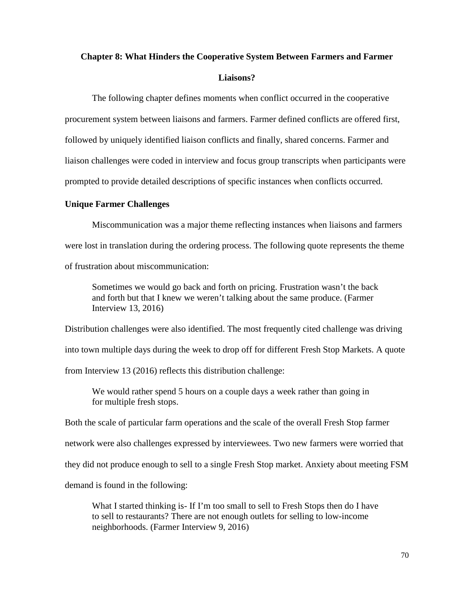# **Chapter 8: What Hinders the Cooperative System Between Farmers and Farmer Liaisons?**

The following chapter defines moments when conflict occurred in the cooperative procurement system between liaisons and farmers. Farmer defined conflicts are offered first, followed by uniquely identified liaison conflicts and finally, shared concerns. Farmer and liaison challenges were coded in interview and focus group transcripts when participants were prompted to provide detailed descriptions of specific instances when conflicts occurred.

# **Unique Farmer Challenges**

Miscommunication was a major theme reflecting instances when liaisons and farmers were lost in translation during the ordering process. The following quote represents the theme of frustration about miscommunication:

Sometimes we would go back and forth on pricing. Frustration wasn't the back and forth but that I knew we weren't talking about the same produce. (Farmer Interview 13, 2016)

Distribution challenges were also identified. The most frequently cited challenge was driving into town multiple days during the week to drop off for different Fresh Stop Markets. A quote from Interview 13 (2016) reflects this distribution challenge:

We would rather spend 5 hours on a couple days a week rather than going in for multiple fresh stops.

Both the scale of particular farm operations and the scale of the overall Fresh Stop farmer network were also challenges expressed by interviewees. Two new farmers were worried that they did not produce enough to sell to a single Fresh Stop market. Anxiety about meeting FSM demand is found in the following:

What I started thinking is- If I'm too small to sell to Fresh Stops then do I have to sell to restaurants? There are not enough outlets for selling to low-income neighborhoods. (Farmer Interview 9, 2016)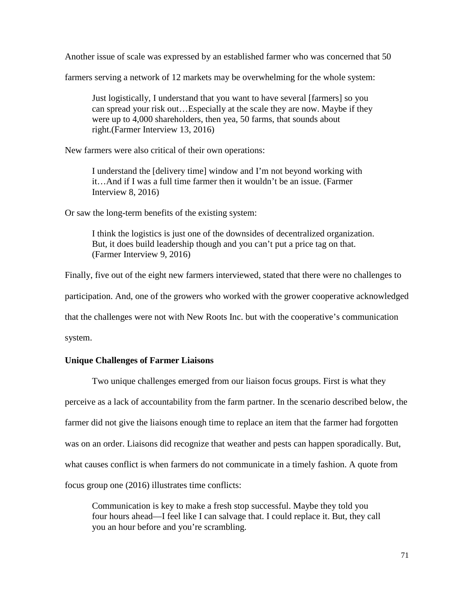Another issue of scale was expressed by an established farmer who was concerned that 50

farmers serving a network of 12 markets may be overwhelming for the whole system:

Just logistically, I understand that you want to have several [farmers] so you can spread your risk out…Especially at the scale they are now. Maybe if they were up to 4,000 shareholders, then yea, 50 farms, that sounds about right.(Farmer Interview 13, 2016)

New farmers were also critical of their own operations:

I understand the [delivery time] window and I'm not beyond working with it…And if I was a full time farmer then it wouldn't be an issue. (Farmer Interview 8, 2016)

Or saw the long-term benefits of the existing system:

I think the logistics is just one of the downsides of decentralized organization. But, it does build leadership though and you can't put a price tag on that. (Farmer Interview 9, 2016)

Finally, five out of the eight new farmers interviewed, stated that there were no challenges to participation. And, one of the growers who worked with the grower cooperative acknowledged that the challenges were not with New Roots Inc. but with the cooperative's communication system.

# **Unique Challenges of Farmer Liaisons**

Two unique challenges emerged from our liaison focus groups. First is what they perceive as a lack of accountability from the farm partner. In the scenario described below, the farmer did not give the liaisons enough time to replace an item that the farmer had forgotten was on an order. Liaisons did recognize that weather and pests can happen sporadically. But, what causes conflict is when farmers do not communicate in a timely fashion. A quote from focus group one (2016) illustrates time conflicts:

Communication is key to make a fresh stop successful. Maybe they told you four hours ahead—I feel like I can salvage that. I could replace it. But, they call you an hour before and you're scrambling.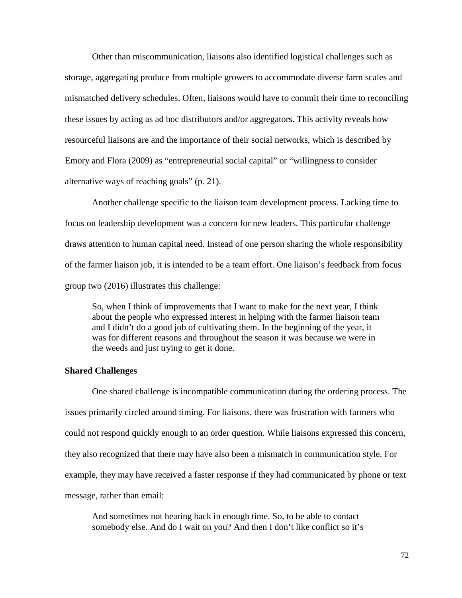Other than miscommunication, liaisons also identified logistical challenges such as storage, aggregating produce from multiple growers to accommodate diverse farm scales and mismatched delivery schedules. Often, liaisons would have to commit their time to reconciling these issues by acting as ad hoc distributors and/or aggregators. This activity reveals how resourceful liaisons are and the importance of their social networks, which is described by Emory and Flora (2009) as "entrepreneurial social capital" or "willingness to consider alternative ways of reaching goals" (p. 21).

Another challenge specific to the liaison team development process. Lacking time to focus on leadership development was a concern for new leaders. This particular challenge draws attention to human capital need. Instead of one person sharing the whole responsibility of the farmer liaison job, it is intended to be a team effort. One liaison's feedback from focus group two (2016) illustrates this challenge:

So, when I think of improvements that I want to make for the next year, I think about the people who expressed interest in helping with the farmer liaison team and I didn't do a good job of cultivating them. In the beginning of the year, it was for different reasons and throughout the season it was because we were in the weeds and just trying to get it done.

# **Shared Challenges**

One shared challenge is incompatible communication during the ordering process. The issues primarily circled around timing. For liaisons, there was frustration with farmers who could not respond quickly enough to an order question. While liaisons expressed this concern, they also recognized that there may have also been a mismatch in communication style. For example, they may have received a faster response if they had communicated by phone or text message, rather than email:

And sometimes not hearing back in enough time. So, to be able to contact somebody else. And do I wait on you? And then I don't like conflict so it's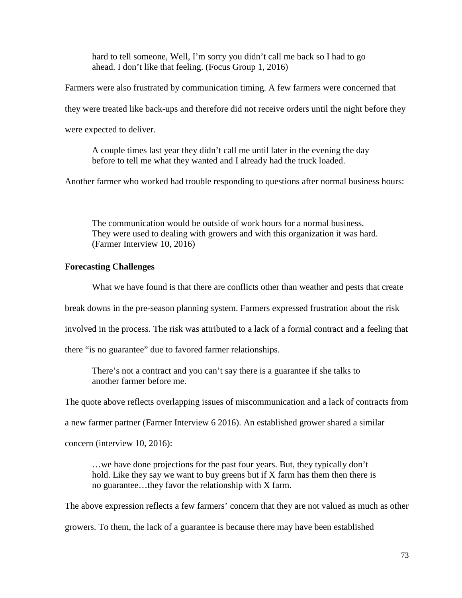hard to tell someone, Well, I'm sorry you didn't call me back so I had to go ahead. I don't like that feeling. (Focus Group 1, 2016)

Farmers were also frustrated by communication timing. A few farmers were concerned that

they were treated like back-ups and therefore did not receive orders until the night before they

were expected to deliver.

A couple times last year they didn't call me until later in the evening the day before to tell me what they wanted and I already had the truck loaded.

Another farmer who worked had trouble responding to questions after normal business hours:

The communication would be outside of work hours for a normal business. They were used to dealing with growers and with this organization it was hard. (Farmer Interview 10, 2016)

# **Forecasting Challenges**

What we have found is that there are conflicts other than weather and pests that create

break downs in the pre-season planning system. Farmers expressed frustration about the risk

involved in the process. The risk was attributed to a lack of a formal contract and a feeling that

there "is no guarantee" due to favored farmer relationships.

There's not a contract and you can't say there is a guarantee if she talks to another farmer before me.

The quote above reflects overlapping issues of miscommunication and a lack of contracts from

a new farmer partner (Farmer Interview 6 2016). An established grower shared a similar

concern (interview 10, 2016):

…we have done projections for the past four years. But, they typically don't hold. Like they say we want to buy greens but if X farm has them then there is no guarantee…they favor the relationship with X farm.

The above expression reflects a few farmers' concern that they are not valued as much as other

growers. To them, the lack of a guarantee is because there may have been established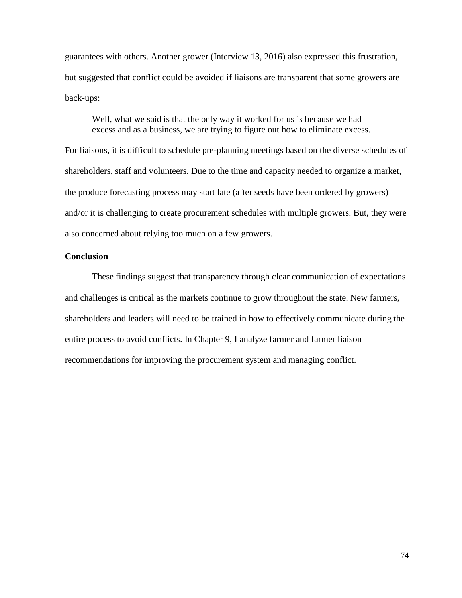guarantees with others. Another grower (Interview 13, 2016) also expressed this frustration, but suggested that conflict could be avoided if liaisons are transparent that some growers are back-ups:

Well, what we said is that the only way it worked for us is because we had excess and as a business, we are trying to figure out how to eliminate excess.

For liaisons, it is difficult to schedule pre-planning meetings based on the diverse schedules of shareholders, staff and volunteers. Due to the time and capacity needed to organize a market, the produce forecasting process may start late (after seeds have been ordered by growers) and/or it is challenging to create procurement schedules with multiple growers. But, they were also concerned about relying too much on a few growers.

# **Conclusion**

These findings suggest that transparency through clear communication of expectations and challenges is critical as the markets continue to grow throughout the state. New farmers, shareholders and leaders will need to be trained in how to effectively communicate during the entire process to avoid conflicts. In Chapter 9, I analyze farmer and farmer liaison recommendations for improving the procurement system and managing conflict.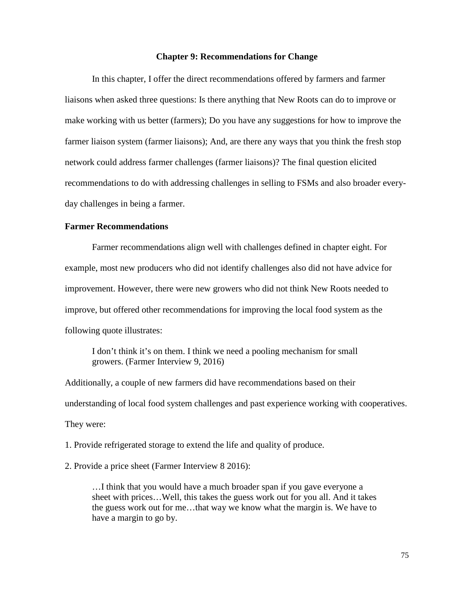#### **Chapter 9: Recommendations for Change**

In this chapter, I offer the direct recommendations offered by farmers and farmer liaisons when asked three questions: Is there anything that New Roots can do to improve or make working with us better (farmers); Do you have any suggestions for how to improve the farmer liaison system (farmer liaisons); And, are there any ways that you think the fresh stop network could address farmer challenges (farmer liaisons)? The final question elicited recommendations to do with addressing challenges in selling to FSMs and also broader everyday challenges in being a farmer.

# **Farmer Recommendations**

Farmer recommendations align well with challenges defined in chapter eight. For example, most new producers who did not identify challenges also did not have advice for improvement. However, there were new growers who did not think New Roots needed to improve, but offered other recommendations for improving the local food system as the following quote illustrates:

I don't think it's on them. I think we need a pooling mechanism for small growers. (Farmer Interview 9, 2016)

Additionally, a couple of new farmers did have recommendations based on their understanding of local food system challenges and past experience working with cooperatives. They were:

1. Provide refrigerated storage to extend the life and quality of produce.

2. Provide a price sheet (Farmer Interview 8 2016):

…I think that you would have a much broader span if you gave everyone a sheet with prices…Well, this takes the guess work out for you all. And it takes the guess work out for me…that way we know what the margin is. We have to have a margin to go by.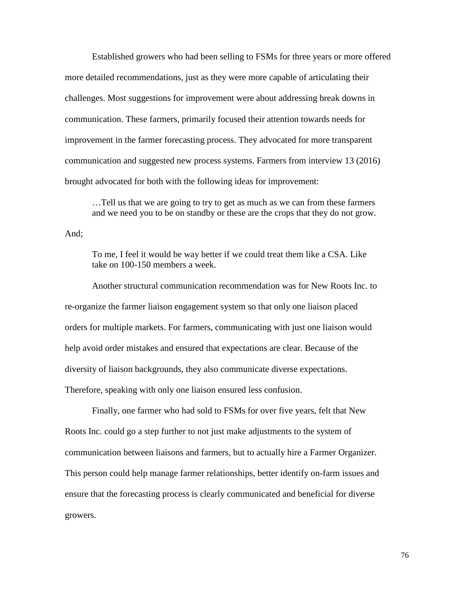Established growers who had been selling to FSMs for three years or more offered more detailed recommendations, just as they were more capable of articulating their challenges. Most suggestions for improvement were about addressing break downs in communication. These farmers, primarily focused their attention towards needs for improvement in the farmer forecasting process. They advocated for more transparent communication and suggested new process systems. Farmers from interview 13 (2016) brought advocated for both with the following ideas for improvement:

…Tell us that we are going to try to get as much as we can from these farmers and we need you to be on standby or these are the crops that they do not grow.

And;

To me, I feel it would be way better if we could treat them like a CSA. Like take on 100-150 members a week.

Another structural communication recommendation was for New Roots Inc. to re-organize the farmer liaison engagement system so that only one liaison placed orders for multiple markets. For farmers, communicating with just one liaison would help avoid order mistakes and ensured that expectations are clear. Because of the diversity of liaison backgrounds, they also communicate diverse expectations. Therefore, speaking with only one liaison ensured less confusion.

Finally, one farmer who had sold to FSMs for over five years, felt that New Roots Inc. could go a step further to not just make adjustments to the system of communication between liaisons and farmers, but to actually hire a Farmer Organizer. This person could help manage farmer relationships, better identify on-farm issues and ensure that the forecasting process is clearly communicated and beneficial for diverse growers.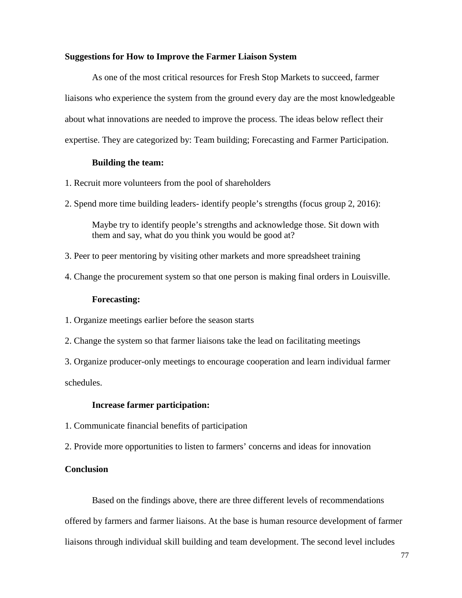# **Suggestions for How to Improve the Farmer Liaison System**

As one of the most critical resources for Fresh Stop Markets to succeed, farmer liaisons who experience the system from the ground every day are the most knowledgeable about what innovations are needed to improve the process. The ideas below reflect their expertise. They are categorized by: Team building; Forecasting and Farmer Participation.

# **Building the team:**

- 1. Recruit more volunteers from the pool of shareholders
- 2. Spend more time building leaders- identify people's strengths (focus group 2, 2016):

Maybe try to identify people's strengths and acknowledge those. Sit down with them and say, what do you think you would be good at?

- 3. Peer to peer mentoring by visiting other markets and more spreadsheet training
- 4. Change the procurement system so that one person is making final orders in Louisville.

# **Forecasting:**

- 1. Organize meetings earlier before the season starts
- 2. Change the system so that farmer liaisons take the lead on facilitating meetings

3. Organize producer-only meetings to encourage cooperation and learn individual farmer schedules.

# **Increase farmer participation:**

- 1. Communicate financial benefits of participation
- 2. Provide more opportunities to listen to farmers' concerns and ideas for innovation

# **Conclusion**

Based on the findings above, there are three different levels of recommendations offered by farmers and farmer liaisons. At the base is human resource development of farmer liaisons through individual skill building and team development. The second level includes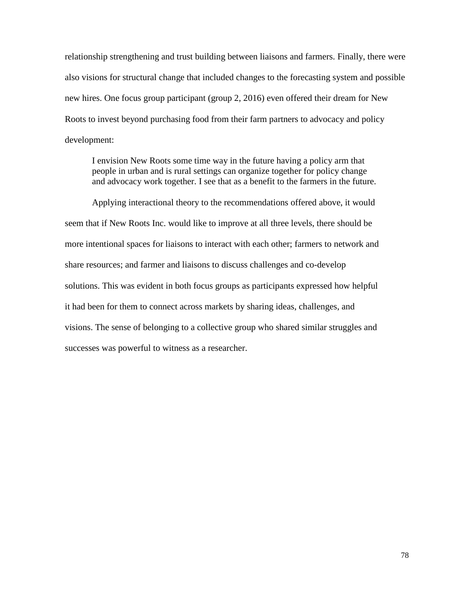relationship strengthening and trust building between liaisons and farmers. Finally, there were also visions for structural change that included changes to the forecasting system and possible new hires. One focus group participant (group 2, 2016) even offered their dream for New Roots to invest beyond purchasing food from their farm partners to advocacy and policy development:

I envision New Roots some time way in the future having a policy arm that people in urban and is rural settings can organize together for policy change and advocacy work together. I see that as a benefit to the farmers in the future.

Applying interactional theory to the recommendations offered above, it would seem that if New Roots Inc. would like to improve at all three levels, there should be more intentional spaces for liaisons to interact with each other; farmers to network and share resources; and farmer and liaisons to discuss challenges and co-develop solutions. This was evident in both focus groups as participants expressed how helpful it had been for them to connect across markets by sharing ideas, challenges, and visions. The sense of belonging to a collective group who shared similar struggles and successes was powerful to witness as a researcher.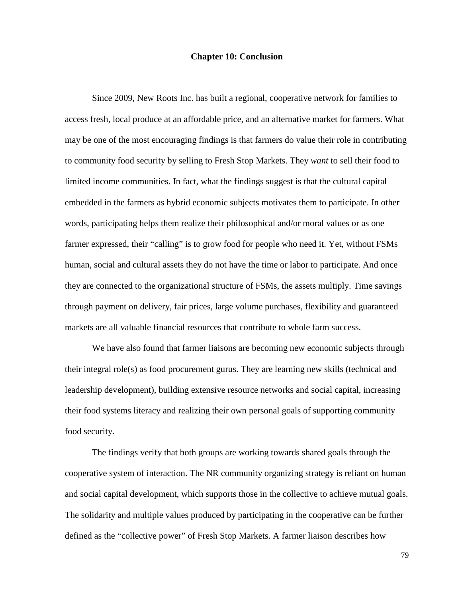# **Chapter 10: Conclusion**

Since 2009, New Roots Inc. has built a regional, cooperative network for families to access fresh, local produce at an affordable price, and an alternative market for farmers. What may be one of the most encouraging findings is that farmers do value their role in contributing to community food security by selling to Fresh Stop Markets. They *want* to sell their food to limited income communities. In fact, what the findings suggest is that the cultural capital embedded in the farmers as hybrid economic subjects motivates them to participate. In other words, participating helps them realize their philosophical and/or moral values or as one farmer expressed, their "calling" is to grow food for people who need it. Yet, without FSMs human, social and cultural assets they do not have the time or labor to participate. And once they are connected to the organizational structure of FSMs, the assets multiply. Time savings through payment on delivery, fair prices, large volume purchases, flexibility and guaranteed markets are all valuable financial resources that contribute to whole farm success.

We have also found that farmer liaisons are becoming new economic subjects through their integral role(s) as food procurement gurus. They are learning new skills (technical and leadership development), building extensive resource networks and social capital, increasing their food systems literacy and realizing their own personal goals of supporting community food security.

The findings verify that both groups are working towards shared goals through the cooperative system of interaction. The NR community organizing strategy is reliant on human and social capital development, which supports those in the collective to achieve mutual goals. The solidarity and multiple values produced by participating in the cooperative can be further defined as the "collective power" of Fresh Stop Markets. A farmer liaison describes how

79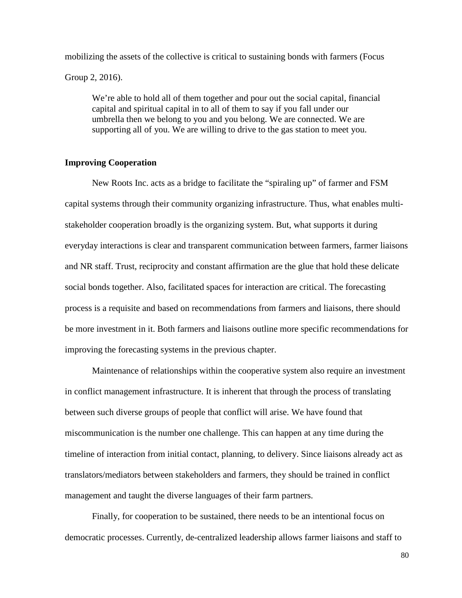mobilizing the assets of the collective is critical to sustaining bonds with farmers (Focus Group 2, 2016).

We're able to hold all of them together and pour out the social capital, financial capital and spiritual capital in to all of them to say if you fall under our umbrella then we belong to you and you belong. We are connected. We are supporting all of you. We are willing to drive to the gas station to meet you.

# **Improving Cooperation**

New Roots Inc. acts as a bridge to facilitate the "spiraling up" of farmer and FSM capital systems through their community organizing infrastructure. Thus, what enables multistakeholder cooperation broadly is the organizing system. But, what supports it during everyday interactions is clear and transparent communication between farmers, farmer liaisons and NR staff. Trust, reciprocity and constant affirmation are the glue that hold these delicate social bonds together. Also, facilitated spaces for interaction are critical. The forecasting process is a requisite and based on recommendations from farmers and liaisons, there should be more investment in it. Both farmers and liaisons outline more specific recommendations for improving the forecasting systems in the previous chapter.

Maintenance of relationships within the cooperative system also require an investment in conflict management infrastructure. It is inherent that through the process of translating between such diverse groups of people that conflict will arise. We have found that miscommunication is the number one challenge. This can happen at any time during the timeline of interaction from initial contact, planning, to delivery. Since liaisons already act as translators/mediators between stakeholders and farmers, they should be trained in conflict management and taught the diverse languages of their farm partners.

Finally, for cooperation to be sustained, there needs to be an intentional focus on democratic processes. Currently, de-centralized leadership allows farmer liaisons and staff to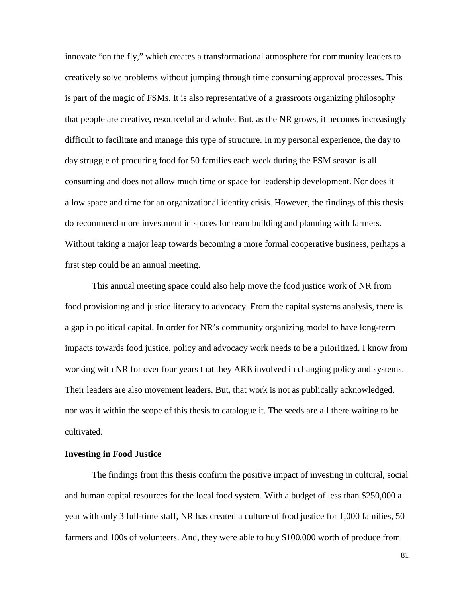innovate "on the fly," which creates a transformational atmosphere for community leaders to creatively solve problems without jumping through time consuming approval processes. This is part of the magic of FSMs. It is also representative of a grassroots organizing philosophy that people are creative, resourceful and whole. But, as the NR grows, it becomes increasingly difficult to facilitate and manage this type of structure. In my personal experience, the day to day struggle of procuring food for 50 families each week during the FSM season is all consuming and does not allow much time or space for leadership development. Nor does it allow space and time for an organizational identity crisis. However, the findings of this thesis do recommend more investment in spaces for team building and planning with farmers. Without taking a major leap towards becoming a more formal cooperative business, perhaps a first step could be an annual meeting.

This annual meeting space could also help move the food justice work of NR from food provisioning and justice literacy to advocacy. From the capital systems analysis, there is a gap in political capital. In order for NR's community organizing model to have long-term impacts towards food justice, policy and advocacy work needs to be a prioritized. I know from working with NR for over four years that they ARE involved in changing policy and systems. Their leaders are also movement leaders. But, that work is not as publically acknowledged, nor was it within the scope of this thesis to catalogue it. The seeds are all there waiting to be cultivated.

# **Investing in Food Justice**

The findings from this thesis confirm the positive impact of investing in cultural, social and human capital resources for the local food system. With a budget of less than \$250,000 a year with only 3 full-time staff, NR has created a culture of food justice for 1,000 families, 50 farmers and 100s of volunteers. And, they were able to buy \$100,000 worth of produce from

81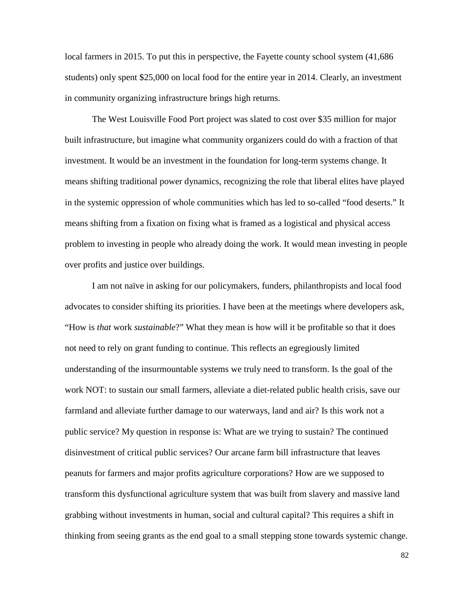local farmers in 2015. To put this in perspective, the Fayette county school system  $(41,686)$ students) only spent \$25,000 on local food for the entire year in 2014. Clearly, an investment in community organizing infrastructure brings high returns.

The West Louisville Food Port project was slated to cost over \$35 million for major built infrastructure, but imagine what community organizers could do with a fraction of that investment. It would be an investment in the foundation for long-term systems change. It means shifting traditional power dynamics, recognizing the role that liberal elites have played in the systemic oppression of whole communities which has led to so-called "food deserts." It means shifting from a fixation on fixing what is framed as a logistical and physical access problem to investing in people who already doing the work. It would mean investing in people over profits and justice over buildings.

I am not naïve in asking for our policymakers, funders, philanthropists and local food advocates to consider shifting its priorities. I have been at the meetings where developers ask, "How is *that* work *sustainable*?" What they mean is how will it be profitable so that it does not need to rely on grant funding to continue. This reflects an egregiously limited understanding of the insurmountable systems we truly need to transform. Is the goal of the work NOT: to sustain our small farmers, alleviate a diet-related public health crisis, save our farmland and alleviate further damage to our waterways, land and air? Is this work not a public service? My question in response is: What are we trying to sustain? The continued disinvestment of critical public services? Our arcane farm bill infrastructure that leaves peanuts for farmers and major profits agriculture corporations? How are we supposed to transform this dysfunctional agriculture system that was built from slavery and massive land grabbing without investments in human, social and cultural capital? This requires a shift in thinking from seeing grants as the end goal to a small stepping stone towards systemic change.

82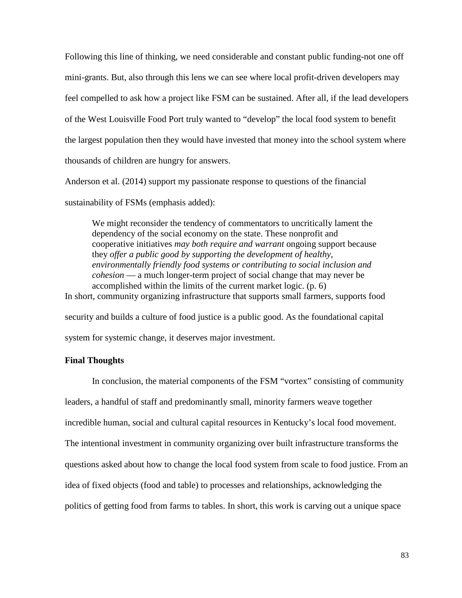Following this line of thinking, we need considerable and constant public funding-not one off mini-grants. But, also through this lens we can see where local profit-driven developers may feel compelled to ask how a project like FSM can be sustained. After all, if the lead developers of the West Louisville Food Port truly wanted to "develop" the local food system to benefit the largest population then they would have invested that money into the school system where thousands of children are hungry for answers.

Anderson et al. (2014) support my passionate response to questions of the financial sustainability of FSMs (emphasis added):

We might reconsider the tendency of commentators to uncritically lament the dependency of the social economy on the state. These nonprofit and cooperative initiatives *may both require and warrant* ongoing support because they *offer a public good by supporting the development of healthy, environmentally friendly food systems or contributing to social inclusion and cohesion* — a much longer-term project of social change that may never be accomplished within the limits of the current market logic. (p. 6) In short, community organizing infrastructure that supports small farmers, supports food security and builds a culture of food justice is a public good. As the foundational capital

system for systemic change, it deserves major investment.

# **Final Thoughts**

In conclusion, the material components of the FSM "vortex" consisting of community leaders, a handful of staff and predominantly small, minority farmers weave together incredible human, social and cultural capital resources in Kentucky's local food movement. The intentional investment in community organizing over built infrastructure transforms the questions asked about how to change the local food system from scale to food justice. From an idea of fixed objects (food and table) to processes and relationships, acknowledging the politics of getting food from farms to tables. In short, this work is carving out a unique space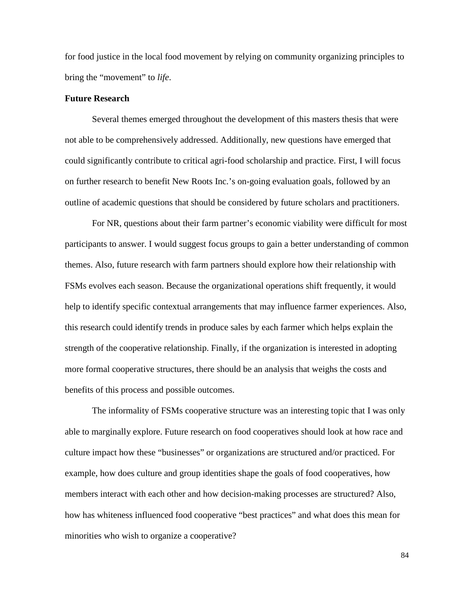for food justice in the local food movement by relying on community organizing principles to bring the "movement" to *life*.

#### **Future Research**

Several themes emerged throughout the development of this masters thesis that were not able to be comprehensively addressed. Additionally, new questions have emerged that could significantly contribute to critical agri-food scholarship and practice. First, I will focus on further research to benefit New Roots Inc.'s on-going evaluation goals, followed by an outline of academic questions that should be considered by future scholars and practitioners.

For NR, questions about their farm partner's economic viability were difficult for most participants to answer. I would suggest focus groups to gain a better understanding of common themes. Also, future research with farm partners should explore how their relationship with FSMs evolves each season. Because the organizational operations shift frequently, it would help to identify specific contextual arrangements that may influence farmer experiences. Also, this research could identify trends in produce sales by each farmer which helps explain the strength of the cooperative relationship. Finally, if the organization is interested in adopting more formal cooperative structures, there should be an analysis that weighs the costs and benefits of this process and possible outcomes.

The informality of FSMs cooperative structure was an interesting topic that I was only able to marginally explore. Future research on food cooperatives should look at how race and culture impact how these "businesses" or organizations are structured and/or practiced. For example, how does culture and group identities shape the goals of food cooperatives, how members interact with each other and how decision-making processes are structured? Also, how has whiteness influenced food cooperative "best practices" and what does this mean for minorities who wish to organize a cooperative?

84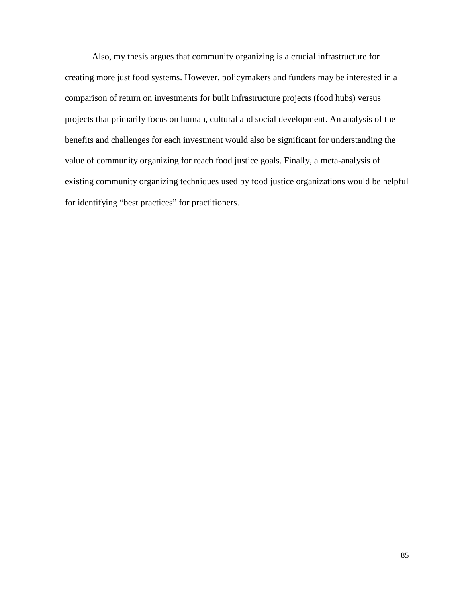Also, my thesis argues that community organizing is a crucial infrastructure for creating more just food systems. However, policymakers and funders may be interested in a comparison of return on investments for built infrastructure projects (food hubs) versus projects that primarily focus on human, cultural and social development. An analysis of the benefits and challenges for each investment would also be significant for understanding the value of community organizing for reach food justice goals. Finally, a meta-analysis of existing community organizing techniques used by food justice organizations would be helpful for identifying "best practices" for practitioners.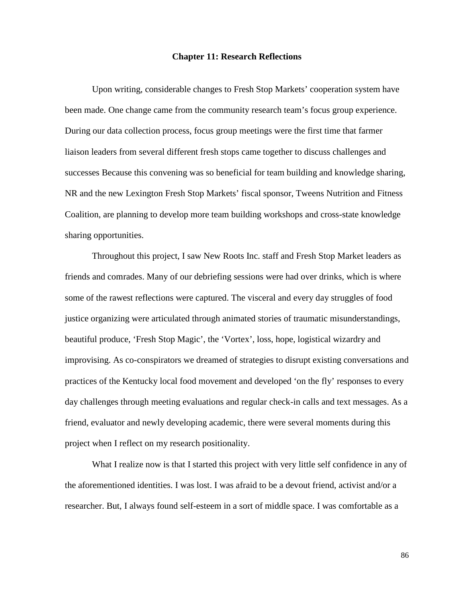#### **Chapter 11: Research Reflections**

Upon writing, considerable changes to Fresh Stop Markets' cooperation system have been made. One change came from the community research team's focus group experience. During our data collection process, focus group meetings were the first time that farmer liaison leaders from several different fresh stops came together to discuss challenges and successes Because this convening was so beneficial for team building and knowledge sharing, NR and the new Lexington Fresh Stop Markets' fiscal sponsor, Tweens Nutrition and Fitness Coalition, are planning to develop more team building workshops and cross-state knowledge sharing opportunities.

Throughout this project, I saw New Roots Inc. staff and Fresh Stop Market leaders as friends and comrades. Many of our debriefing sessions were had over drinks, which is where some of the rawest reflections were captured. The visceral and every day struggles of food justice organizing were articulated through animated stories of traumatic misunderstandings, beautiful produce, 'Fresh Stop Magic', the 'Vortex', loss, hope, logistical wizardry and improvising. As co-conspirators we dreamed of strategies to disrupt existing conversations and practices of the Kentucky local food movement and developed 'on the fly' responses to every day challenges through meeting evaluations and regular check-in calls and text messages. As a friend, evaluator and newly developing academic, there were several moments during this project when I reflect on my research positionality.

What I realize now is that I started this project with very little self confidence in any of the aforementioned identities. I was lost. I was afraid to be a devout friend, activist and/or a researcher. But, I always found self-esteem in a sort of middle space. I was comfortable as a

86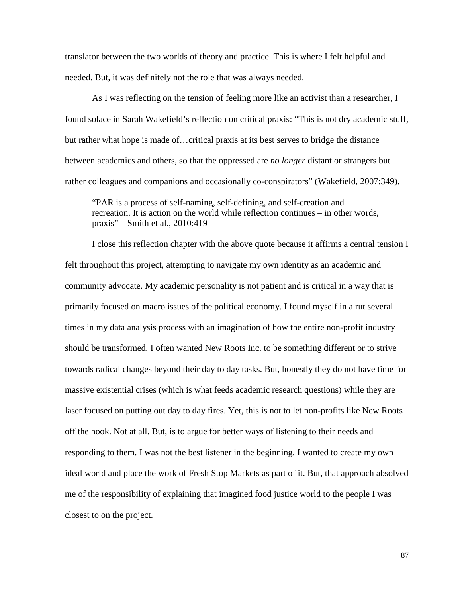translator between the two worlds of theory and practice. This is where I felt helpful and needed. But, it was definitely not the role that was always needed.

As I was reflecting on the tension of feeling more like an activist than a researcher, I found solace in Sarah Wakefield's reflection on critical praxis: "This is not dry academic stuff, but rather what hope is made of…critical praxis at its best serves to bridge the distance between academics and others, so that the oppressed are *no longer* distant or strangers but rather colleagues and companions and occasionally co-conspirators" (Wakefield, 2007:349).

"PAR is a process of self-naming, self-defining, and self-creation and recreation. It is action on the world while reflection continues – in other words, praxis" – Smith et al., 2010:419

I close this reflection chapter with the above quote because it affirms a central tension I felt throughout this project, attempting to navigate my own identity as an academic and community advocate. My academic personality is not patient and is critical in a way that is primarily focused on macro issues of the political economy. I found myself in a rut several times in my data analysis process with an imagination of how the entire non-profit industry should be transformed. I often wanted New Roots Inc. to be something different or to strive towards radical changes beyond their day to day tasks. But, honestly they do not have time for massive existential crises (which is what feeds academic research questions) while they are laser focused on putting out day to day fires. Yet, this is not to let non-profits like New Roots off the hook. Not at all. But, is to argue for better ways of listening to their needs and responding to them. I was not the best listener in the beginning. I wanted to create my own ideal world and place the work of Fresh Stop Markets as part of it. But, that approach absolved me of the responsibility of explaining that imagined food justice world to the people I was closest to on the project.

87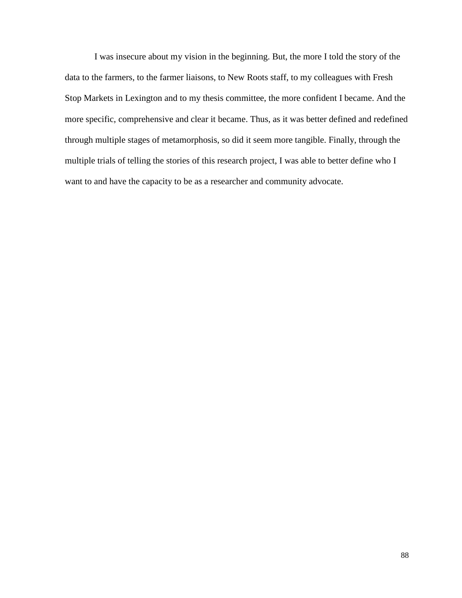I was insecure about my vision in the beginning. But, the more I told the story of the data to the farmers, to the farmer liaisons, to New Roots staff, to my colleagues with Fresh Stop Markets in Lexington and to my thesis committee, the more confident I became. And the more specific, comprehensive and clear it became. Thus, as it was better defined and redefined through multiple stages of metamorphosis, so did it seem more tangible. Finally, through the multiple trials of telling the stories of this research project, I was able to better define who I want to and have the capacity to be as a researcher and community advocate.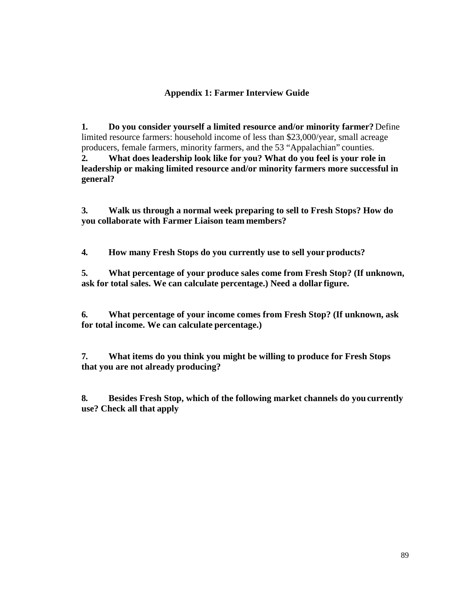# **Appendix 1: Farmer Interview Guide**

**1. Do you consider yourself a limited resource and/or minority farmer?** Define limited resource farmers: household income of less than \$23,000/year, small acreage producers, female farmers, minority farmers, and the 53 "Appalachian" counties. **2. What does leadership look like for you? What do you feel is your role in leadership or making limited resource and/or minority farmers more successful in general?**

**3. Walk us through a normal week preparing to sell to Fresh Stops? How do you collaborate with Farmer Liaison team members?**

**4. How many Fresh Stops do you currently use to sell your products?**

**5. What percentage of your produce sales come from Fresh Stop? (If unknown, ask for total sales. We can calculate percentage.) Need a dollar figure.**

**6. What percentage of your income comes from Fresh Stop? (If unknown, ask for total income. We can calculate percentage.)**

**7. What items do you think you might be willing to produce for Fresh Stops that you are not already producing?**

**8. Besides Fresh Stop, which of the following market channels do youcurrently use? Check all that apply**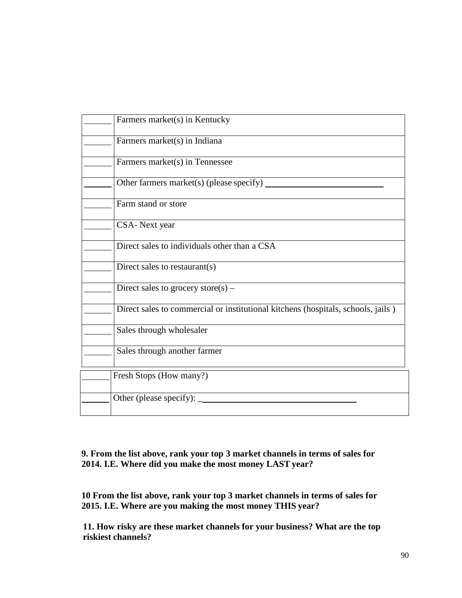| Farmers market(s) in Kentucky                                                    |
|----------------------------------------------------------------------------------|
| Farmers market(s) in Indiana                                                     |
| Farmers market(s) in Tennessee                                                   |
| Other farmers market(s) (please specify)                                         |
| Farm stand or store                                                              |
| CSA- Next year                                                                   |
| Direct sales to individuals other than a CSA                                     |
| Direct sales to restaurant(s)                                                    |
| Direct sales to grocery store(s) –                                               |
| Direct sales to commercial or institutional kitchens (hospitals, schools, jails) |
| Sales through wholesaler                                                         |
| Sales through another farmer                                                     |
| Fresh Stops (How many?)                                                          |
| Other (please specify): $\overline{\phantom{a}}$                                 |

**9. From the list above, rank your top 3 market channels in terms of sales for 2014. I.E. Where did you make the most money LAST year?**

**10 From the list above, rank your top 3 market channels in terms of sales for 2015. I.E. Where are you making the most money THIS year?**

 **11. How risky are these market channels for your business? What are the top riskiest channels?**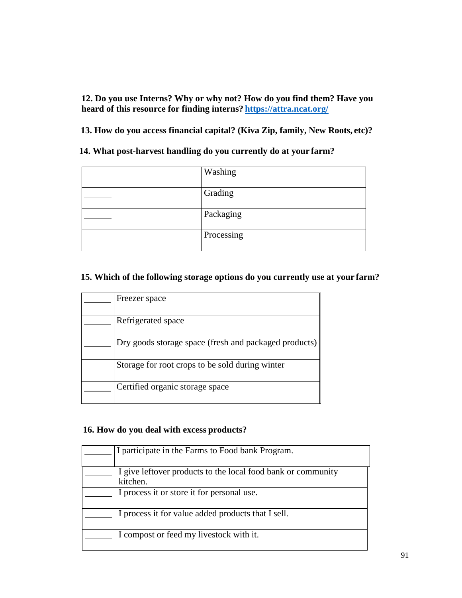**12. Do you use Interns? Why or why not? How do you find them? Have you heard of this resource for finding interns? <https://attra.ncat.org/>**

 **13. How do you access financial capital? (Kiva Zip, family, New Roots, etc)?**

 **14. What post-harvest handling do you currently do at your farm?**

| Washing    |
|------------|
| Grading    |
| Packaging  |
| Processing |

# **15. Which of the following storage options do you currently use at your farm?**

| Freezer space                                         |
|-------------------------------------------------------|
| Refrigerated space                                    |
| Dry goods storage space (fresh and packaged products) |
| Storage for root crops to be sold during winter       |
| Certified organic storage space                       |

# **16. How do you deal with excess products?**

| I participate in the Farms to Food bank Program.                         |
|--------------------------------------------------------------------------|
| I give leftover products to the local food bank or community<br>kitchen. |
| I process it or store it for personal use.                               |
| I process it for value added products that I sell.                       |
| I compost or feed my livestock with it.                                  |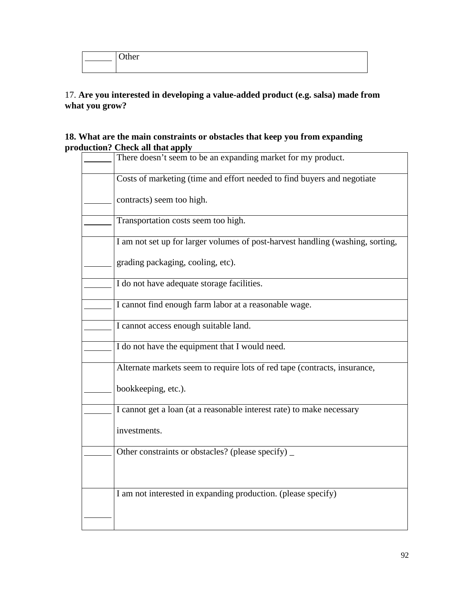| ຳລະ<br>uru |
|------------|
|            |

# 17. **Are you interested in developing a value-added product (e.g. salsa) made from what you grow?**

# **18. What are the main constraints or obstacles that keep you from expanding production? Check all that apply**

| n an matappiy                                                                  |
|--------------------------------------------------------------------------------|
| There doesn't seem to be an expanding market for my product.                   |
| Costs of marketing (time and effort needed to find buyers and negotiate        |
| contracts) seem too high.                                                      |
| Transportation costs seem too high.                                            |
| I am not set up for larger volumes of post-harvest handling (washing, sorting, |
| grading packaging, cooling, etc).                                              |
| I do not have adequate storage facilities.                                     |
| I cannot find enough farm labor at a reasonable wage.                          |
| I cannot access enough suitable land.                                          |
| I do not have the equipment that I would need.                                 |
| Alternate markets seem to require lots of red tape (contracts, insurance,      |
| bookkeeping, etc.).                                                            |
| I cannot get a loan (at a reasonable interest rate) to make necessary          |
| investments.                                                                   |
| Other constraints or obstacles? (please specify) _                             |
|                                                                                |
| I am not interested in expanding production. (please specify)                  |
|                                                                                |
|                                                                                |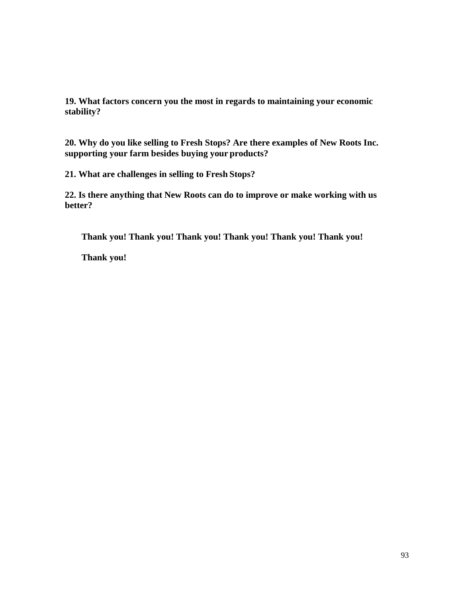**19. What factors concern you the most in regards to maintaining your economic stability?**

**20. Why do you like selling to Fresh Stops? Are there examples of New Roots Inc. supporting your farm besides buying your products?**

**21. What are challenges in selling to Fresh Stops?**

**22. Is there anything that New Roots can do to improve or make working with us better?**

**Thank you! Thank you! Thank you! Thank you! Thank you! Thank you!** 

**Thank you!**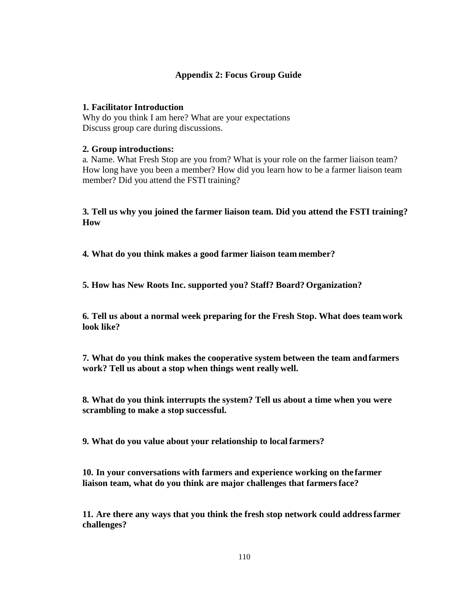# **Appendix 2: Focus Group Guide**

# **1. Facilitator Introduction**

Why do you think I am here? What are your expectations Discuss group care during discussions.

# **2. Group introductions:**

a. Name. What Fresh Stop are you from? What is your role on the farmer liaison team? How long have you been a member? How did you learn how to be a farmer liaison team member? Did you attend the FSTI training?

**3. Tell us why you joined the farmer liaison team. Did you attend the FSTI training? How**

**4. What do you think makes a good farmer liaison team member?**

**5. How has New Roots Inc. supported you? Staff? Board? Organization?**

**6. Tell us about a normal week preparing for the Fresh Stop. What does teamwork look like?**

**7. What do you think makes the cooperative system between the team andfarmers work? Tell us about a stop when things went really well.**

**8. What do you think interrupts the system? Tell us about a time when you were scrambling to make a stop successful.**

**9. What do you value about your relationship to local farmers?**

**10. In your conversations with farmers and experience working on the farmer liaison team, what do you think are major challenges that farmersface?**

**11. Are there any ways that you think the fresh stop network could addressfarmer challenges?**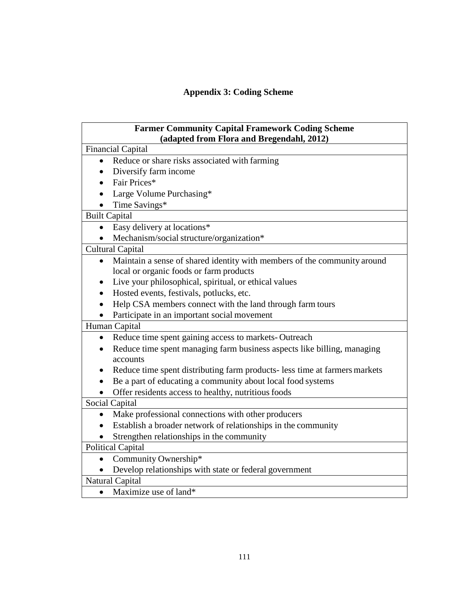# **Appendix 3: Coding Scheme**

| <b>Farmer Community Capital Framework Coding Scheme</b>                    |  |  |
|----------------------------------------------------------------------------|--|--|
| (adapted from Flora and Bregendahl, 2012)                                  |  |  |
| <b>Financial Capital</b>                                                   |  |  |
| Reduce or share risks associated with farming<br>$\bullet$                 |  |  |
| Diversify farm income                                                      |  |  |
| Fair Prices*                                                               |  |  |
| Large Volume Purchasing*                                                   |  |  |
| Time Savings*                                                              |  |  |
| <b>Built Capital</b>                                                       |  |  |
| Easy delivery at locations*                                                |  |  |
| Mechanism/social structure/organization*                                   |  |  |
| <b>Cultural Capital</b>                                                    |  |  |
| Maintain a sense of shared identity with members of the community around   |  |  |
| local or organic foods or farm products                                    |  |  |
| Live your philosophical, spiritual, or ethical values                      |  |  |
| Hosted events, festivals, potlucks, etc.                                   |  |  |
| Help CSA members connect with the land through farm tours                  |  |  |
| Participate in an important social movement                                |  |  |
| Human Capital                                                              |  |  |
| Reduce time spent gaining access to markets-Outreach                       |  |  |
| Reduce time spent managing farm business aspects like billing, managing    |  |  |
| accounts                                                                   |  |  |
| Reduce time spent distributing farm products- less time at farmers markets |  |  |
| Be a part of educating a community about local food systems                |  |  |
| Offer residents access to healthy, nutritious foods                        |  |  |
| Social Capital                                                             |  |  |
| Make professional connections with other producers<br>$\bullet$            |  |  |
| Establish a broader network of relationships in the community              |  |  |
| Strengthen relationships in the community                                  |  |  |
| <b>Political Capital</b>                                                   |  |  |
| Community Ownership*                                                       |  |  |
| Develop relationships with state or federal government                     |  |  |
| Natural Capital                                                            |  |  |
| Maximize use of land*<br>$\bullet$                                         |  |  |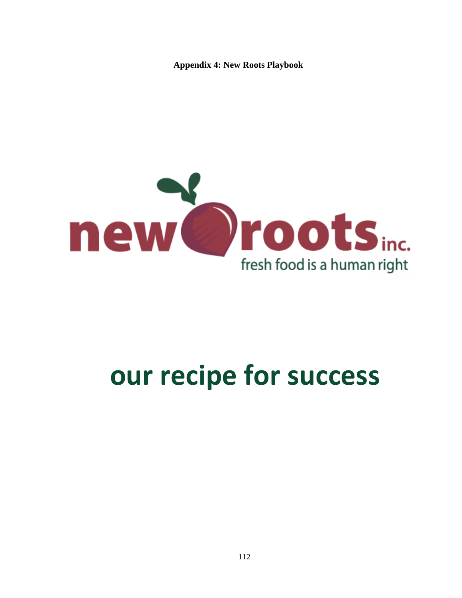**Appendix 4: New Roots Playbook** 



# **our recipe for success**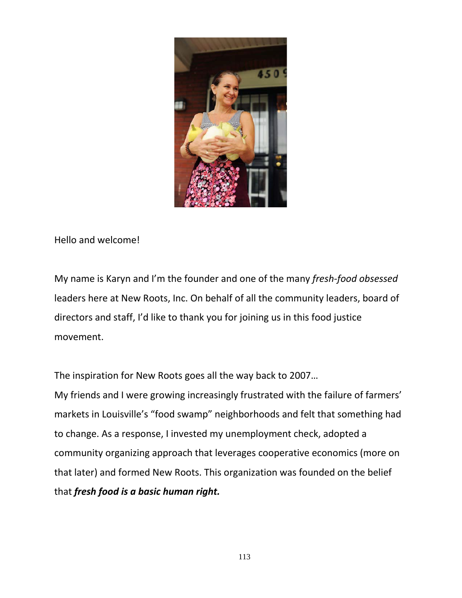

Hello and welcome!

My name is Karyn and I'm the founder and one of the many *fresh-food obsessed*  leaders here at New Roots, Inc. On behalf of all the community leaders, board of directors and staff, I'd like to thank you for joining us in this food justice movement.

The inspiration for New Roots goes all the way back to 2007… My friends and I were growing increasingly frustrated with the failure of farmers' markets in Louisville's "food swamp" neighborhoods and felt that something had to change. As a response, I invested my unemployment check, adopted a community organizing approach that leverages cooperative economics (more on that later) and formed New Roots. This organization was founded on the belief that *fresh food is a basic human right.*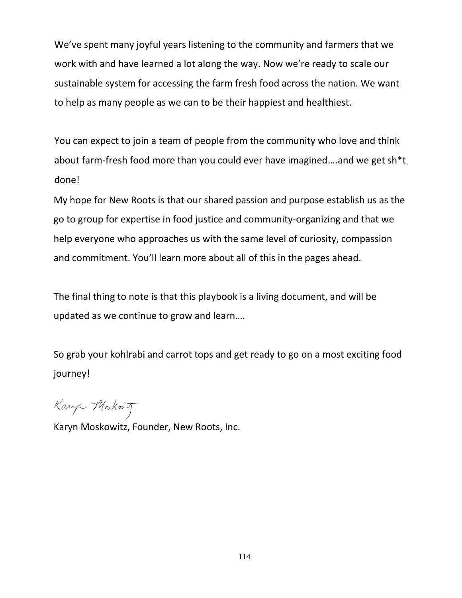We've spent many joyful years listening to the community and farmers that we work with and have learned a lot along the way. Now we're ready to scale our sustainable system for accessing the farm fresh food across the nation. We want to help as many people as we can to be their happiest and healthiest.

You can expect to join a team of people from the community who love and think about farm-fresh food more than you could ever have imagined….and we get sh\*t done!

My hope for New Roots is that our shared passion and purpose establish us as the go to group for expertise in food justice and community-organizing and that we help everyone who approaches us with the same level of curiosity, compassion and commitment. You'll learn more about all of this in the pages ahead.

The final thing to note is that this playbook is a living document, and will be updated as we continue to grow and learn….

So grab your kohlrabi and carrot tops and get ready to go on a most exciting food journey!

Karp Morkait

Karyn Moskowitz, Founder, New Roots, Inc.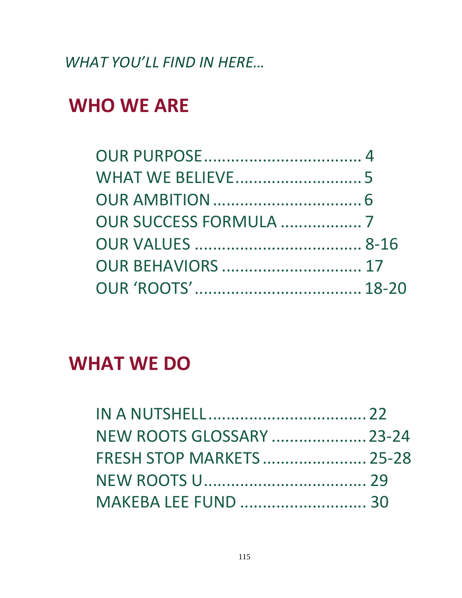*WHAT YOU'LL FIND IN HERE…*

## **WHO WE ARE**

| <b>OUR SUCCESS FORMULA  7</b> |  |
|-------------------------------|--|
|                               |  |
|                               |  |
|                               |  |

## **WHAT WE DO**

| <b>NEW ROOTS GLOSSARY  23-24</b> |  |
|----------------------------------|--|
| <b>FRESH STOP MARKETS  25-28</b> |  |
|                                  |  |
| <b>MAKEBA LEE FUND  30</b>       |  |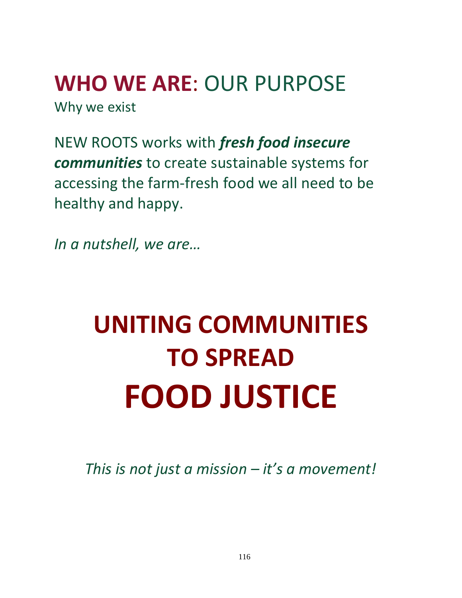**WHO WE ARE**: OUR PURPOSE Why we exist

NEW ROOTS works with *fresh food insecure communities* to create sustainable systems for accessing the farm-fresh food we all need to be healthy and happy.

*In a nutshell, we are…*

# **UNITING COMMUNITIES TO SPREAD FOOD JUSTICE**

*This is not just a mission – it's a movement!*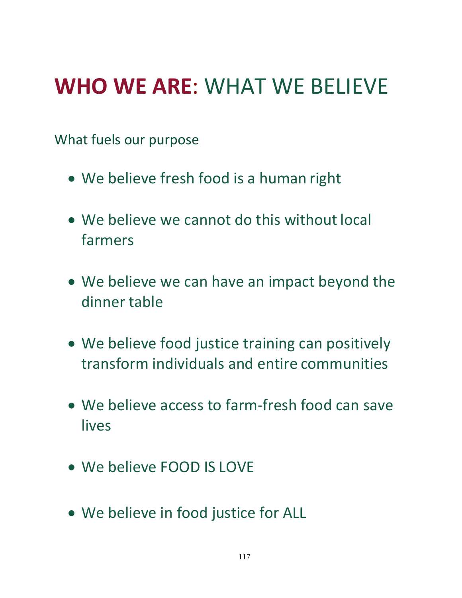# **WHO WE ARE**: WHAT WE BELIEVE

What fuels our purpose

- We believe fresh food is a human right
- We believe we cannot do this without local farmers
- We believe we can have an impact beyond the dinner table
- We believe food justice training can positively transform individuals and entire communities
- We believe access to farm-fresh food can save lives
- We believe FOOD IS LOVE
- We believe in food justice for ALL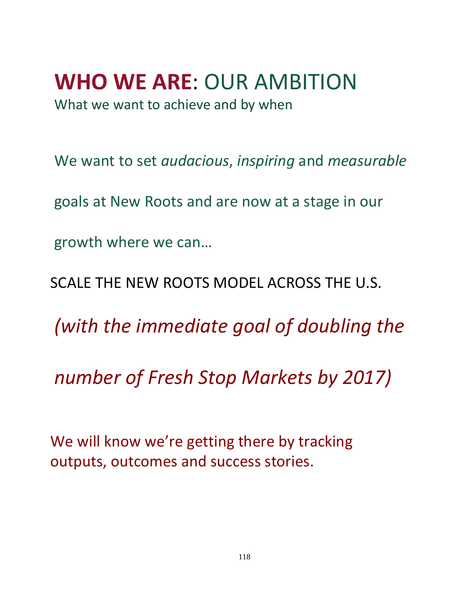# **WHO WE ARE**: OUR AMBITION

What we want to achieve and by when

We want to set *audacious*, *inspiring* and *measurable* 

goals at New Roots and are now at a stage in our

growth where we can…

SCALE THE NEW ROOTS MODEL ACROSS THE U.S.

*(with the immediate goal of doubling the*

*number of Fresh Stop Markets by 2017)*

We will know we're getting there by tracking outputs, outcomes and success stories.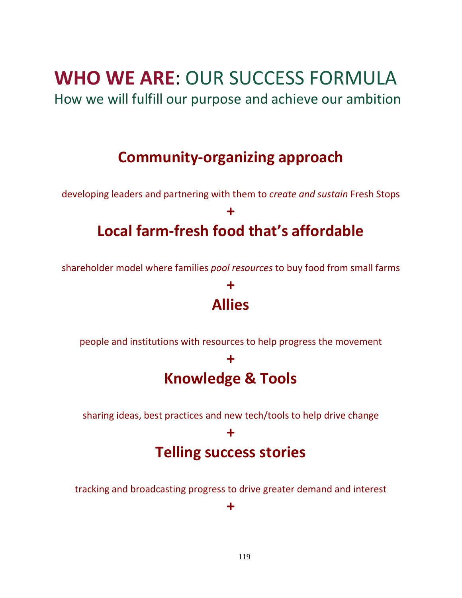## **WHO WE ARE**: OUR SUCCESS FORMULA

How we will fulfill our purpose and achieve our ambition

### **Community-organizing approach**

developing leaders and partnering with them to *create and sustain* Fresh Stops

**+**

## **Local farm-fresh food that's affordable**

shareholder model where families *pool resources* to buy food from small farms

### **+ Allies**

people and institutions with resources to help progress the movement

### **+ Knowledge & Tools**

sharing ideas, best practices and new tech/tools to help drive change

#### **+**

### **Telling success stories**

tracking and broadcasting progress to drive greater demand and interest

#### **+**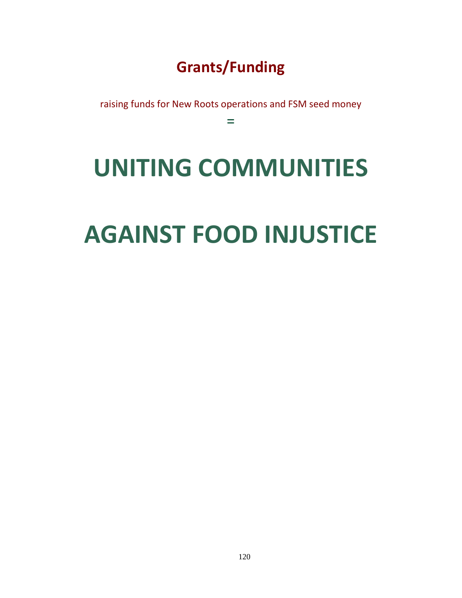## **Grants/Funding**

raising funds for New Roots operations and FSM seed money

 $\equiv$ 

# **UNITING COMMUNITIES**

# **AGAINST FOOD INJUSTICE**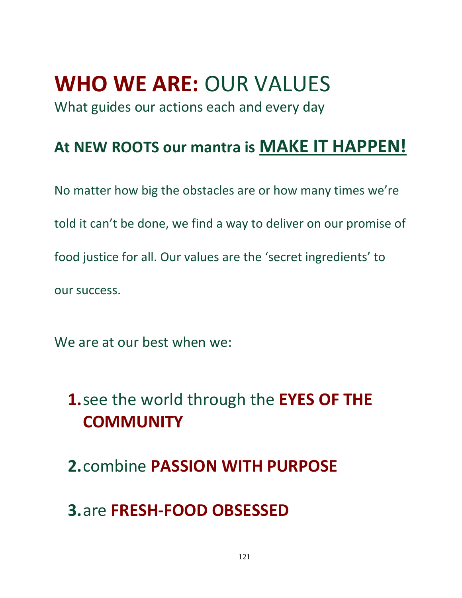## **WHO WE ARE:** OUR VALUES

What guides our actions each and every day

## **At NEW ROOTS our mantra is MAKE IT HAPPEN!**

No matter how big the obstacles are or how many times we're told it can't be done, we find a way to deliver on our promise of food justice for all. Our values are the 'secret ingredients' to our success.

We are at our best when we:

## **1.**see the world through the **EYES OF THE COMMUNITY**

**2.**combine **PASSION WITH PURPOSE**

## **3.**are **FRESH-FOOD OBSESSED**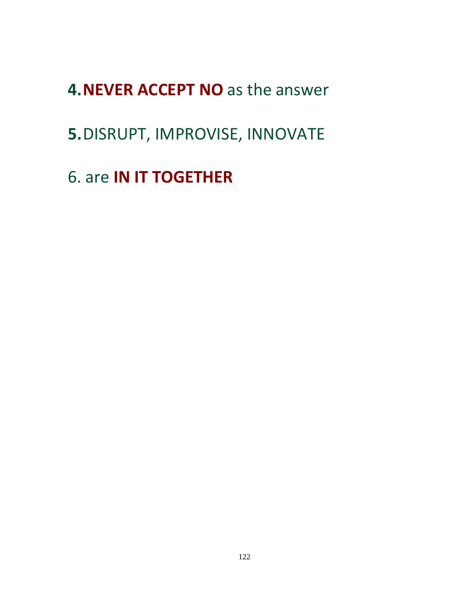## **4.NEVER ACCEPT NO** as the answer

## **5.**DISRUPT, IMPROVISE, INNOVATE

6. are **IN IT TOGETHER**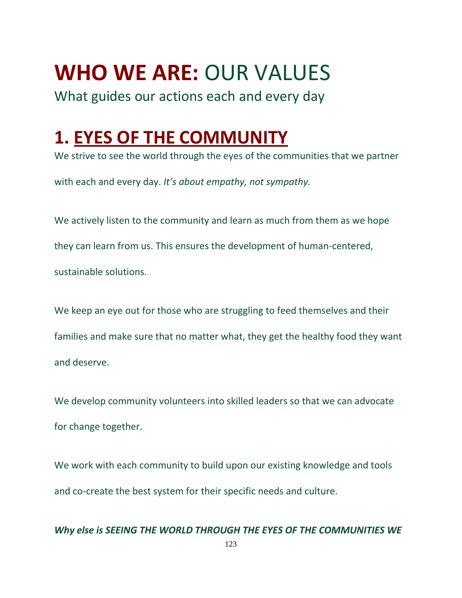## **WHO WE ARE:** OUR VALUES

What guides our actions each and every day

## **1. EYES OF THE COMMUNITY**

We strive to see the world through the eyes of the communities that we partner with each and every day. *It's about empathy, not sympathy.*

We actively listen to the community and learn as much from them as we hope they can learn from us. This ensures the development of human-centered, sustainable solutions.

We keep an eye out for those who are struggling to feed themselves and their families and make sure that no matter what, they get the healthy food they want and deserve.

We develop community volunteers into skilled leaders so that we can advocate for change together.

We work with each community to build upon our existing knowledge and tools and co-create the best system for their specific needs and culture.

#### *Why else is SEEING THE WORLD THROUGH THE EYES OF THE COMMUNITIES WE*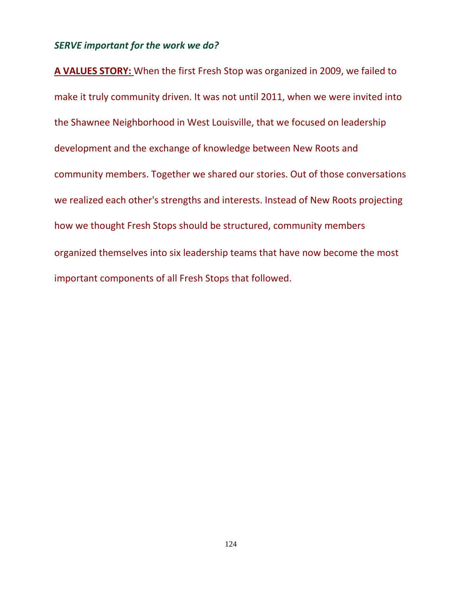#### *SERVE important for the work we do?*

**A VALUES STORY:** When the first Fresh Stop was organized in 2009, we failed to make it truly community driven. It was not until 2011, when we were invited into the Shawnee Neighborhood in West Louisville, that we focused on leadership development and the exchange of knowledge between New Roots and community members. Together we shared our stories. Out of those conversations we realized each other's strengths and interests. Instead of New Roots projecting how we thought Fresh Stops should be structured, community members organized themselves into six leadership teams that have now become the most important components of all Fresh Stops that followed.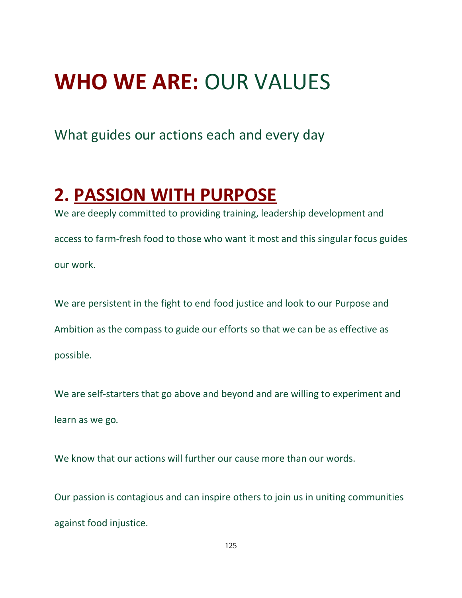## **WHO WE ARE:** OUR VALUES

What guides our actions each and every day

## **2. PASSION WITH PURPOSE**

We are deeply committed to providing training, leadership development and access to farm-fresh food to those who want it most and this singular focus guides our work.

We are persistent in the fight to end food justice and look to our Purpose and Ambition as the compass to guide our efforts so that we can be as effective as possible.

We are self-starters that go above and beyond and are willing to experiment and learn as we go*.*

We know that our actions will further our cause more than our words.

Our passion is contagious and can inspire others to join us in uniting communities against food injustice.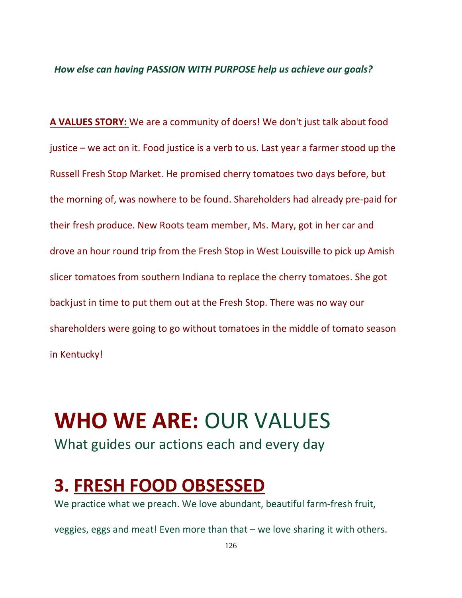#### *How else can having PASSION WITH PURPOSE help us achieve our goals?*

**A VALUES STORY:** We are a community of doers! We don't just talk about food justice – we act on it. Food justice is a verb to us. Last year a farmer stood up the Russell Fresh Stop Market. He promised cherry tomatoes two days before, but the morning of, was nowhere to be found. Shareholders had already pre-paid for their fresh produce. New Roots team member, Ms. Mary, got in her car and drove an hour round trip from the Fresh Stop in West Louisville to pick up Amish slicer tomatoes from southern Indiana to replace the cherry tomatoes. She got backjust in time to put them out at the Fresh Stop. There was no way our shareholders were going to go without tomatoes in the middle of tomato season in Kentucky!

## **WHO WE ARE:** OUR VALUES

What guides our actions each and every day

## **3. FRESH FOOD OBSESSED**

We practice what we preach. We love abundant, beautiful farm-fresh fruit,

veggies, eggs and meat! Even more than that – we love sharing it with others.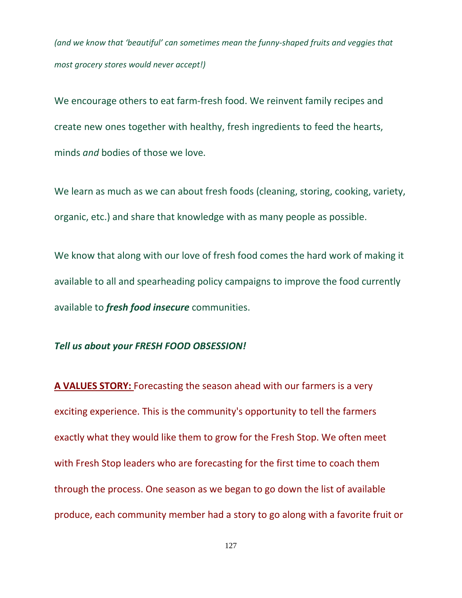*(and we know that 'beautiful' can sometimes mean the funny-shaped fruits and veggies that most grocery stores would never accept!)*

We encourage others to eat farm-fresh food. We reinvent family recipes and create new ones together with healthy, fresh ingredients to feed the hearts, minds *and* bodies of those we love.

We learn as much as we can about fresh foods (cleaning, storing, cooking, variety, organic, etc.) and share that knowledge with as many people as possible.

We know that along with our love of fresh food comes the hard work of making it available to all and spearheading policy campaigns to improve the food currently available to *fresh food insecure* communities.

#### *Tell us about your FRESH FOOD OBSESSION!*

**A VALUES STORY:** Forecasting the season ahead with our farmers is a very exciting experience. This is the community's opportunity to tell the farmers exactly what they would like them to grow for the Fresh Stop. We often meet with Fresh Stop leaders who are forecasting for the first time to coach them through the process. One season as we began to go down the list of available produce, each community member had a story to go along with a favorite fruit or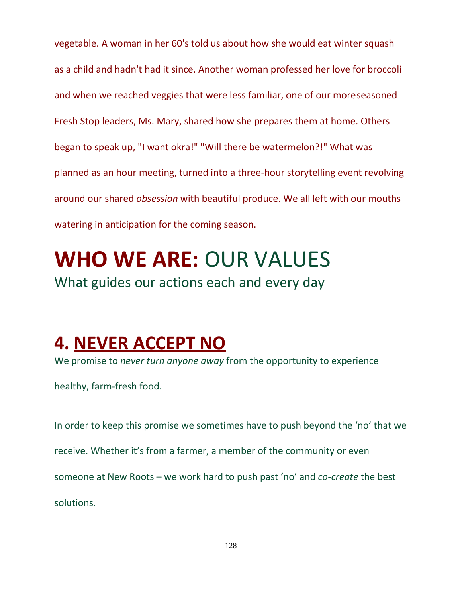vegetable. A woman in her 60's told us about how she would eat winter squash as a child and hadn't had it since. Another woman professed her love for broccoli and when we reached veggies that were less familiar, one of our moreseasoned Fresh Stop leaders, Ms. Mary, shared how she prepares them at home. Others began to speak up, "I want okra!" "Will there be watermelon?!" What was planned as an hour meeting, turned into a three-hour storytelling event revolving around our shared *obsession* with beautiful produce. We all left with our mouths watering in anticipation for the coming season.

# **WHO WE ARE:** OUR VALUES

What guides our actions each and every day

## **4. NEVER ACCEPT NO**

We promise to *never turn anyone away* from the opportunity to experience

healthy, farm-fresh food.

In order to keep this promise we sometimes have to push beyond the 'no' that we receive. Whether it's from a farmer, a member of the community or even someone at New Roots – we work hard to push past 'no' and *co-create* the best solutions.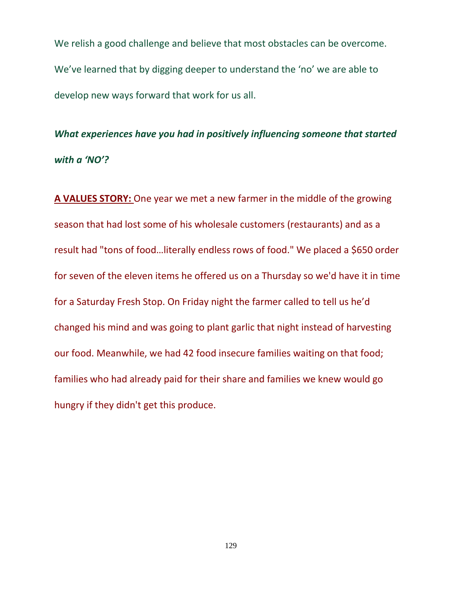We relish a good challenge and believe that most obstacles can be overcome. We've learned that by digging deeper to understand the 'no' we are able to develop new ways forward that work for us all.

*What experiences have you had in positively influencing someone that started with a 'NO'?*

**A VALUES STORY:** One year we met a new farmer in the middle of the growing season that had lost some of his wholesale customers (restaurants) and as a result had "tons of food…literally endless rows of food." We placed a \$650 order for seven of the eleven items he offered us on a Thursday so we'd have it in time for a Saturday Fresh Stop. On Friday night the farmer called to tell us he'd changed his mind and was going to plant garlic that night instead of harvesting our food. Meanwhile, we had 42 food insecure families waiting on that food; families who had already paid for their share and families we knew would go hungry if they didn't get this produce.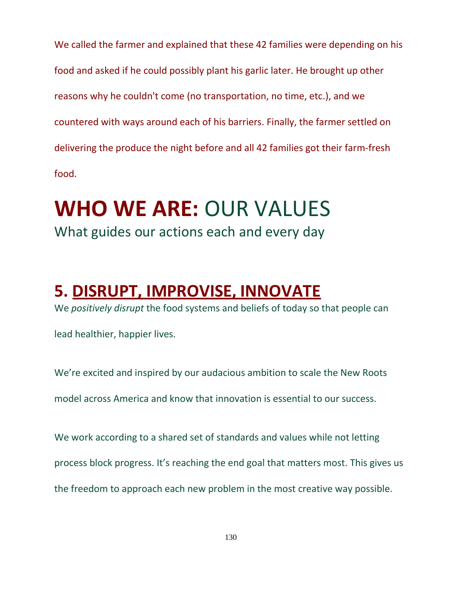We called the farmer and explained that these 42 families were depending on his food and asked if he could possibly plant his garlic later. He brought up other reasons why he couldn't come (no transportation, no time, etc.), and we countered with ways around each of his barriers. Finally, the farmer settled on delivering the produce the night before and all 42 families got their farm-fresh food.

## **WHO WE ARE:** OUR VALUES What guides our actions each and every day

## **5. DISRUPT, IMPROVISE, INNOVATE**

We *positively disrupt* the food systems and beliefs of today so that people can

lead healthier, happier lives.

We're excited and inspired by our audacious ambition to scale the New Roots

model across America and know that innovation is essential to our success.

We work according to a shared set of standards and values while not letting process block progress. It's reaching the end goal that matters most. This gives us the freedom to approach each new problem in the most creative way possible.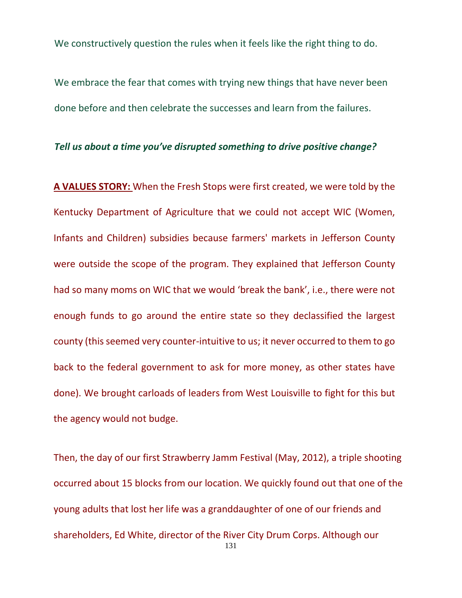We constructively question the rules when it feels like the right thing to do.

We embrace the fear that comes with trying new things that have never been done before and then celebrate the successes and learn from the failures.

#### *Tell us about a time you've disrupted something to drive positive change?*

**A VALUES STORY:** When the Fresh Stops were first created, we were told by the Kentucky Department of Agriculture that we could not accept WIC (Women, Infants and Children) subsidies because farmers' markets in Jefferson County were outside the scope of the program. They explained that Jefferson County had so many moms on WIC that we would 'break the bank', i.e., there were not enough funds to go around the entire state so they declassified the largest county (this seemed very counter-intuitive to us; it never occurred to them to go back to the federal government to ask for more money, as other states have done). We brought carloads of leaders from West Louisville to fight for this but the agency would not budge.

131 Then, the day of our first Strawberry Jamm Festival (May, 2012), a triple shooting occurred about 15 blocks from our location. We quickly found out that one of the young adults that lost her life was a granddaughter of one of our friends and shareholders, Ed White, director of the River City Drum Corps. Although our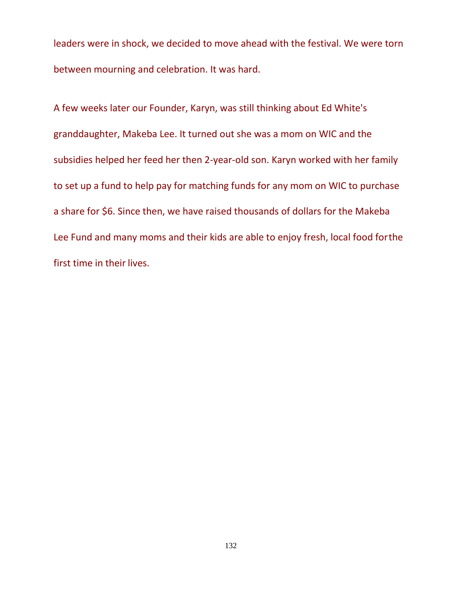leaders were in shock, we decided to move ahead with the festival. We were torn between mourning and celebration. It was hard.

A few weeks later our Founder, Karyn, was still thinking about Ed White's granddaughter, Makeba Lee. It turned out she was a mom on WIC and the subsidies helped her feed her then 2-year-old son. Karyn worked with her family to set up a fund to help pay for matching funds for any mom on WIC to purchase a share for \$6. Since then, we have raised thousands of dollars for the Makeba Lee Fund and many moms and their kids are able to enjoy fresh, local food forthe first time in their lives.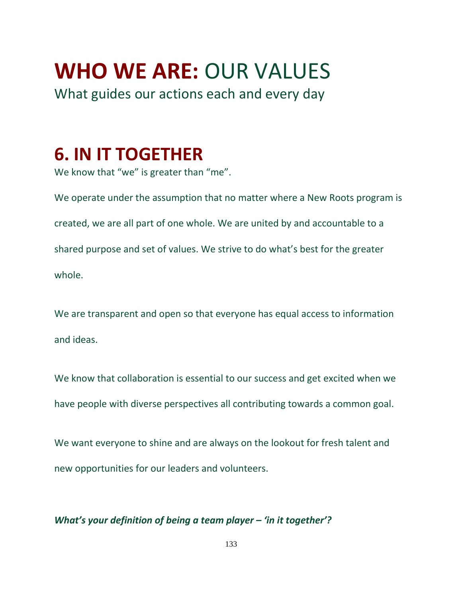# **WHO WE ARE:** OUR VALUES

What guides our actions each and every day

## **6. IN IT TOGETHER**

We know that "we" is greater than "me".

We operate under the assumption that no matter where a New Roots program is created, we are all part of one whole. We are united by and accountable to a shared purpose and set of values. We strive to do what's best for the greater whole.

We are transparent and open so that everyone has equal access to information and ideas.

We know that collaboration is essential to our success and get excited when we have people with diverse perspectives all contributing towards a common goal.

We want everyone to shine and are always on the lookout for fresh talent and new opportunities for our leaders and volunteers.

#### *What's your definition of being a team player – 'in it together'?*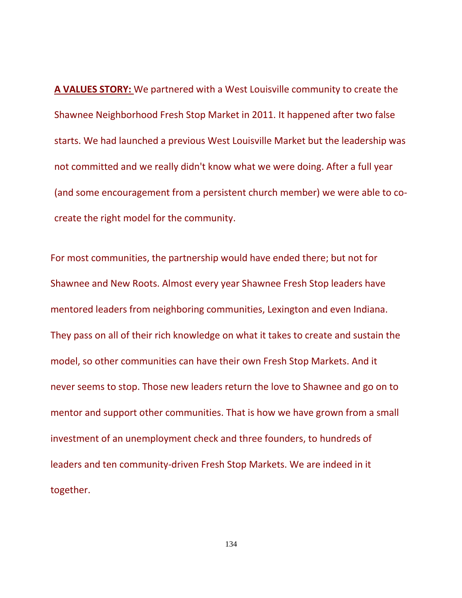**A VALUES STORY:** We partnered with a West Louisville community to create the Shawnee Neighborhood Fresh Stop Market in 2011. It happened after two false starts. We had launched a previous West Louisville Market but the leadership was not committed and we really didn't know what we were doing. After a full year (and some encouragement from a persistent church member) we were able to cocreate the right model for the community.

For most communities, the partnership would have ended there; but not for Shawnee and New Roots. Almost every year Shawnee Fresh Stop leaders have mentored leaders from neighboring communities, Lexington and even Indiana. They pass on all of their rich knowledge on what it takes to create and sustain the model, so other communities can have their own Fresh Stop Markets. And it never seems to stop. Those new leaders return the love to Shawnee and go on to mentor and support other communities. That is how we have grown from a small investment of an unemployment check and three founders, to hundreds of leaders and ten community-driven Fresh Stop Markets. We are indeed in it together.

134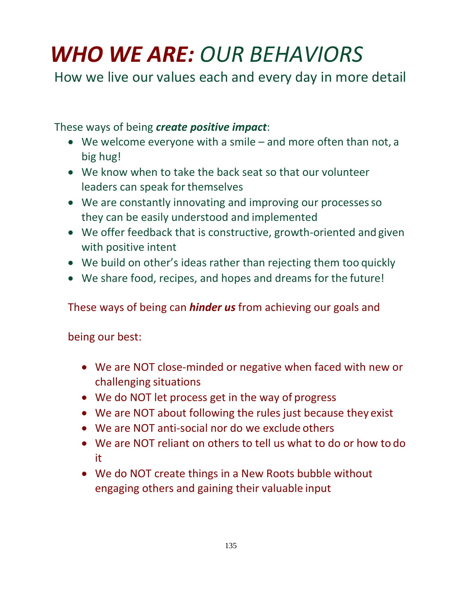# *WHO WE ARE: OUR BEHAVIORS*

How we live our values each and every day in more detail

These ways of being *create positive impact*:

- We welcome everyone with a smile and more often than not, a big hug!
- We know when to take the back seat so that our volunteer leaders can speak for themselves
- We are constantly innovating and improving our processes so they can be easily understood and implemented
- We offer feedback that is constructive, growth-oriented and given with positive intent
- We build on other's ideas rather than rejecting them too quickly
- We share food, recipes, and hopes and dreams for the future!

These ways of being can *hinder us* from achieving our goals and

being our best:

- We are NOT close-minded or negative when faced with new or challenging situations
- We do NOT let process get in the way of progress
- We are NOT about following the rules just because they exist
- We are NOT anti-social nor do we exclude others
- We are NOT reliant on others to tell us what to do or how to do it
- We do NOT create things in a New Roots bubble without engaging others and gaining their valuable input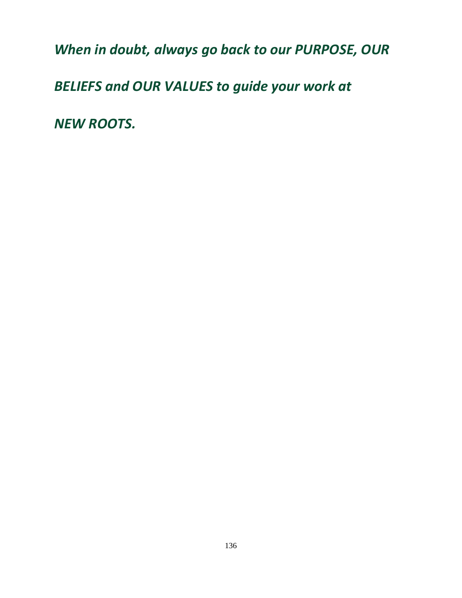*When in doubt, always go back to our PURPOSE, OUR* 

*BELIEFS and OUR VALUES to guide your work at*

*NEW ROOTS.*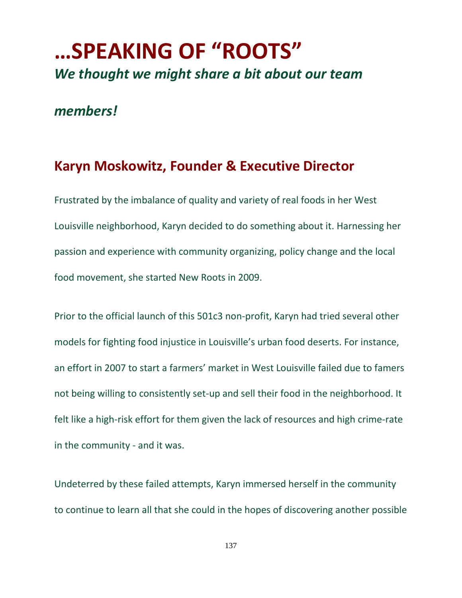## **…SPEAKING OF "ROOTS"** *We thought we might share a bit about our team*

#### *members!*

#### **Karyn Moskowitz, Founder & Executive Director**

Frustrated by the imbalance of quality and variety of real foods in her West Louisville neighborhood, Karyn decided to do something about it. Harnessing her passion and experience with community organizing, policy change and the local food movement, she started New Roots in 2009.

Prior to the official launch of this 501c3 non-profit, Karyn had tried several other models for fighting food injustice in Louisville's urban food deserts. For instance, an effort in 2007 to start a farmers' market in West Louisville failed due to famers not being willing to consistently set-up and sell their food in the neighborhood. It felt like a high-risk effort for them given the lack of resources and high crime-rate in the community - and it was.

Undeterred by these failed attempts, Karyn immersed herself in the community to continue to learn all that she could in the hopes of discovering another possible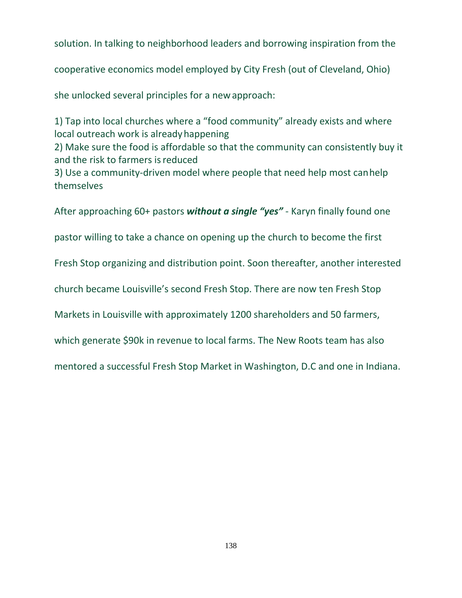solution. In talking to neighborhood leaders and borrowing inspiration from the

cooperative economics model employed by City Fresh (out of Cleveland, Ohio)

she unlocked several principles for a newapproach:

1) Tap into local churches where a "food community" already exists and where local outreach work is alreadyhappening

2) Make sure the food is affordable so that the community can consistently buy it and the risk to farmers isreduced

3) Use a community-driven model where people that need help most canhelp themselves

After approaching 60+ pastors *without a single "yes"* - Karyn finally found one

pastor willing to take a chance on opening up the church to become the first

Fresh Stop organizing and distribution point. Soon thereafter, another interested

church became Louisville's second Fresh Stop. There are now ten Fresh Stop

Markets in Louisville with approximately 1200 shareholders and 50 farmers,

which generate \$90k in revenue to local farms. The New Roots team has also

mentored a successful Fresh Stop Market in Washington, D.C and one in Indiana.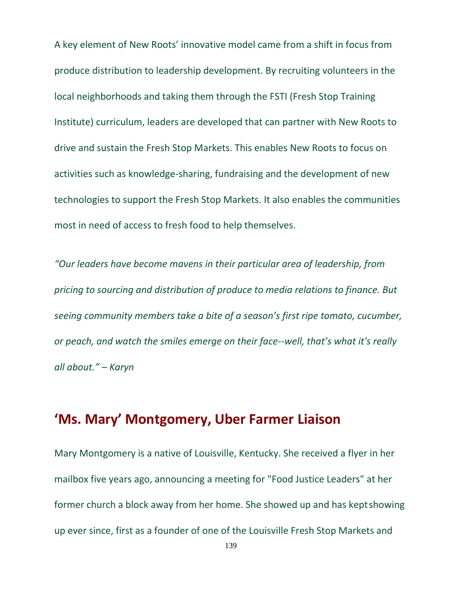A key element of New Roots' innovative model came from a shift in focus from produce distribution to leadership development. By recruiting volunteers in the local neighborhoods and taking them through the FSTI (Fresh Stop Training Institute) curriculum, leaders are developed that can partner with New Roots to drive and sustain the Fresh Stop Markets. This enables New Roots to focus on activities such as knowledge-sharing, fundraising and the development of new technologies to support the Fresh Stop Markets. It also enables the communities most in need of access to fresh food to help themselves.

*"Our leaders have become mavens in their particular area of leadership, from pricing to sourcing and distribution of produce to media relations to finance. But seeing community members take a bite of a season's first ripe tomato, cucumber, or peach, and watch the smiles emerge on their face--well, that's what it's really all about." – Karyn*

#### **'Ms. Mary' Montgomery, Uber Farmer Liaison**

Mary Montgomery is a native of Louisville, Kentucky. She received a flyer in her mailbox five years ago, announcing a meeting for "Food Justice Leaders" at her former church a block away from her home. She showed up and has keptshowing up ever since, first as a founder of one of the Louisville Fresh Stop Markets and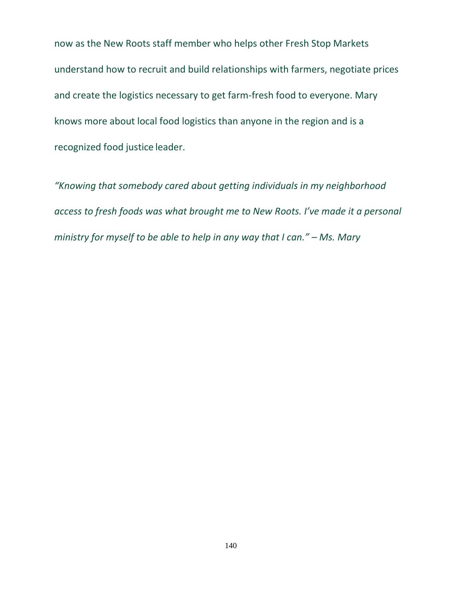now as the New Roots staff member who helps other Fresh Stop Markets understand how to recruit and build relationships with farmers, negotiate prices and create the logistics necessary to get farm-fresh food to everyone. Mary knows more about local food logistics than anyone in the region and is a recognized food justice leader.

*"Knowing that somebody cared about getting individuals in my neighborhood access to fresh foods was what brought me to New Roots. I've made it a personal ministry for myself to be able to help in any way that I can." – Ms. Mary*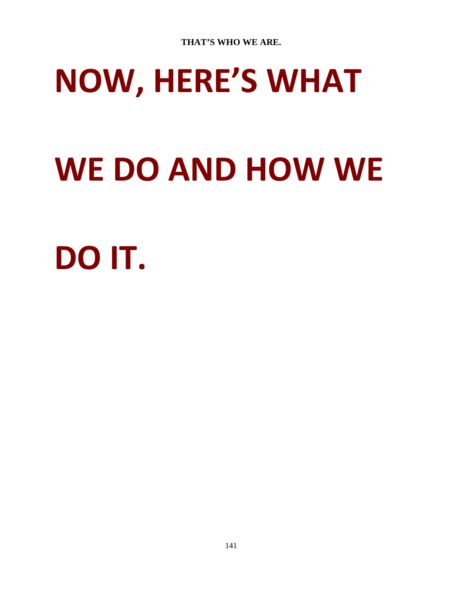# **NOW, HERE'S WHAT**

# **WE DO AND HOW WE**

# **DO IT.**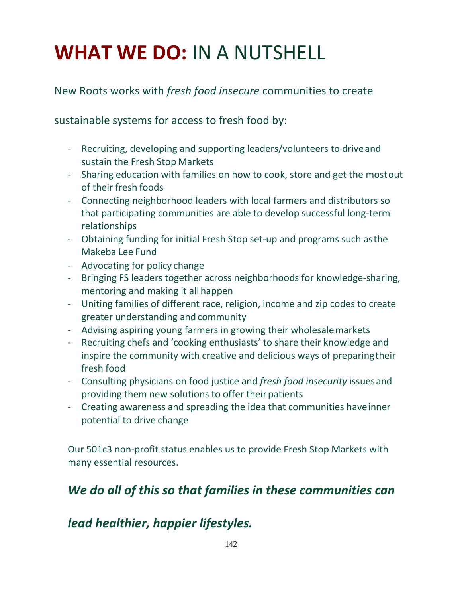## **WHAT WE DO:** IN A NUTSHELL

#### New Roots works with *fresh food insecure* communities to create

sustainable systems for access to fresh food by:

- Recruiting, developing and supporting leaders/volunteers to driveand sustain the Fresh Stop Markets
- Sharing education with families on how to cook, store and get the mostout of their fresh foods
- Connecting neighborhood leaders with local farmers and distributors so that participating communities are able to develop successful long-term relationships
- Obtaining funding for initial Fresh Stop set-up and programs such asthe Makeba Lee Fund
- Advocating for policy change
- Bringing FS leaders together across neighborhoods for knowledge-sharing, mentoring and making it all happen
- Uniting families of different race, religion, income and zip codes to create greater understanding and community
- Advising aspiring young farmers in growing their wholesalemarkets
- Recruiting chefs and 'cooking enthusiasts' to share their knowledge and inspire the community with creative and delicious ways of preparingtheir fresh food
- Consulting physicians on food justice and *fresh food insecurity* issuesand providing them new solutions to offer their patients
- Creating awareness and spreading the idea that communities haveinner potential to drive change

Our 501c3 non-profit status enables us to provide Fresh Stop Markets with many essential resources.

### *We do all of this so that families in these communities can*

#### *lead healthier, happier lifestyles.*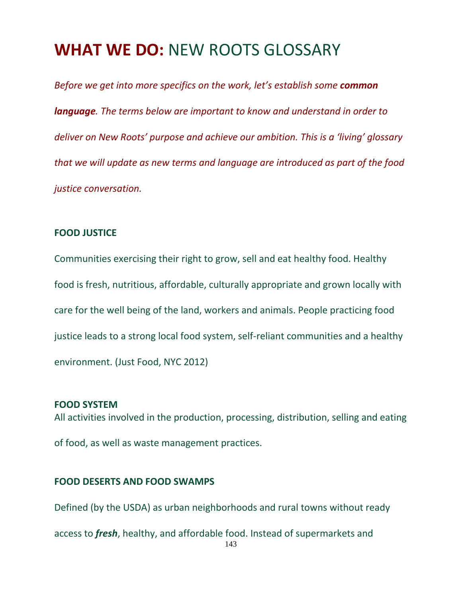### **WHAT WE DO:** NEW ROOTS GLOSSARY

*Before we get into more specifics on the work, let's establish some common language. The terms below are important to know and understand in order to deliver on New Roots' purpose and achieve our ambition. This is a 'living' glossary that we will update as new terms and language are introduced as part of the food justice conversation.*

#### **FOOD JUSTICE**

Communities exercising their right to grow, sell and eat healthy food. Healthy food is fresh, nutritious, affordable, culturally appropriate and grown locally with care for the well being of the land, workers and animals. People practicing food justice leads to a strong local food system, self-reliant communities and a healthy environment. (Just Food, NYC 2012)

#### **FOOD SYSTEM**

All activities involved in the production, processing, distribution, selling and eating of food, as well as waste management practices.

#### **FOOD DESERTS AND FOOD SWAMPS**

Defined (by the USDA) as urban neighborhoods and rural towns without ready

143 access to *fresh*, healthy, and affordable food. Instead of supermarkets and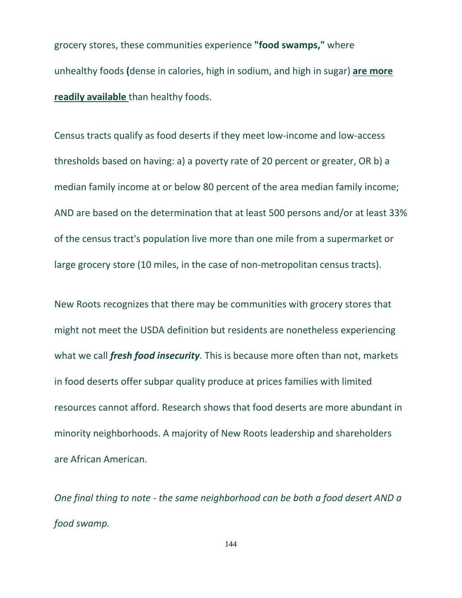grocery stores, these communities experience **"food swamps,"** where unhealthy foods **(**dense in calories, high in sodium, and high in sugar) **are more readily available** than healthy foods.

Census tracts qualify as food deserts if they meet low-income and low-access thresholds based on having: a) a poverty rate of 20 percent or greater, OR b) a median family income at or below 80 percent of the area median family income; AND are based on the determination that at least 500 persons and/or at least 33% of the census tract's population live more than one mile from a supermarket or large grocery store (10 miles, in the case of non-metropolitan census tracts).

New Roots recognizes that there may be communities with grocery stores that might not meet the USDA definition but residents are nonetheless experiencing what we call *fresh food insecurity*. This is because more often than not, markets in food deserts offer subpar quality produce at prices families with limited resources cannot afford. Research shows that food deserts are more abundant in minority neighborhoods. A majority of New Roots leadership and shareholders are African American.

*One final thing to note - the same neighborhood can be both a food desert AND a food swamp.*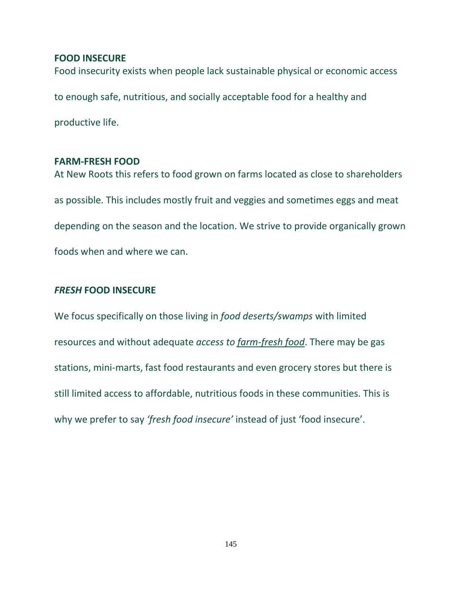#### **FOOD INSECURE**

Food insecurity exists when people lack sustainable physical or economic access

to enough safe, nutritious, and socially acceptable food for a healthy and

productive life.

#### **FARM-FRESH FOOD**

At New Roots this refers to food grown on farms located as close to shareholders as possible. This includes mostly fruit and veggies and sometimes eggs and meat depending on the season and the location. We strive to provide organically grown foods when and where we can.

#### **FRESH FOOD INSECURE**

We focus specifically on those living in *food deserts/swamps* with limited resources and without adequate *access to farm-fresh food*. There may be gas stations, mini-marts, fast food restaurants and even grocery stores but there is still limited access to affordable, nutritious foods in these communities. This is why we prefer to say *'fresh food insecure'* instead of just 'food insecure'.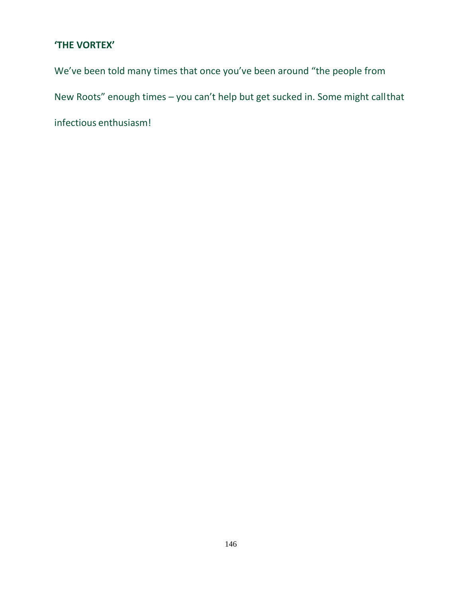#### **'THE VORTEX'**

We've been told many times that once you've been around "the people from New Roots" enough times – you can't help but get sucked in. Some might callthat infectious enthusiasm!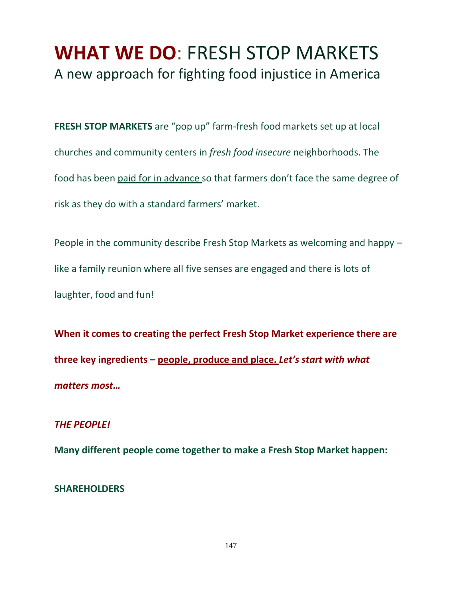## **WHAT WE DO**: FRESH STOP MARKETS A new approach for fighting food injustice in America

**FRESH STOP MARKETS** are "pop up" farm-fresh food markets set up at local churches and community centers in *fresh food insecure* neighborhoods. The food has been paid for in advance so that farmers don't face the same degree of risk as they do with a standard farmers' market.

People in the community describe Fresh Stop Markets as welcoming and happy – like a family reunion where all five senses are engaged and there is lots of laughter, food and fun!

**When it comes to creating the perfect Fresh Stop Market experience there are three key ingredients – people, produce and place.** *Let's start with what matters most…*

#### *THE PEOPLE!*

**Many different people come together to make a Fresh Stop Market happen:**

#### **SHAREHOLDERS**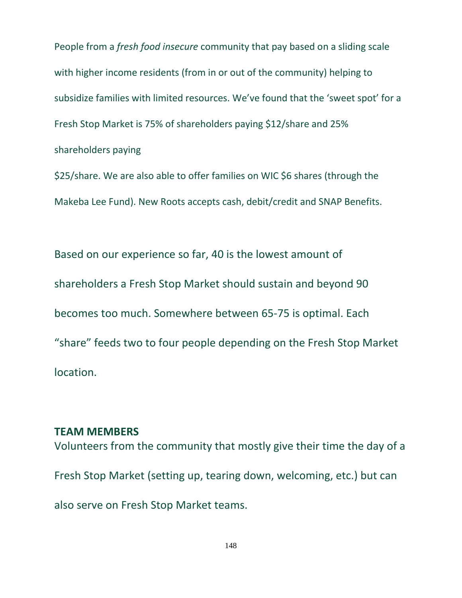People from a *fresh food insecure* community that pay based on a sliding scale with higher income residents (from in or out of the community) helping to subsidize families with limited resources. We've found that the 'sweet spot' for a Fresh Stop Market is 75% of shareholders paying \$12/share and 25% shareholders paying

\$25/share. We are also able to offer families on WIC \$6 shares (through the Makeba Lee Fund). New Roots accepts cash, debit/credit and SNAP Benefits.

Based on our experience so far, 40 is the lowest amount of shareholders a Fresh Stop Market should sustain and beyond 90 becomes too much. Somewhere between 65-75 is optimal. Each "share" feeds two to four people depending on the Fresh Stop Market location.

#### **TEAM MEMBERS**

Volunteers from the community that mostly give their time the day of a Fresh Stop Market (setting up, tearing down, welcoming, etc.) but can also serve on Fresh Stop Market teams.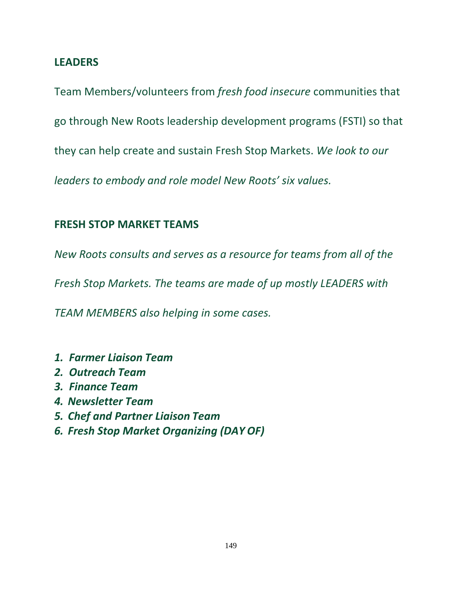### **LEADERS**

Team Members/volunteers from *fresh food insecure* communities that go through New Roots leadership development programs (FSTI) so that they can help create and sustain Fresh Stop Markets. *We look to our leaders to embody and role model New Roots' six values.*

### **FRESH STOP MARKET TEAMS**

*New Roots consults and serves as a resource for teams from all of the* 

*Fresh Stop Markets. The teams are made of up mostly LEADERS with* 

*TEAM MEMBERS also helping in some cases.*

- *1. Farmer Liaison Team*
- *2. Outreach Team*
- *3. Finance Team*
- *4. Newsletter Team*
- *5. Chef and Partner Liaison Team*
- *6. Fresh Stop Market Organizing (DAY OF)*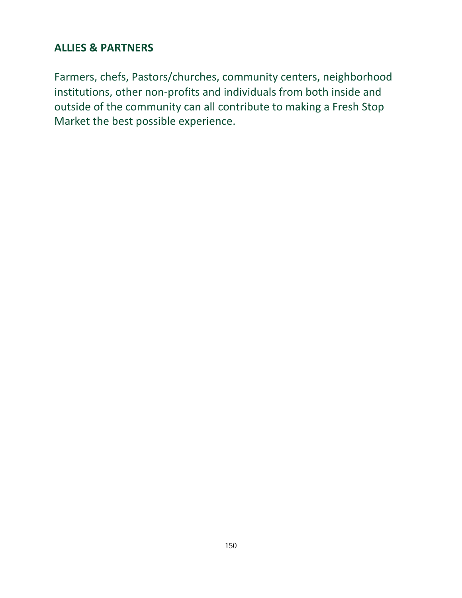## **ALLIES & PARTNERS**

Farmers, chefs, Pastors/churches, community centers, neighborhood institutions, other non-profits and individuals from both inside and outside of the community can all contribute to making a Fresh Stop Market the best possible experience.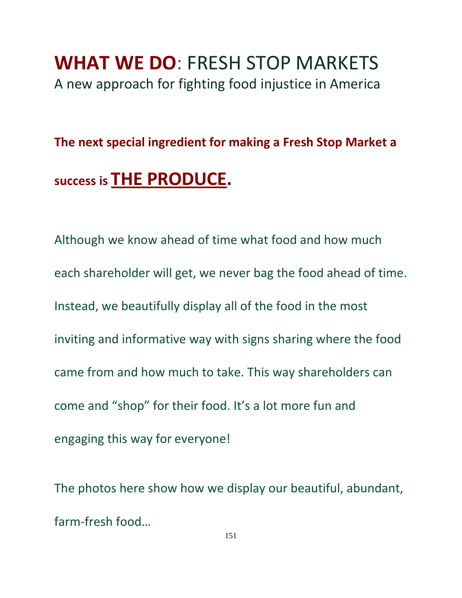## **WHAT WE DO**: FRESH STOP MARKETS A new approach for fighting food injustice in America

## **The next special ingredient for making a Fresh Stop Market a**

## **success is THE PRODUCE.**

Although we know ahead of time what food and how much each shareholder will get, we never bag the food ahead of time. Instead, we beautifully display all of the food in the most inviting and informative way with signs sharing where the food came from and how much to take. This way shareholders can come and "shop" for their food. It's a lot more fun and engaging this way for everyone!

The photos here show how we display our beautiful, abundant, farm-fresh food…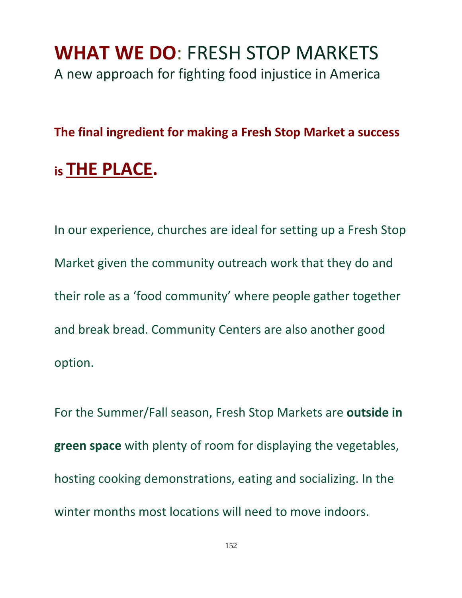## **WHAT WE DO**: FRESH STOP MARKETS A new approach for fighting food injustice in America

## **The final ingredient for making a Fresh Stop Market a success**

## **is THE PLACE.**

In our experience, churches are ideal for setting up a Fresh Stop Market given the community outreach work that they do and their role as a 'food community' where people gather together and break bread. Community Centers are also another good option.

For the Summer/Fall season, Fresh Stop Markets are **outside in green space** with plenty of room for displaying the vegetables, hosting cooking demonstrations, eating and socializing. In the winter months most locations will need to move indoors.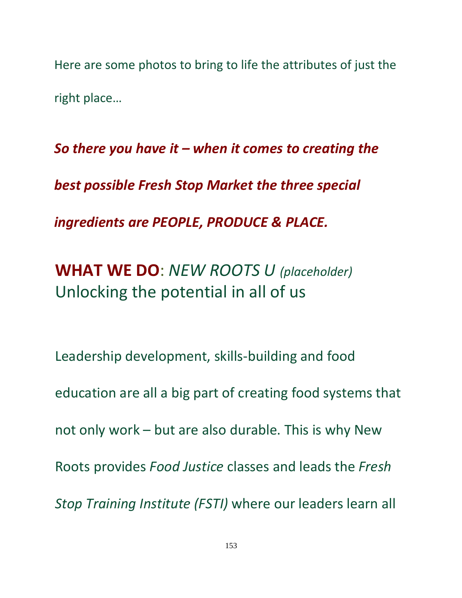Here are some photos to bring to life the attributes of just the right place…

*So there you have it – when it comes to creating the best possible Fresh Stop Market the three special ingredients are PEOPLE, PRODUCE & PLACE.*

**WHAT WE DO**: *NEW ROOTS U (placeholder)* Unlocking the potential in all of us

Leadership development, skills-building and food education are all a big part of creating food systems that not only work – but are also durable. This is why New Roots provides *Food Justice* classes and leads the *Fresh Stop Training Institute (FSTI)* where our leaders learn all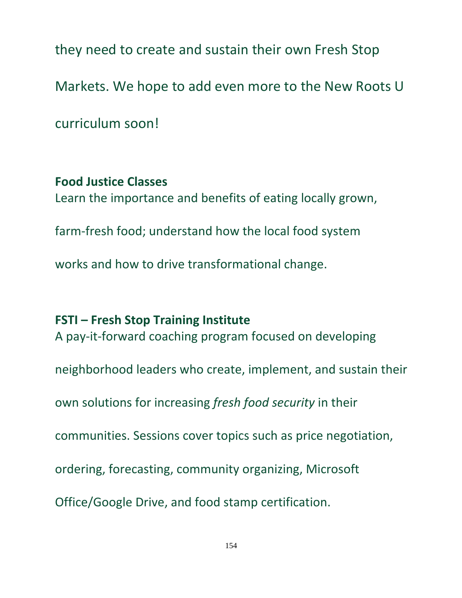they need to create and sustain their own Fresh Stop

Markets. We hope to add even more to the New Roots U

curriculum soon!

## **Food Justice Classes**

Learn the importance and benefits of eating locally grown,

farm-fresh food; understand how the local food system

works and how to drive transformational change.

**FSTI – Fresh Stop Training Institute** A pay-it-forward coaching program focused on developing

neighborhood leaders who create, implement, and sustain their

own solutions for increasing *fresh food security* in their

communities. Sessions cover topics such as price negotiation,

ordering, forecasting, community organizing, Microsoft

Office/Google Drive, and food stamp certification.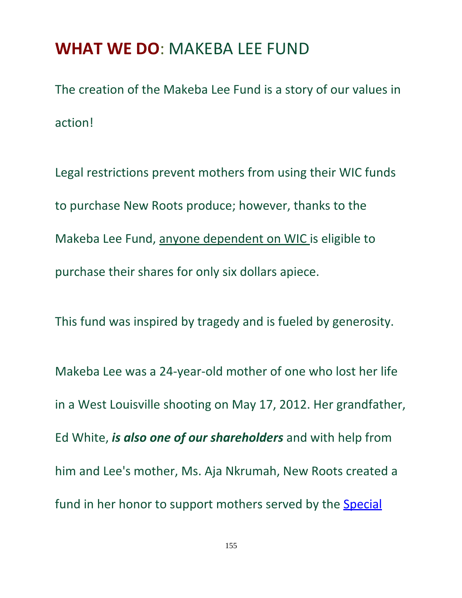## **WHAT WE DO**: MAKEBA LEE FUND

The creation of the Makeba Lee Fund is a story of our values in action!

Legal restrictions prevent mothers from using their WIC funds to purchase New Roots produce; however, thanks to the Makeba Lee Fund, anyone dependent on WIC is eligible to purchase their shares for only six dollars apiece.

This fund was inspired by tragedy and is fueled by generosity.

Makeba Lee was a 24-year-old mother of one who lost her life in a West Louisville shooting on May 17, 2012. Her grandfather, Ed White, *is also one of our shareholders* and with help from him and Lee's mother, Ms. Aja Nkrumah, New Roots created a fund in her honor to support mothers served by the [Special](http://www.fns.usda.gov/wic/women-infants-and-children-wic)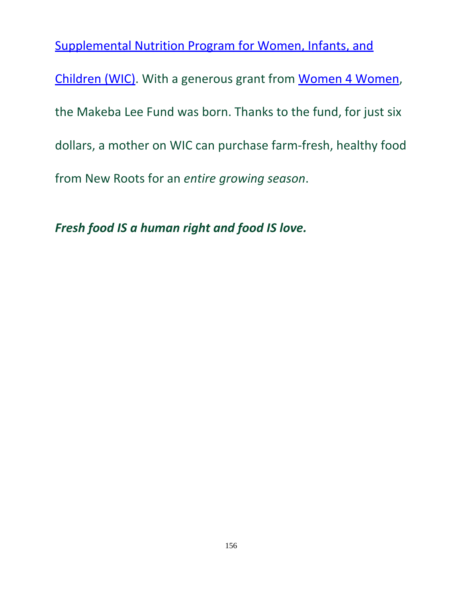[Supplemental Nutrition Program for Women, Infants, and](http://www.fns.usda.gov/wic/women-infants-and-children-wic) [Children \(WIC\).](http://www.fns.usda.gov/wic/women-infants-and-children-wic) With a generous grant from [Women 4 Women,](http://www.w4w.org/) the Makeba Lee Fund was born. Thanks to the fund, for just six dollars, a mother on WIC can purchase farm-fresh, healthy food from New Roots for an *entire growing season*.

*Fresh food IS a human right and food IS love.*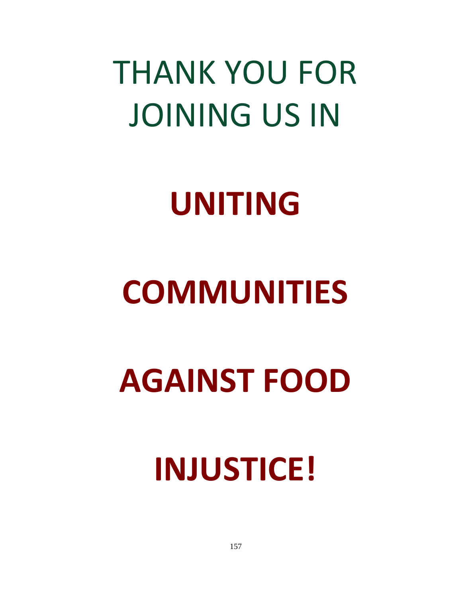# THANK YOU FOR JOINING US IN

# **UNITING**

# **COMMUNITIES**

# **AGAINST FOOD**

# **INJUSTICE!**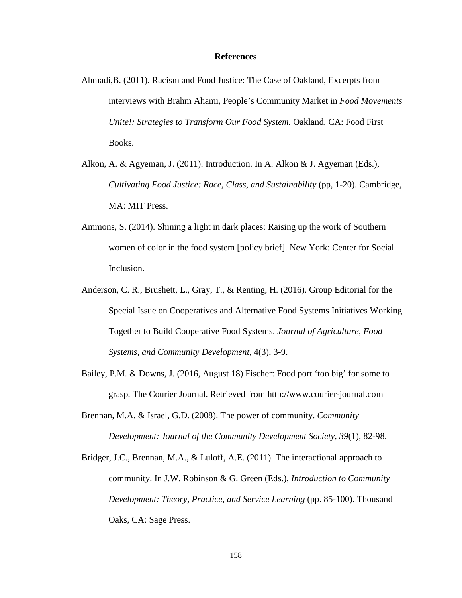#### **References**

- Ahmadi,B. (2011). Racism and Food Justice: The Case of Oakland, Excerpts from interviews with Brahm Ahami, People's Community Market in *Food Movements Unite!: Strategies to Transform Our Food System. Oakland, CA: Food First* Books.
- Alkon, A. & Agyeman, J. (2011). Introduction. In A. Alkon & J. Agyeman (Eds.), *Cultivating Food Justice: Race, Class, and Sustainability* (pp, 1-20). Cambridge, MA: MIT Press.
- Ammons, S. (2014). Shining a light in dark places: Raising up the work of Southern women of color in the food system [policy brief]. New York: Center for Social Inclusion.
- Anderson, C. R., Brushett, L., Gray, T., & Renting, H. (2016). Group Editorial for the Special Issue on Cooperatives and Alternative Food Systems Initiatives Working Together to Build Cooperative Food Systems. *Journal of Agriculture, Food Systems, and Community Development*, 4(3), 3-9.
- Bailey, P.M. & Downs, J. (2016, August 18) Fischer: Food port 'too big' for some to grasp*.* The Courier Journal. Retrieved f[rom http://www.courier-journal.com](http://www.courier-journal.com/)
- Brennan, M.A. & Israel, G.D. (2008). The power of community. *Community Development: Journal of the Community Development Society, 39*(1), 82-98.
- Bridger, J.C., Brennan, M.A., & Luloff, A.E. (2011). The interactional approach to community. In J.W. Robinson & G. Green (Eds.), *Introduction to Community Development: Theory, Practice, and Service Learning (pp. 85-100). Thousand* Oaks, CA: Sage Press.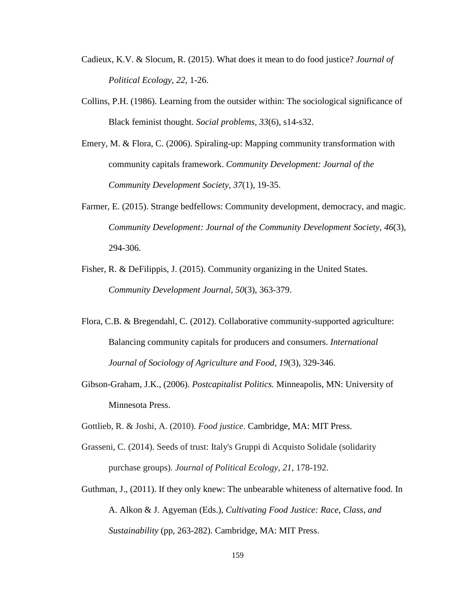- Cadieux, K.V. & Slocum, R. (2015). What does it mean to do food justice? *Journal of Political Ecology, 22,* 1-26.
- Collins, P.H. (1986). Learning from the outsider within: The sociological significance of Black feminist thought. *Social problems, 33*(6), s14-s32.
- Emery, M. & Flora, C. (2006). Spiraling-up: Mapping community transformation with community capitals framework. *Community Development: Journal of the Community Development Society, 37*(1), 19-35.
- Farmer, E. (2015). Strange bedfellows: Community development, democracy, and magic. *Community Development: Journal of the Community Development Society, 46*(3), 294-306.
- Fisher, R. & DeFilippis, J. (2015). Community organizing in the United States. *Community Development Journal, 50*(3), 363-379.
- Flora, C.B. & Bregendahl, C. (2012). Collaborative community-supported agriculture: Balancing community capitals for producers and consumers. *International Journal of Sociology of Agriculture and Food, 19*(3), 329-346.
- Gibson-Graham, J.K., (2006). *Postcapitalist Politics.* Minneapolis, MN: University of Minnesota Press.
- Gottlieb, R. & Joshi, A. (2010). *Food justice*. Cambridge, MA: MIT Press.
- Grasseni, C. (2014). Seeds of trust: Italy's Gruppi di Acquisto Solidale (solidarity purchase groups). *Journal of Political Ecology, 21*, 178-192.
- Guthman, J., (2011). If they only knew: The unbearable whiteness of alternative food. In A. Alkon & J. Agyeman (Eds.), *Cultivating Food Justice: Race, Class, and Sustainability* (pp, 263-282). Cambridge, MA: MIT Press.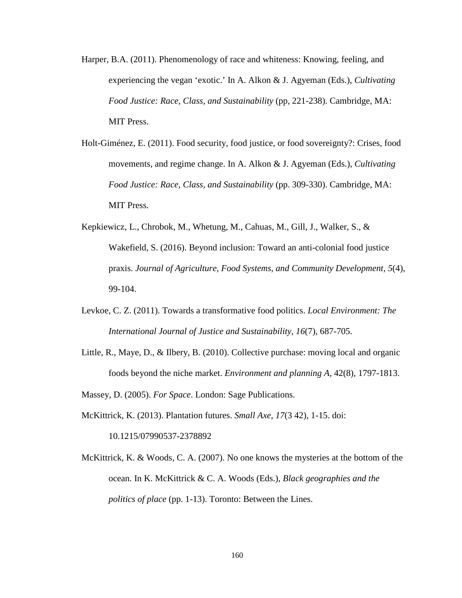- Harper, B.A. (2011). Phenomenology of race and whiteness: Knowing, feeling, and experiencing the vegan 'exotic.' In A. Alkon & J. Agyeman (Eds.), *Cultivating Food Justice: Race, Class, and Sustainability* (pp, 221-238). Cambridge, MA: MIT Press.
- Holt-Giménez, E. (2011). Food security, food justice, or food sovereignty?: Crises, food movements, and regime change. In A. Alkon & J. Agyeman (Eds.), *Cultivating Food Justice: Race, Class, and Sustainability* (pp. 309-330). Cambridge, MA: MIT Press.
- Kepkiewicz, L., Chrobok, M., Whetung, M., Cahuas, M., Gill, J., Walker, S., & Wakefield, S. (2016). Beyond inclusion: Toward an anti-colonial food justice praxis. *Journal of Agriculture, Food Systems, and Community Development, 5*(4), 99-104.
- Levkoe, C. Z. (2011). Towards a transformative food politics. *Local Environment: The International Journal of Justice and Sustainability, 16*(7), 687-705.
- Little, R., Maye, D., & Ilbery, B. (2010). Collective purchase: moving local and organic foods beyond the niche market. *Environment and planning A*, 42(8), 1797-1813.

Massey, D. (2005). *For Space*. London: Sage Publications.

- McKittrick, K. (2013). Plantation futures. *Small Axe, 17*(3 42), 1-15. doi: 10.1215/07990537-2378892
- McKittrick, K. & Woods, C. A. (2007). No one knows the mysteries at the bottom of the ocean. In K. McKittrick & C. A. Woods (Eds.), *Black geographies and the politics of place* (pp. 1-13). Toronto: Between the Lines.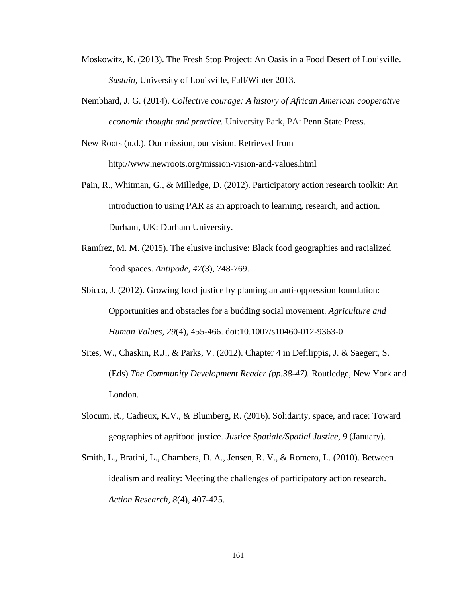- Moskowitz, K. (2013). The Fresh Stop Project: An Oasis in a Food Desert of Louisville. *Sustain,* University of Louisville, Fall/Winter 2013.
- Nembhard, J. G. (2014). *Collective courage: A history of African American cooperative economic thought and practice.* University Park, PA: Penn State Press.

New Roots (n.d.). Our mission, our vision. Retrieved from <http://www.newroots.org/mission-vision-and-values.html>

- Pain, R., Whitman, G., & Milledge, D. (2012). Participatory action research toolkit: An introduction to using PAR as an approach to learning, research, and action. Durham, UK: Durham University.
- Ramírez, M. M. (2015). The elusive inclusive: Black food geographies and racialized food spaces. *Antipode, 47*(3), 748-769.
- Sbicca, J. (2012). Growing food justice by planting an anti-oppression foundation: Opportunities and obstacles for a budding social movement. *Agriculture and Human Values, 29*(4), 455-466. doi:10.1007/s10460-012-9363-0
- Sites, W., Chaskin, R.J., & Parks, V. (2012). Chapter 4 in Defilippis, J. & Saegert, S. (Eds) *The Community Development Reader (pp.38-47).* Routledge, New York and London.
- Slocum, R., Cadieux, K.V., & Blumberg, R. (2016). Solidarity, space, and race: Toward geographies of agrifood justice. *Justice Spatiale/Spatial Justice, 9* (January).
- Smith, L., Bratini, L., Chambers, D. A., Jensen, R. V., & Romero, L. (2010). Between idealism and reality: Meeting the challenges of participatory action research. *Action Research, 8*(4), 407-425.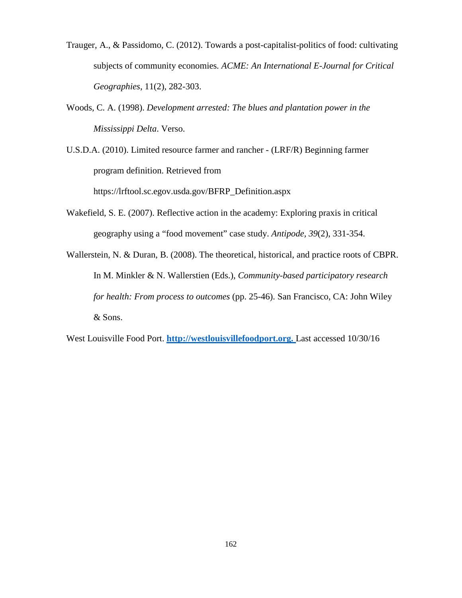- Trauger, A., & Passidomo, C. (2012). Towards a post-capitalist-politics of food: cultivating subjects of community economies*. ACME: An International E-Journal for Critical Geographies*, 11(2), 282-303.
- Woods, C. A. (1998). *Development arrested: The blues and plantation power in the Mississippi Delta*. Verso.

U.S.D.A. (2010). Limited resource farmer and rancher - (LRF/R) Beginning farmer program definition. Retrieved from

https://lrftool.sc.egov.usda.gov/BFRP\_Definition.aspx

- Wakefield, S. E. (2007). Reflective action in the academy: Exploring praxis in critical geography using a "food movement" case study. *Antipode, 39*(2), 331-354.
- Wallerstein, N. & Duran, B. (2008). The theoretical, historical, and practice roots of CBPR. In M. Minkler & N. Wallerstien (Eds.), *Community-based participatory research for health: From process to outcomes* (pp. 25-46). San Francisco, CA: John Wiley & Sons.

West Louisville Food Port. **[http://westlouisvillefoodport.org.](http://westlouisvillefoodport.org/)** Last accessed 10/30/16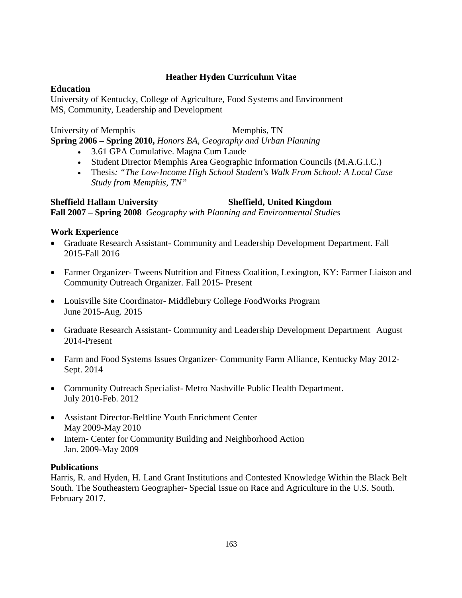#### **Heather Hyden Curriculum Vitae**

#### **Education**

University of Kentucky, College of Agriculture, Food Systems and Environment MS, Community, Leadership and Development

University of Memphis Memphis, TN **Spring 2006 – Spring 2010,** *Honors BA, Geography and Urban Planning*

- 3.61 GPA Cumulative. Magna Cum Laude
- Student Director Memphis Area Geographic Information Councils (M.A.G.I.C.)
- Thesis*: "The Low-Income High School Student's Walk From School: A Local Case Study from Memphis, TN"*

**Sheffield Hallam University Sheffield, United Kingdom Fall 2007 – Spring 2008** *Geography with Planning and Environmental Studies*

#### **Work Experience**

- Graduate Research Assistant- Community and Leadership Development Department. Fall 2015-Fall 2016
- Farmer Organizer- Tweens Nutrition and Fitness Coalition, Lexington, KY: Farmer Liaison and Community Outreach Organizer. Fall 2015- Present
- Louisville Site Coordinator- Middlebury College FoodWorks Program June 2015-Aug. 2015
- Graduate Research Assistant- Community and Leadership Development Department August 2014-Present
- Farm and Food Systems Issues Organizer- Community Farm Alliance, Kentucky May 2012- Sept. 2014
- Community Outreach Specialist-Metro Nashville Public Health Department. July 2010-Feb. 2012
- Assistant Director-Beltline Youth Enrichment Center May 2009-May 2010
- Intern- Center for Community Building and Neighborhood Action Jan. 2009-May 2009

#### **Publications**

Harris, R. and Hyden, H. Land Grant Institutions and Contested Knowledge Within the Black Belt South. The Southeastern Geographer- Special Issue on Race and Agriculture in the U.S. South. February 2017.